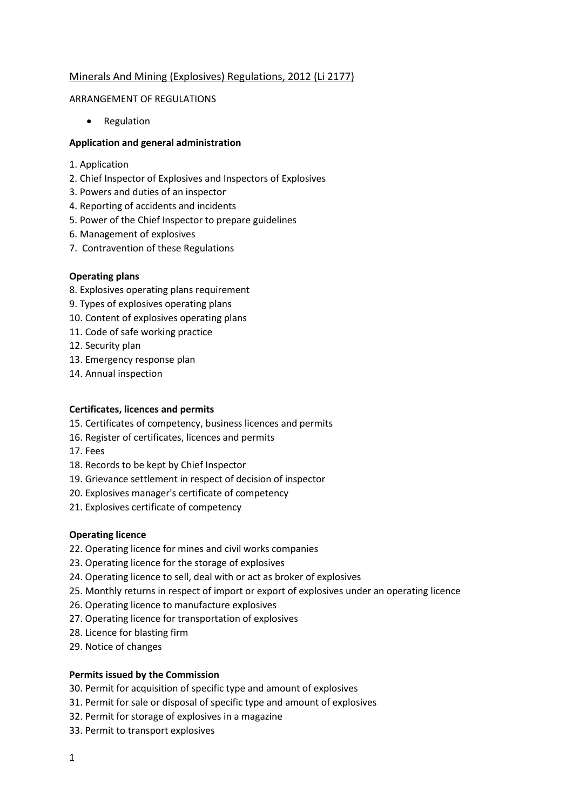# Minerals And Mining (Explosives) Regulations, 2012 (Li 2177)

### ARRANGEMENT OF REGULATIONS

• Regulation

## **Application and general administration**

- 1. Application
- 2. Chief Inspector of Explosives and Inspectors of Explosives
- 3. Powers and duties of an inspector
- 4. Reporting of accidents and incidents
- 5. Power of the Chief Inspector to prepare guidelines
- 6. Management of explosives
- 7. Contravention of these Regulations

## **Operating plans**

- 8. Explosives operating plans requirement
- 9. Types of explosives operating plans
- 10. Content of explosives operating plans
- 11. Code of safe working practice
- 12. Security plan
- 13. Emergency response plan
- 14. Annual inspection

### **Certificates, licences and permits**

- 15. Certificates of competency, business licences and permits
- 16. Register of certificates, licences and permits
- 17. Fees
- 18. Records to be kept by Chief Inspector
- 19. Grievance settlement in respect of decision of inspector
- 20. Explosives manager's certificate of competency
- 21. Explosives certificate of competency

### **Operating licence**

- 22. Operating licence for mines and civil works companies
- 23. Operating licence for the storage of explosives
- 24. Operating licence to sell, deal with or act as broker of explosives
- 25. Monthly returns in respect of import or export of explosives under an operating licence
- 26. Operating licence to manufacture explosives
- 27. Operating licence for transportation of explosives
- 28. Licence for blasting firm
- 29. Notice of changes

### **Permits issued by the Commission**

30. Permit for acquisition of specific type and amount of explosives

- 31. Permit for sale or disposal of specific type and amount of explosives
- 32. Permit for storage of explosives in a magazine
- 33. Permit to transport explosives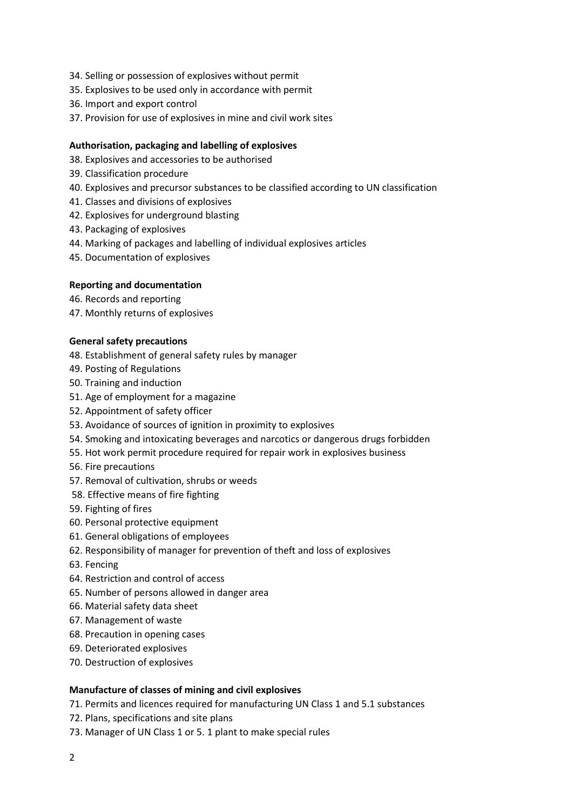- 34. Selling or possession of explosives without permit
- 35. Explosives to be used only in accordance with permit
- 36. Import and export control
- 37. Provision for use of explosives in mine and civil work sites

### **Authorisation, packaging and labelling of explosives**

- 38. Explosives and accessories to be authorised
- 39. Classification procedure
- 40. Explosives and precursor substances to be classified according to UN classification
- 41. Classes and divisions of explosives
- 42. Explosives for underground blasting
- 43. Packaging of explosives
- 44. Marking of packages and labelling of individual explosives articles
- 45. Documentation of explosives

## **Reporting and documentation**

- 46. Records and reporting
- 47. Monthly returns of explosives

### **General safety precautions**

- 48. Establishment of general safety rules by manager
- 49. Posting of Regulations
- 50. Training and induction
- 51. Age of employment for a magazine
- 52. Appointment of safety officer
- 53. Avoidance of sources of ignition in proximity to explosives
- 54. Smoking and intoxicating beverages and narcotics or dangerous drugs forbidden
- 55. Hot work permit procedure required for repair work in explosives business
- 56. Fire precautions
- 57. Removal of cultivation, shrubs or weeds
- 58. Effective means of fire fighting
- 59. Fighting of fires
- 60. Personal protective equipment
- 61. General obligations of employees
- 62. Responsibility of manager for prevention of theft and loss of explosives
- 63. Fencing
- 64. Restriction and control of access
- 65. Number of persons allowed in danger area
- 66. Material safety data sheet
- 67. Management of waste
- 68. Precaution in opening cases
- 69. Deteriorated explosives
- 70. Destruction of explosives

### **Manufacture of classes of mining and civil explosives**

- 71. Permits and licences required for manufacturing UN Class 1 and 5.1 substances
- 72. Plans, specifications and site plans
- 73. Manager of UN Class 1 or 5. 1 plant to make special rules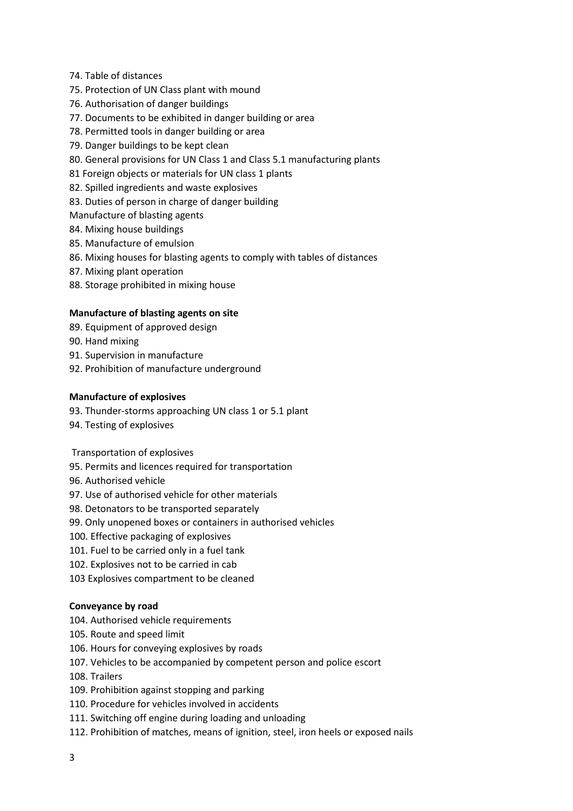- 74. Table of distances
- 75. Protection of UN Class plant with mound
- 76. Authorisation of danger buildings
- 77. Documents to be exhibited in danger building or area
- 78. Permitted tools in danger building or area
- 79. Danger buildings to be kept clean
- 80. General provisions for UN Class 1 and Class 5.1 manufacturing plants
- 81 Foreign objects or materials for UN class 1 plants
- 82. Spilled ingredients and waste explosives
- 83. Duties of person in charge of danger building
- Manufacture of blasting agents
- 84. Mixing house buildings
- 85. Manufacture of emulsion
- 86. Mixing houses for blasting agents to comply with tables of distances
- 87. Mixing plant operation
- 88. Storage prohibited in mixing house

### **Manufacture of blasting agents on site**

- 89. Equipment of approved design
- 90. Hand mixing
- 91. Supervision in manufacture
- 92. Prohibition of manufacture underground

### **Manufacture of explosives**

- 93. Thunder-storms approaching UN class 1 or 5.1 plant
- 94. Testing of explosives

Transportation of explosives

- 95. Permits and licences required for transportation
- 96. Authorised vehicle
- 97. Use of authorised vehicle for other materials
- 98. Detonators to be transported separately
- 99. Only unopened boxes or containers in authorised vehicles
- 100. Effective packaging of explosives
- 101. Fuel to be carried only in a fuel tank
- 102. Explosives not to be carried in cab
- 103 Explosives compartment to be cleaned

### **Conveyance by road**

- 104. Authorised vehicle requirements
- 105. Route and speed limit
- 106. Hours for conveying explosives by roads
- 107. Vehicles to be accompanied by competent person and police escort
- 108. Trailers
- 109. Prohibition against stopping and parking
- 110. Procedure for vehicles involved in accidents
- 111. Switching off engine during loading and unloading
- 112. Prohibition of matches, means of ignition, steel, iron heels or exposed nails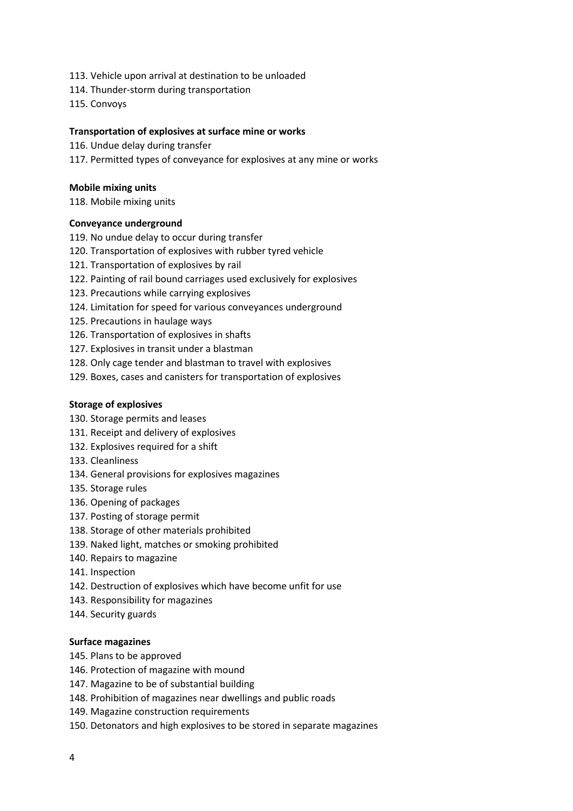- 113. Vehicle upon arrival at destination to be unloaded
- 114. Thunder-storm during transportation
- 115. Convoys

### **Transportation of explosives at surface mine or works**

- 116. Undue delay during transfer
- 117. Permitted types of conveyance for explosives at any mine or works

#### **Mobile mixing units**

118. Mobile mixing units

#### **Conveyance underground**

- 119. No undue delay to occur during transfer
- 120. Transportation of explosives with rubber tyred vehicle
- 121. Transportation of explosives by rail
- 122. Painting of rail bound carriages used exclusively for explosives
- 123. Precautions while carrying explosives
- 124. Limitation for speed for various conveyances underground
- 125. Precautions in haulage ways
- 126. Transportation of explosives in shafts
- 127. Explosives in transit under a blastman
- 128. Only cage tender and blastman to travel with explosives
- 129. Boxes, cases and canisters for transportation of explosives

### **Storage of explosives**

- 130. Storage permits and leases
- 131. Receipt and delivery of explosives
- 132. Explosives required for a shift
- 133. Cleanliness
- 134. General provisions for explosives magazines
- 135. Storage rules
- 136. Opening of packages
- 137. Posting of storage permit
- 138. Storage of other materials prohibited
- 139. Naked light, matches or smoking prohibited
- 140. Repairs to magazine
- 141. Inspection
- 142. Destruction of explosives which have become unfit for use
- 143. Responsibility for magazines
- 144. Security guards

#### **Surface magazines**

- 145. Plans to be approved
- 146. Protection of magazine with mound
- 147. Magazine to be of substantial building
- 148. Prohibition of magazines near dwellings and public roads
- 149. Magazine construction requirements
- 150. Detonators and high explosives to be stored in separate magazines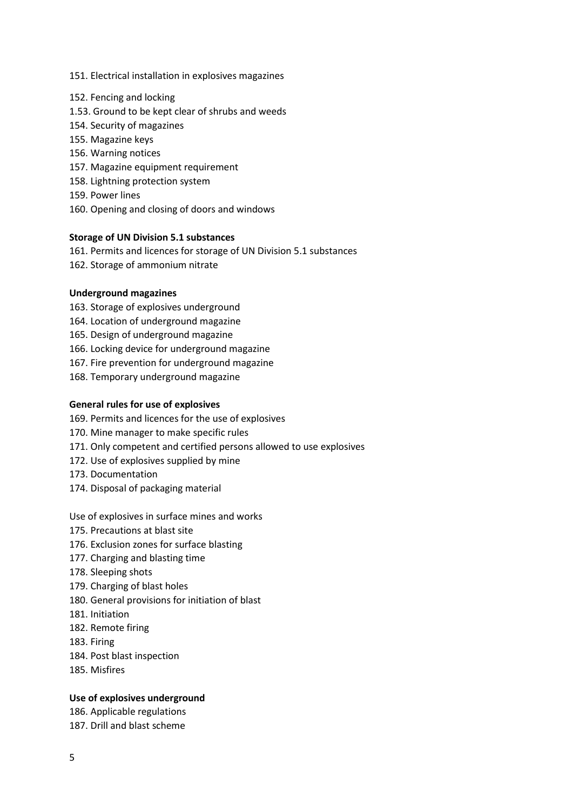- 151. Electrical installation in explosives magazines
- 152. Fencing and locking
- 1.53. Ground to be kept clear of shrubs and weeds
- 154. Security of magazines
- 155. Magazine keys
- 156. Warning notices
- 157. Magazine equipment requirement
- 158. Lightning protection system
- 159. Power lines
- 160. Opening and closing of doors and windows

### **Storage of UN Division 5.1 substances**

161. Permits and licences for storage of UN Division 5.1 substances

162. Storage of ammonium nitrate

## **Underground magazines**

- 163. Storage of explosives underground
- 164. Location of underground magazine
- 165. Design of underground magazine
- 166. Locking device for underground magazine
- 167. Fire prevention for underground magazine
- 168. Temporary underground magazine

### **General rules for use of explosives**

169. Permits and licences for the use of explosives

- 170. Mine manager to make specific rules
- 171. Only competent and certified persons allowed to use explosives
- 172. Use of explosives supplied by mine
- 173. Documentation
- 174. Disposal of packaging material

Use of explosives in surface mines and works

- 175. Precautions at blast site
- 176. Exclusion zones for surface blasting
- 177. Charging and blasting time
- 178. Sleeping shots
- 179. Charging of blast holes
- 180. General provisions for initiation of blast
- 181. Initiation
- 182. Remote firing
- 183. Firing
- 184. Post blast inspection
- 185. Misfires

### **Use of explosives underground**

186. Applicable regulations

187. Drill and blast scheme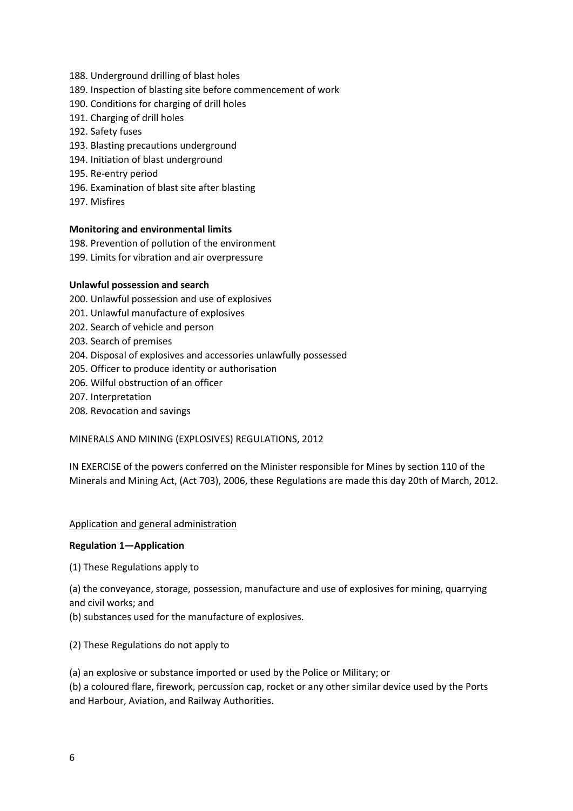- 188. Underground drilling of blast holes
- 189. Inspection of blasting site before commencement of work
- 190. Conditions for charging of drill holes
- 191. Charging of drill holes
- 192. Safety fuses
- 193. Blasting precautions underground
- 194. Initiation of blast underground
- 195. Re-entry period
- 196. Examination of blast site after blasting
- 197. Misfires

## **Monitoring and environmental limits**

- 198. Prevention of pollution of the environment
- 199. Limits for vibration and air overpressure

## **Unlawful possession and search**

- 200. Unlawful possession and use of explosives
- 201. Unlawful manufacture of explosives
- 202. Search of vehicle and person
- 203. Search of premises
- 204. Disposal of explosives and accessories unlawfully possessed
- 205. Officer to produce identity or authorisation
- 206. Wilful obstruction of an officer
- 207. Interpretation
- 208. Revocation and savings

## MINERALS AND MINING (EXPLOSIVES) REGULATIONS, 2012

IN EXERCISE of the powers conferred on the Minister responsible for Mines by section 110 of the Minerals and Mining Act, (Act 703), 2006, these Regulations are made this day 20th of March, 2012.

### Application and general administration

### **Regulation 1—Application**

(1) These Regulations apply to

(a) the conveyance, storage, possession, manufacture and use of explosives for mining, quarrying and civil works; and

(b) substances used for the manufacture of explosives.

(2) These Regulations do not apply to

(a) an explosive or substance imported or used by the Police or Military; or

(b) a coloured flare, firework, percussion cap, rocket or any other similar device used by the Ports and Harbour, Aviation, and Railway Authorities.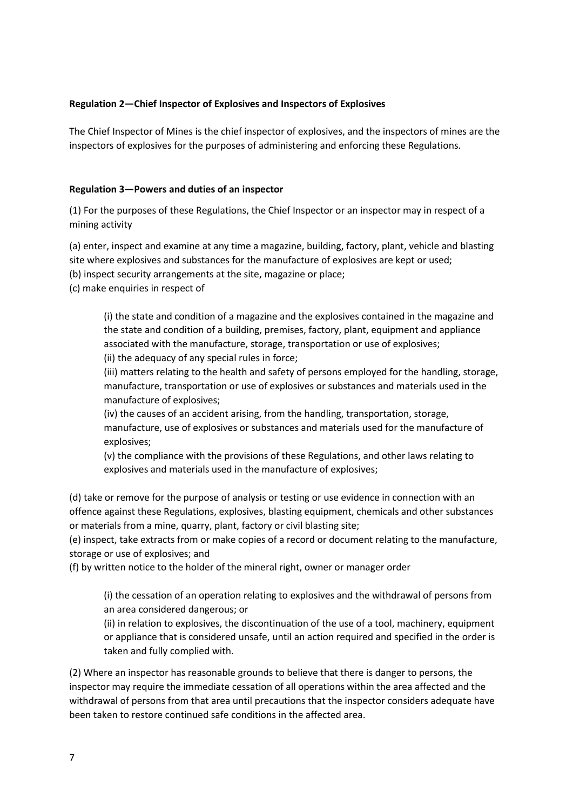## **Regulation 2—Chief Inspector of Explosives and Inspectors of Explosives**

The Chief Inspector of Mines is the chief inspector of explosives, and the inspectors of mines are the inspectors of explosives for the purposes of administering and enforcing these Regulations.

## **Regulation 3—Powers and duties of an inspector**

(1) For the purposes of these Regulations, the Chief Inspector or an inspector may in respect of a mining activity

(a) enter, inspect and examine at any time a magazine, building, factory, plant, vehicle and blasting site where explosives and substances for the manufacture of explosives are kept or used;

(b) inspect security arrangements at the site, magazine or place;

(c) make enquiries in respect of

(i) the state and condition of a magazine and the explosives contained in the magazine and the state and condition of a building, premises, factory, plant, equipment and appliance associated with the manufacture, storage, transportation or use of explosives; (ii) the adequacy of any special rules in force;

(iii) matters relating to the health and safety of persons employed for the handling, storage, manufacture, transportation or use of explosives or substances and materials used in the manufacture of explosives;

(iv) the causes of an accident arising, from the handling, transportation, storage, manufacture, use of explosives or substances and materials used for the manufacture of explosives;

(v) the compliance with the provisions of these Regulations, and other laws relating to explosives and materials used in the manufacture of explosives;

(d) take or remove for the purpose of analysis or testing or use evidence in connection with an offence against these Regulations, explosives, blasting equipment, chemicals and other substances or materials from a mine, quarry, plant, factory or civil blasting site;

(e) inspect, take extracts from or make copies of a record or document relating to the manufacture, storage or use of explosives; and

(f) by written notice to the holder of the mineral right, owner or manager order

(i) the cessation of an operation relating to explosives and the withdrawal of persons from an area considered dangerous; or

(ii) in relation to explosives, the discontinuation of the use of a tool, machinery, equipment or appliance that is considered unsafe, until an action required and specified in the order is taken and fully complied with.

(2) Where an inspector has reasonable grounds to believe that there is danger to persons, the inspector may require the immediate cessation of all operations within the area affected and the withdrawal of persons from that area until precautions that the inspector considers adequate have been taken to restore continued safe conditions in the affected area.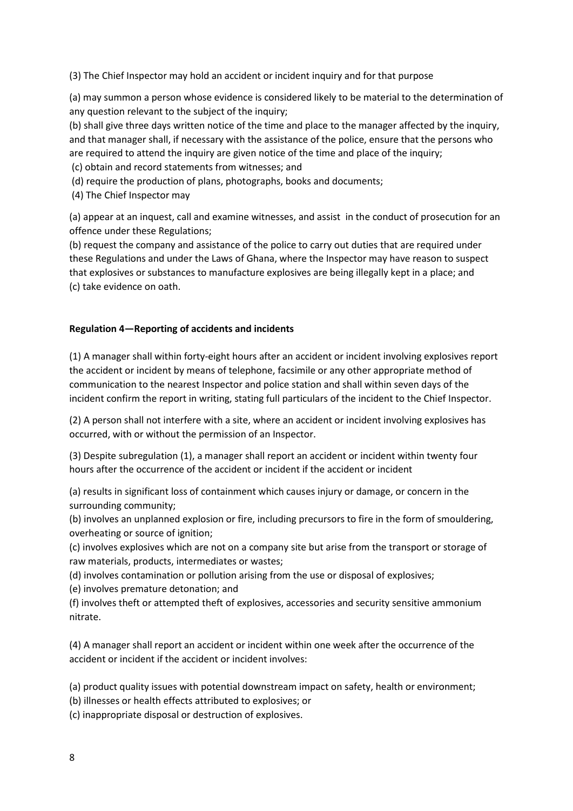(3) The Chief Inspector may hold an accident or incident inquiry and for that purpose

(a) may summon a person whose evidence is considered likely to be material to the determination of any question relevant to the subject of the inquiry;

(b) shall give three days written notice of the time and place to the manager affected by the inquiry, and that manager shall, if necessary with the assistance of the police, ensure that the persons who are required to attend the inquiry are given notice of the time and place of the inquiry;

(c) obtain and record statements from witnesses; and

(d) require the production of plans, photographs, books and documents;

(4) The Chief Inspector may

(a) appear at an inquest, call and examine witnesses, and assist in the conduct of prosecution for an offence under these Regulations;

(b) request the company and assistance of the police to carry out duties that are required under these Regulations and under the Laws of Ghana, where the Inspector may have reason to suspect that explosives or substances to manufacture explosives are being illegally kept in a place; and (c) take evidence on oath.

## **Regulation 4—Reporting of accidents and incidents**

(1) A manager shall within forty-eight hours after an accident or incident involving explosives report the accident or incident by means of telephone, facsimile or any other appropriate method of communication to the nearest Inspector and police station and shall within seven days of the incident confirm the report in writing, stating full particulars of the incident to the Chief Inspector.

(2) A person shall not interfere with a site, where an accident or incident involving explosives has occurred, with or without the permission of an Inspector.

(3) Despite subregulation (1), a manager shall report an accident or incident within twenty four hours after the occurrence of the accident or incident if the accident or incident

(a) results in significant loss of containment which causes injury or damage, or concern in the surrounding community;

(b) involves an unplanned explosion or fire, including precursors to fire in the form of smouldering, overheating or source of ignition;

(c) involves explosives which are not on a company site but arise from the transport or storage of raw materials, products, intermediates or wastes;

(d) involves contamination or pollution arising from the use or disposal of explosives;

(e) involves premature detonation; and

(f) involves theft or attempted theft of explosives, accessories and security sensitive ammonium nitrate.

(4) A manager shall report an accident or incident within one week after the occurrence of the accident or incident if the accident or incident involves:

(a) product quality issues with potential downstream impact on safety, health or environment;

(b) illnesses or health effects attributed to explosives; or

(c) inappropriate disposal or destruction of explosives.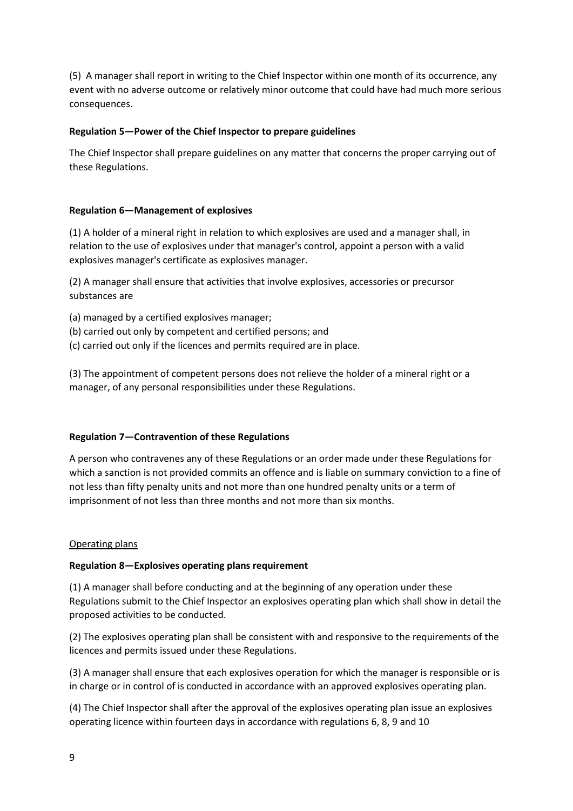(5) A manager shall report in writing to the Chief Inspector within one month of its occurrence, any event with no adverse outcome or relatively minor outcome that could have had much more serious consequences.

### **Regulation 5—Power of the Chief Inspector to prepare guidelines**

The Chief Inspector shall prepare guidelines on any matter that concerns the proper carrying out of these Regulations.

## **Regulation 6—Management of explosives**

(1) A holder of a mineral right in relation to which explosives are used and a manager shall, in relation to the use of explosives under that manager's control, appoint a person with a valid explosives manager's certificate as explosives manager.

(2) A manager shall ensure that activities that involve explosives, accessories or precursor substances are

- (a) managed by a certified explosives manager;
- (b) carried out only by competent and certified persons; and
- (c) carried out only if the licences and permits required are in place.

(3) The appointment of competent persons does not relieve the holder of a mineral right or a manager, of any personal responsibilities under these Regulations.

### **Regulation 7—Contravention of these Regulations**

A person who contravenes any of these Regulations or an order made under these Regulations for which a sanction is not provided commits an offence and is liable on summary conviction to a fine of not less than fifty penalty units and not more than one hundred penalty units or a term of imprisonment of not less than three months and not more than six months.

### Operating plans

### **Regulation 8—Explosives operating plans requirement**

(1) A manager shall before conducting and at the beginning of any operation under these Regulations submit to the Chief Inspector an explosives operating plan which shall show in detail the proposed activities to be conducted.

(2) The explosives operating plan shall be consistent with and responsive to the requirements of the licences and permits issued under these Regulations.

(3) A manager shall ensure that each explosives operation for which the manager is responsible or is in charge or in control of is conducted in accordance with an approved explosives operating plan.

(4) The Chief Inspector shall after the approval of the explosives operating plan issue an explosives operating licence within fourteen days in accordance with regulations 6, 8, 9 and 10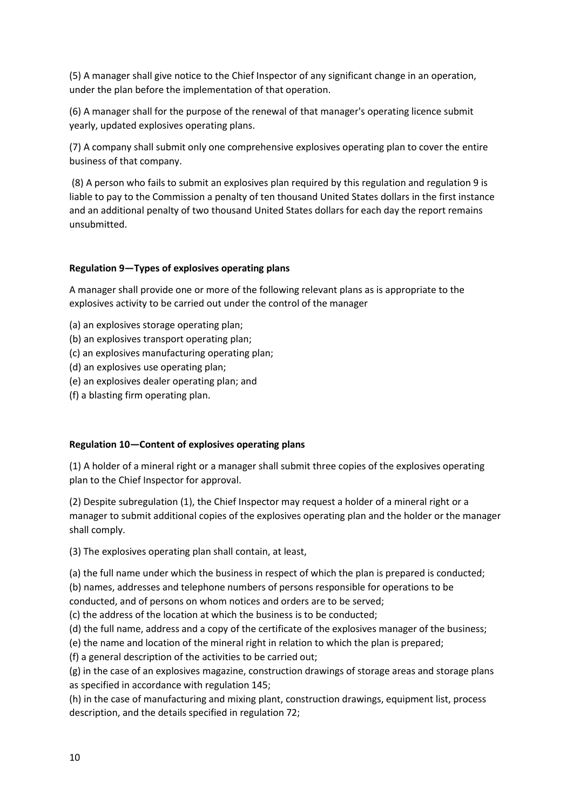(5) A manager shall give notice to the Chief Inspector of any significant change in an operation, under the plan before the implementation of that operation.

(6) A manager shall for the purpose of the renewal of that manager's operating licence submit yearly, updated explosives operating plans.

(7) A company shall submit only one comprehensive explosives operating plan to cover the entire business of that company.

(8) A person who fails to submit an explosives plan required by this regulation and regulation 9 is liable to pay to the Commission a penalty of ten thousand United States dollars in the first instance and an additional penalty of two thousand United States dollars for each day the report remains unsubmitted.

### **Regulation 9—Types of explosives operating plans**

A manager shall provide one or more of the following relevant plans as is appropriate to the explosives activity to be carried out under the control of the manager

- (a) an explosives storage operating plan;
- (b) an explosives transport operating plan;
- (c) an explosives manufacturing operating plan;
- (d) an explosives use operating plan;
- (e) an explosives dealer operating plan; and
- (f) a blasting firm operating plan.

### **Regulation 10—Content of explosives operating plans**

(1) A holder of a mineral right or a manager shall submit three copies of the explosives operating plan to the Chief Inspector for approval.

(2) Despite subregulation (1), the Chief Inspector may request a holder of a mineral right or a manager to submit additional copies of the explosives operating plan and the holder or the manager shall comply.

(3) The explosives operating plan shall contain, at least,

(a) the full name under which the business in respect of which the plan is prepared is conducted; (b) names, addresses and telephone numbers of persons responsible for operations to be

conducted, and of persons on whom notices and orders are to be served; (c) the address of the location at which the business is to be conducted;

(d) the full name, address and a copy of the certificate of the explosives manager of the business;

(e) the name and location of the mineral right in relation to which the plan is prepared;

(f) a general description of the activities to be carried out;

(g) in the case of an explosives magazine, construction drawings of storage areas and storage plans as specified in accordance with regulation 145;

(h) in the case of manufacturing and mixing plant, construction drawings, equipment list, process description, and the details specified in regulation 72;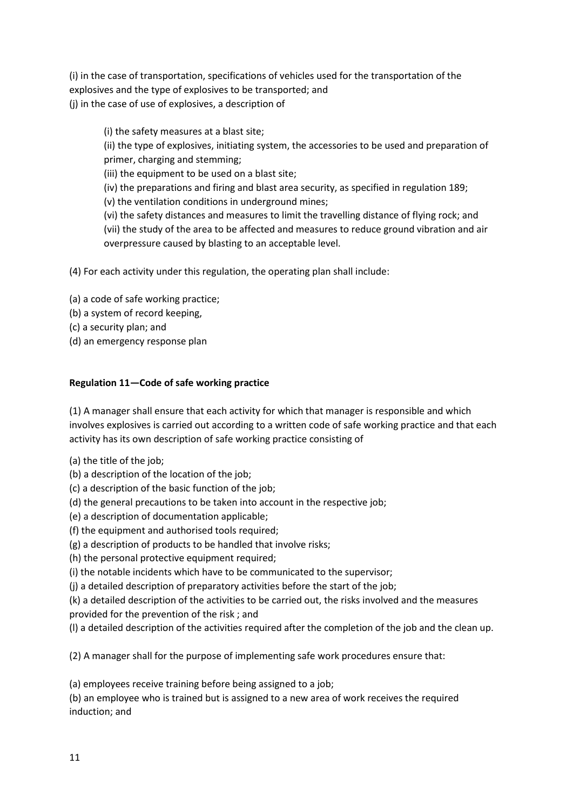(i) in the case of transportation, specifications of vehicles used for the transportation of the explosives and the type of explosives to be transported; and (j) in the case of use of explosives, a description of

(i) the safety measures at a blast site; (ii) the type of explosives, initiating system, the accessories to be used and preparation of primer, charging and stemming;

(iii) the equipment to be used on a blast site;

(iv) the preparations and firing and blast area security, as specified in regulation 189;

(v) the ventilation conditions in underground mines;

(vi) the safety distances and measures to limit the travelling distance of flying rock; and (vii) the study of the area to be affected and measures to reduce ground vibration and air overpressure caused by blasting to an acceptable level.

(4) For each activity under this regulation, the operating plan shall include:

(a) a code of safe working practice;

- (b) a system of record keeping,
- (c) a security plan; and
- (d) an emergency response plan

# **Regulation 11—Code of safe working practice**

(1) A manager shall ensure that each activity for which that manager is responsible and which involves explosives is carried out according to a written code of safe working practice and that each activity has its own description of safe working practice consisting of

(a) the title of the job;

- (b) a description of the location of the job;
- (c) a description of the basic function of the job;
- (d) the general precautions to be taken into account in the respective job;
- (e) a description of documentation applicable;
- (f) the equipment and authorised tools required;
- (g) a description of products to be handled that involve risks;
- (h) the personal protective equipment required;
- (i) the notable incidents which have to be communicated to the supervisor;
- (j) a detailed description of preparatory activities before the start of the job;

(k) a detailed description of the activities to be carried out, the risks involved and the measures provided for the prevention of the risk ; and

(l) a detailed description of the activities required after the completion of the job and the clean up.

(2) A manager shall for the purpose of implementing safe work procedures ensure that:

(a) employees receive training before being assigned to a job;

(b) an employee who is trained but is assigned to a new area of work receives the required induction; and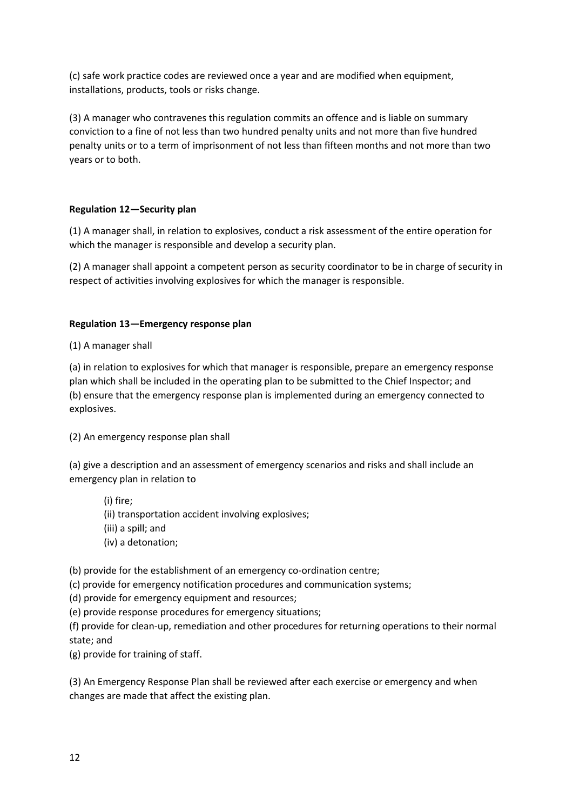(c) safe work practice codes are reviewed once a year and are modified when equipment, installations, products, tools or risks change.

(3) A manager who contravenes this regulation commits an offence and is liable on summary conviction to a fine of not less than two hundred penalty units and not more than five hundred penalty units or to a term of imprisonment of not less than fifteen months and not more than two years or to both.

## **Regulation 12—Security plan**

(1) A manager shall, in relation to explosives, conduct a risk assessment of the entire operation for which the manager is responsible and develop a security plan.

(2) A manager shall appoint a competent person as security coordinator to be in charge of security in respect of activities involving explosives for which the manager is responsible.

## **Regulation 13—Emergency response plan**

(1) A manager shall

(a) in relation to explosives for which that manager is responsible, prepare an emergency response plan which shall be included in the operating plan to be submitted to the Chief Inspector; and (b) ensure that the emergency response plan is implemented during an emergency connected to explosives.

(2) An emergency response plan shall

(a) give a description and an assessment of emergency scenarios and risks and shall include an emergency plan in relation to

(i) fire;

(ii) transportation accident involving explosives;

(iii) a spill; and

(iv) a detonation;

(b) provide for the establishment of an emergency co-ordination centre;

(c) provide for emergency notification procedures and communication systems;

(d) provide for emergency equipment and resources;

(e) provide response procedures for emergency situations;

(f) provide for clean-up, remediation and other procedures for returning operations to their normal state; and

(g) provide for training of staff.

(3) An Emergency Response Plan shall be reviewed after each exercise or emergency and when changes are made that affect the existing plan.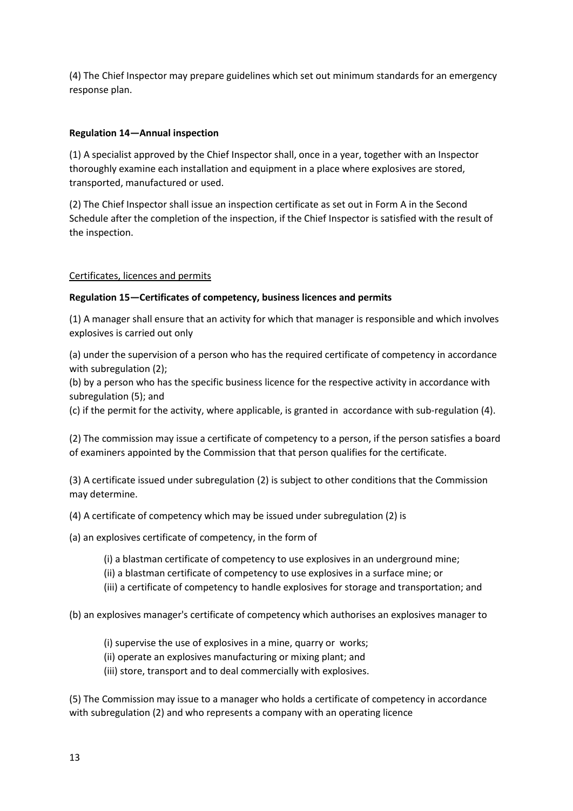(4) The Chief Inspector may prepare guidelines which set out minimum standards for an emergency response plan.

## **Regulation 14—Annual inspection**

(1) A specialist approved by the Chief Inspector shall, once in a year, together with an Inspector thoroughly examine each installation and equipment in a place where explosives are stored, transported, manufactured or used.

(2) The Chief Inspector shall issue an inspection certificate as set out in Form A in the Second Schedule after the completion of the inspection, if the Chief Inspector is satisfied with the result of the inspection.

## Certificates, licences and permits

## **Regulation 15—Certificates of competency, business licences and permits**

(1) A manager shall ensure that an activity for which that manager is responsible and which involves explosives is carried out only

(a) under the supervision of a person who has the required certificate of competency in accordance with subregulation (2);

(b) by a person who has the specific business licence for the respective activity in accordance with subregulation (5); and

(c) if the permit for the activity, where applicable, is granted in accordance with sub-regulation (4).

(2) The commission may issue a certificate of competency to a person, if the person satisfies a board of examiners appointed by the Commission that that person qualifies for the certificate.

(3) A certificate issued under subregulation (2) is subject to other conditions that the Commission may determine.

(4) A certificate of competency which may be issued under subregulation (2) is

(a) an explosives certificate of competency, in the form of

(i) a blastman certificate of competency to use explosives in an underground mine;

(ii) a blastman certificate of competency to use explosives in a surface mine; or

(iii) a certificate of competency to handle explosives for storage and transportation; and

(b) an explosives manager's certificate of competency which authorises an explosives manager to

- (i) supervise the use of explosives in a mine, quarry or works;
- (ii) operate an explosives manufacturing or mixing plant; and
- (iii) store, transport and to deal commercially with explosives.

(5) The Commission may issue to a manager who holds a certificate of competency in accordance with subregulation (2) and who represents a company with an operating licence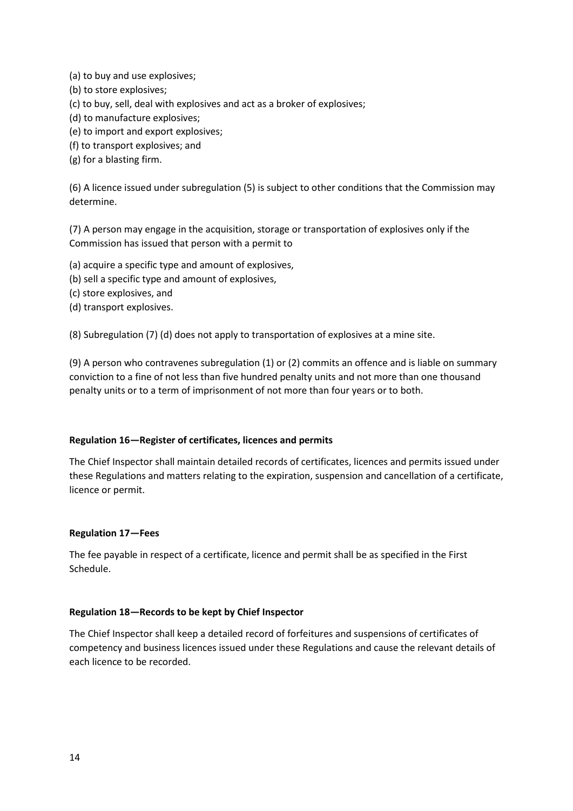- (a) to buy and use explosives;
- (b) to store explosives;
- (c) to buy, sell, deal with explosives and act as a broker of explosives;
- (d) to manufacture explosives;
- (e) to import and export explosives;
- (f) to transport explosives; and
- (g) for a blasting firm.

(6) A licence issued under subregulation (5) is subject to other conditions that the Commission may determine.

(7) A person may engage in the acquisition, storage or transportation of explosives only if the Commission has issued that person with a permit to

(a) acquire a specific type and amount of explosives,

- (b) sell a specific type and amount of explosives,
- (c) store explosives, and
- (d) transport explosives.

(8) Subregulation (7) (d) does not apply to transportation of explosives at a mine site.

(9) A person who contravenes subregulation (1) or (2) commits an offence and is liable on summary conviction to a fine of not less than five hundred penalty units and not more than one thousand penalty units or to a term of imprisonment of not more than four years or to both.

### **Regulation 16—Register of certificates, licences and permits**

The Chief Inspector shall maintain detailed records of certificates, licences and permits issued under these Regulations and matters relating to the expiration, suspension and cancellation of a certificate, licence or permit.

### **Regulation 17—Fees**

The fee payable in respect of a certificate, licence and permit shall be as specified in the First Schedule.

### **Regulation 18—Records to be kept by Chief Inspector**

The Chief Inspector shall keep a detailed record of forfeitures and suspensions of certificates of competency and business licences issued under these Regulations and cause the relevant details of each licence to be recorded.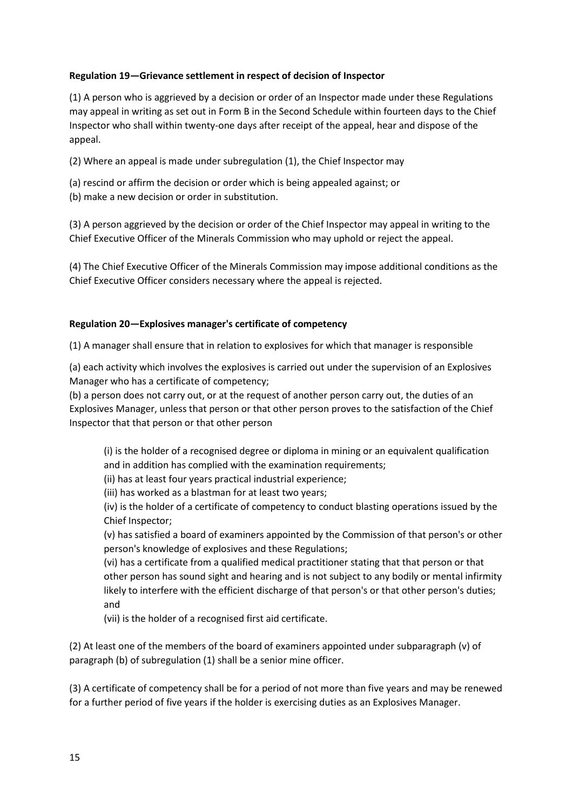## **Regulation 19—Grievance settlement in respect of decision of Inspector**

(1) A person who is aggrieved by a decision or order of an Inspector made under these Regulations may appeal in writing as set out in Form B in the Second Schedule within fourteen days to the Chief Inspector who shall within twenty-one days after receipt of the appeal, hear and dispose of the appeal.

(2) Where an appeal is made under subregulation (1), the Chief Inspector may

(a) rescind or affirm the decision or order which is being appealed against; or (b) make a new decision or order in substitution.

(3) A person aggrieved by the decision or order of the Chief Inspector may appeal in writing to the Chief Executive Officer of the Minerals Commission who may uphold or reject the appeal.

(4) The Chief Executive Officer of the Minerals Commission may impose additional conditions as the Chief Executive Officer considers necessary where the appeal is rejected.

### **Regulation 20—Explosives manager's certificate of competency**

(1) A manager shall ensure that in relation to explosives for which that manager is responsible

(a) each activity which involves the explosives is carried out under the supervision of an Explosives Manager who has a certificate of competency;

(b) a person does not carry out, or at the request of another person carry out, the duties of an Explosives Manager, unless that person or that other person proves to the satisfaction of the Chief Inspector that that person or that other person

(i) is the holder of a recognised degree or diploma in mining or an equivalent qualification and in addition has complied with the examination requirements;

(ii) has at least four years practical industrial experience;

(iii) has worked as a blastman for at least two years;

(iv) is the holder of a certificate of competency to conduct blasting operations issued by the Chief Inspector;

(v) has satisfied a board of examiners appointed by the Commission of that person's or other person's knowledge of explosives and these Regulations;

(vi) has a certificate from a qualified medical practitioner stating that that person or that other person has sound sight and hearing and is not subject to any bodily or mental infirmity likely to interfere with the efficient discharge of that person's or that other person's duties; and

(vii) is the holder of a recognised first aid certificate.

(2) At least one of the members of the board of examiners appointed under subparagraph (v) of paragraph (b) of subregulation (1) shall be a senior mine officer.

(3) A certificate of competency shall be for a period of not more than five years and may be renewed for a further period of five years if the holder is exercising duties as an Explosives Manager.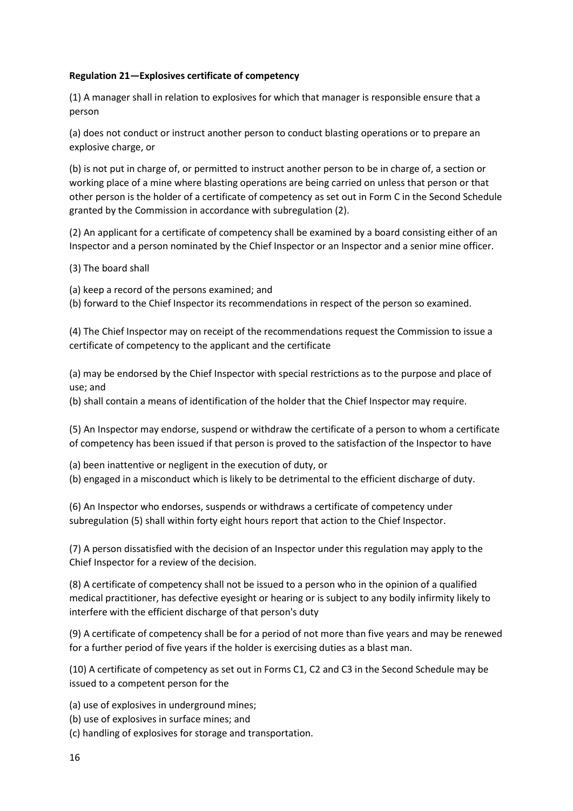## **Regulation 21—Explosives certificate of competency**

(1) A manager shall in relation to explosives for which that manager is responsible ensure that a person

(a) does not conduct or instruct another person to conduct blasting operations or to prepare an explosive charge, or

(b) is not put in charge of, or permitted to instruct another person to be in charge of, a section or working place of a mine where blasting operations are being carried on unless that person or that other person is the holder of a certificate of competency as set out in Form C in the Second Schedule granted by the Commission in accordance with subregulation (2).

(2) An applicant for a certificate of competency shall be examined by a board consisting either of an Inspector and a person nominated by the Chief Inspector or an Inspector and a senior mine officer.

(3) The board shall

(a) keep a record of the persons examined; and

(b) forward to the Chief Inspector its recommendations in respect of the person so examined.

(4) The Chief Inspector may on receipt of the recommendations request the Commission to issue a certificate of competency to the applicant and the certificate

(a) may be endorsed by the Chief Inspector with special restrictions as to the purpose and place of use; and

(b) shall contain a means of identification of the holder that the Chief Inspector may require.

(5) An Inspector may endorse, suspend or withdraw the certificate of a person to whom a certificate of competency has been issued if that person is proved to the satisfaction of the Inspector to have

(a) been inattentive or negligent in the execution of duty, or

(b) engaged in a misconduct which is likely to be detrimental to the efficient discharge of duty.

(6) An Inspector who endorses, suspends or withdraws a certificate of competency under subregulation (5) shall within forty eight hours report that action to the Chief Inspector.

(7) A person dissatisfied with the decision of an Inspector under this regulation may apply to the Chief Inspector for a review of the decision.

(8) A certificate of competency shall not be issued to a person who in the opinion of a qualified medical practitioner, has defective eyesight or hearing or is subject to any bodily infirmity likely to interfere with the efficient discharge of that person's duty

(9) A certificate of competency shall be for a period of not more than five years and may be renewed for a further period of five years if the holder is exercising duties as a blast man.

(10) A certificate of competency as set out in Forms C1, C2 and C3 in the Second Schedule may be issued to a competent person for the

(a) use of explosives in underground mines;

(b) use of explosives in surface mines; and

(c) handling of explosives for storage and transportation.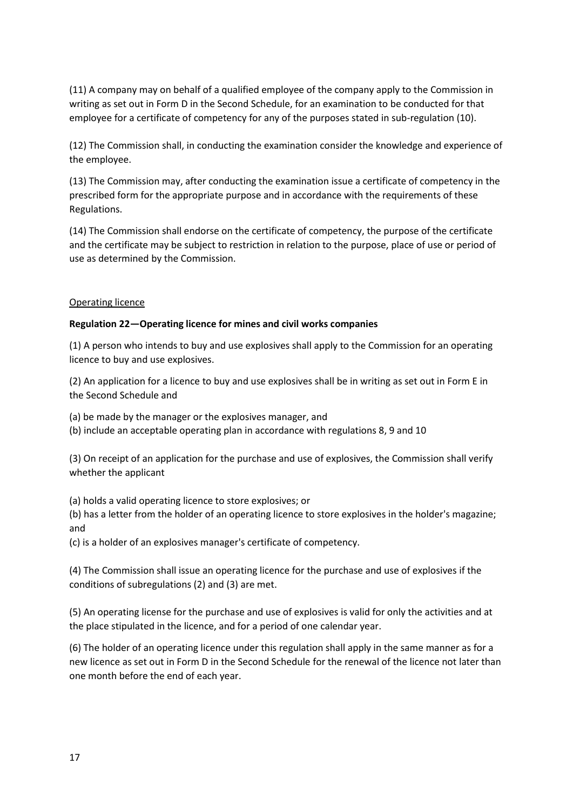(11) A company may on behalf of a qualified employee of the company apply to the Commission in writing as set out in Form D in the Second Schedule, for an examination to be conducted for that employee for a certificate of competency for any of the purposes stated in sub-regulation (10).

(12) The Commission shall, in conducting the examination consider the knowledge and experience of the employee.

(13) The Commission may, after conducting the examination issue a certificate of competency in the prescribed form for the appropriate purpose and in accordance with the requirements of these Regulations.

(14) The Commission shall endorse on the certificate of competency, the purpose of the certificate and the certificate may be subject to restriction in relation to the purpose, place of use or period of use as determined by the Commission.

## Operating licence

## **Regulation 22—Operating licence for mines and civil works companies**

(1) A person who intends to buy and use explosives shall apply to the Commission for an operating licence to buy and use explosives.

(2) An application for a licence to buy and use explosives shall be in writing as set out in Form E in the Second Schedule and

(a) be made by the manager or the explosives manager, and

(b) include an acceptable operating plan in accordance with regulations 8, 9 and 10

(3) On receipt of an application for the purchase and use of explosives, the Commission shall verify whether the applicant

(a) holds a valid operating licence to store explosives; or

(b) has a letter from the holder of an operating licence to store explosives in the holder's magazine; and

(c) is a holder of an explosives manager's certificate of competency.

(4) The Commission shall issue an operating licence for the purchase and use of explosives if the conditions of subregulations (2) and (3) are met.

(5) An operating license for the purchase and use of explosives is valid for only the activities and at the place stipulated in the licence, and for a period of one calendar year.

(6) The holder of an operating licence under this regulation shall apply in the same manner as for a new licence as set out in Form D in the Second Schedule for the renewal of the licence not later than one month before the end of each year.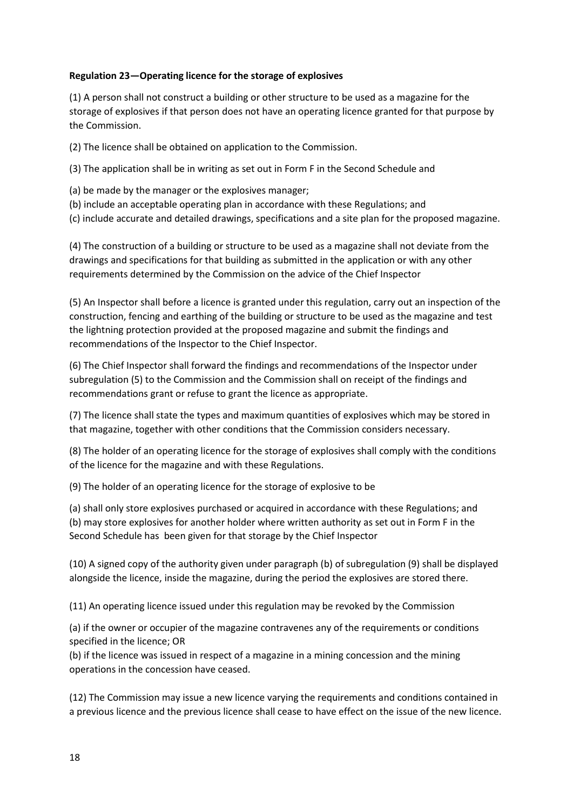## **Regulation 23—Operating licence for the storage of explosives**

(1) A person shall not construct a building or other structure to be used as a magazine for the storage of explosives if that person does not have an operating licence granted for that purpose by the Commission.

(2) The licence shall be obtained on application to the Commission.

(3) The application shall be in writing as set out in Form F in the Second Schedule and

- (a) be made by the manager or the explosives manager;
- (b) include an acceptable operating plan in accordance with these Regulations; and

(c) include accurate and detailed drawings, specifications and a site plan for the proposed magazine.

(4) The construction of a building or structure to be used as a magazine shall not deviate from the drawings and specifications for that building as submitted in the application or with any other requirements determined by the Commission on the advice of the Chief Inspector

(5) An Inspector shall before a licence is granted under this regulation, carry out an inspection of the construction, fencing and earthing of the building or structure to be used as the magazine and test the lightning protection provided at the proposed magazine and submit the findings and recommendations of the Inspector to the Chief Inspector.

(6) The Chief Inspector shall forward the findings and recommendations of the Inspector under subregulation (5) to the Commission and the Commission shall on receipt of the findings and recommendations grant or refuse to grant the licence as appropriate.

(7) The licence shall state the types and maximum quantities of explosives which may be stored in that magazine, together with other conditions that the Commission considers necessary.

(8) The holder of an operating licence for the storage of explosives shall comply with the conditions of the licence for the magazine and with these Regulations.

(9) The holder of an operating licence for the storage of explosive to be

(a) shall only store explosives purchased or acquired in accordance with these Regulations; and (b) may store explosives for another holder where written authority as set out in Form F in the Second Schedule has been given for that storage by the Chief Inspector

(10) A signed copy of the authority given under paragraph (b) of subregulation (9) shall be displayed alongside the licence, inside the magazine, during the period the explosives are stored there.

(11) An operating licence issued under this regulation may be revoked by the Commission

(a) if the owner or occupier of the magazine contravenes any of the requirements or conditions specified in the licence; OR

(b) if the licence was issued in respect of a magazine in a mining concession and the mining operations in the concession have ceased.

(12) The Commission may issue a new licence varying the requirements and conditions contained in a previous licence and the previous licence shall cease to have effect on the issue of the new licence.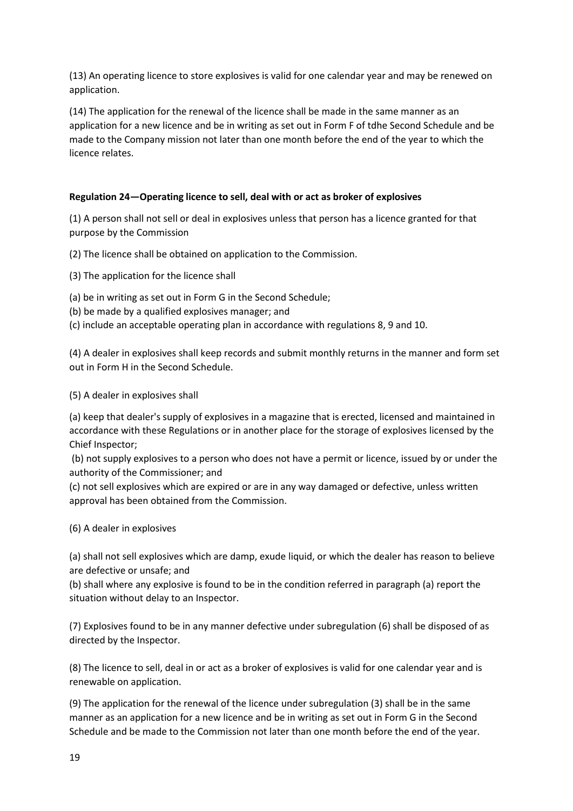(13) An operating licence to store explosives is valid for one calendar year and may be renewed on application.

(14) The application for the renewal of the licence shall be made in the same manner as an application for a new licence and be in writing as set out in Form F of tdhe Second Schedule and be made to the Company mission not later than one month before the end of the year to which the licence relates.

## **Regulation 24—Operating licence to sell, deal with or act as broker of explosives**

(1) A person shall not sell or deal in explosives unless that person has a licence granted for that purpose by the Commission

(2) The licence shall be obtained on application to the Commission.

(3) The application for the licence shall

(a) be in writing as set out in Form G in the Second Schedule;

- (b) be made by a qualified explosives manager; and
- (c) include an acceptable operating plan in accordance with regulations 8, 9 and 10.

(4) A dealer in explosives shall keep records and submit monthly returns in the manner and form set out in Form H in the Second Schedule.

(5) A dealer in explosives shall

(a) keep that dealer's supply of explosives in a magazine that is erected, licensed and maintained in accordance with these Regulations or in another place for the storage of explosives licensed by the Chief Inspector;

(b) not supply explosives to a person who does not have a permit or licence, issued by or under the authority of the Commissioner; and

(c) not sell explosives which are expired or are in any way damaged or defective, unless written approval has been obtained from the Commission.

(6) A dealer in explosives

(a) shall not sell explosives which are damp, exude liquid, or which the dealer has reason to believe are defective or unsafe; and

(b) shall where any explosive is found to be in the condition referred in paragraph (a) report the situation without delay to an Inspector.

(7) Explosives found to be in any manner defective under subregulation (6) shall be disposed of as directed by the Inspector.

(8) The licence to sell, deal in or act as a broker of explosives is valid for one calendar year and is renewable on application.

(9) The application for the renewal of the licence under subregulation (3) shall be in the same manner as an application for a new licence and be in writing as set out in Form G in the Second Schedule and be made to the Commission not later than one month before the end of the year.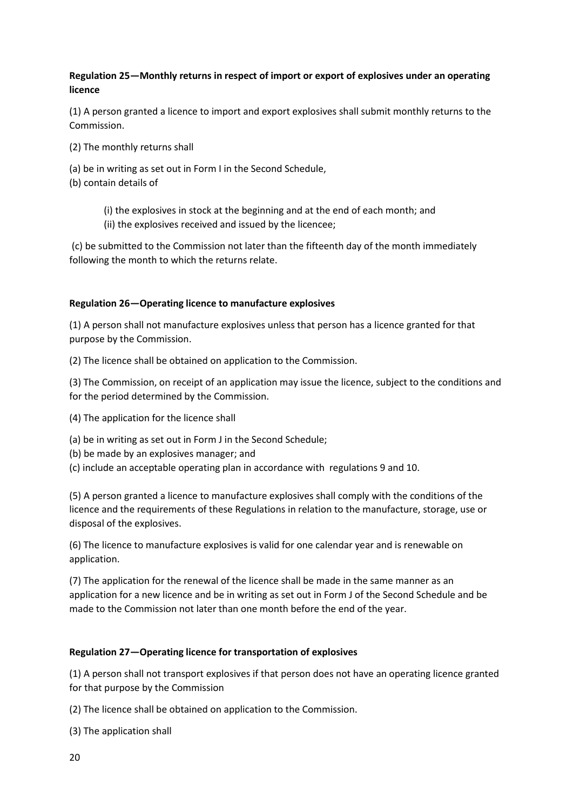## **Regulation 25—Monthly returns in respect of import or export of explosives under an operating licence**

(1) A person granted a licence to import and export explosives shall submit monthly returns to the Commission.

- (2) The monthly returns shall
- (a) be in writing as set out in Form I in the Second Schedule,
- (b) contain details of
	- (i) the explosives in stock at the beginning and at the end of each month; and (ii) the explosives received and issued by the licencee;

(c) be submitted to the Commission not later than the fifteenth day of the month immediately following the month to which the returns relate.

### **Regulation 26—Operating licence to manufacture explosives**

(1) A person shall not manufacture explosives unless that person has a licence granted for that purpose by the Commission.

(2) The licence shall be obtained on application to the Commission.

(3) The Commission, on receipt of an application may issue the licence, subject to the conditions and for the period determined by the Commission.

- (4) The application for the licence shall
- (a) be in writing as set out in Form J in the Second Schedule;
- (b) be made by an explosives manager; and

(c) include an acceptable operating plan in accordance with regulations 9 and 10.

(5) A person granted a licence to manufacture explosives shall comply with the conditions of the licence and the requirements of these Regulations in relation to the manufacture, storage, use or disposal of the explosives.

(6) The licence to manufacture explosives is valid for one calendar year and is renewable on application.

(7) The application for the renewal of the licence shall be made in the same manner as an application for a new licence and be in writing as set out in Form J of the Second Schedule and be made to the Commission not later than one month before the end of the year.

### **Regulation 27—Operating licence for transportation of explosives**

(1) A person shall not transport explosives if that person does not have an operating licence granted for that purpose by the Commission

(2) The licence shall be obtained on application to the Commission.

(3) The application shall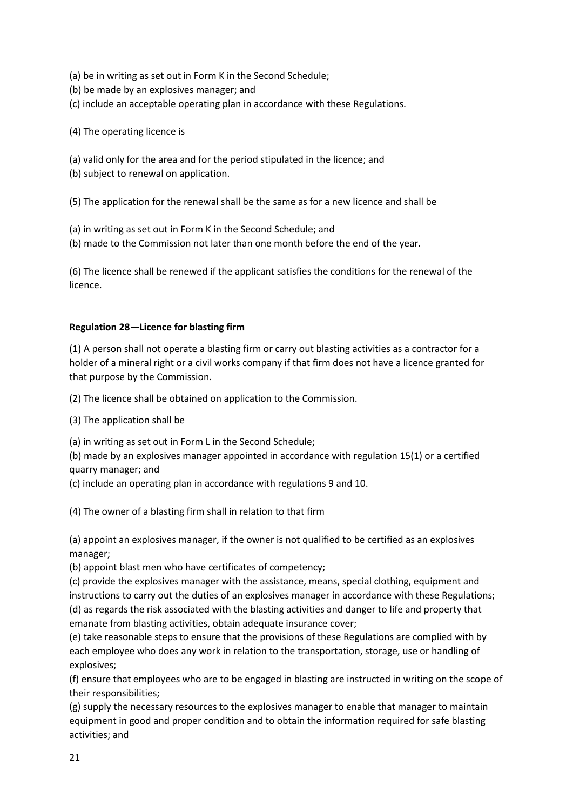- (a) be in writing as set out in Form K in the Second Schedule;
- (b) be made by an explosives manager; and
- (c) include an acceptable operating plan in accordance with these Regulations.
- (4) The operating licence is
- (a) valid only for the area and for the period stipulated in the licence; and
- (b) subject to renewal on application.

(5) The application for the renewal shall be the same as for a new licence and shall be

- (a) in writing as set out in Form K in the Second Schedule; and
- (b) made to the Commission not later than one month before the end of the year.

(6) The licence shall be renewed if the applicant satisfies the conditions for the renewal of the licence.

### **Regulation 28—Licence for blasting firm**

(1) A person shall not operate a blasting firm or carry out blasting activities as a contractor for a holder of a mineral right or a civil works company if that firm does not have a licence granted for that purpose by the Commission.

(2) The licence shall be obtained on application to the Commission.

(3) The application shall be

(a) in writing as set out in Form L in the Second Schedule;

(b) made by an explosives manager appointed in accordance with regulation 15(1) or a certified quarry manager; and

(c) include an operating plan in accordance with regulations 9 and 10.

(4) The owner of a blasting firm shall in relation to that firm

(a) appoint an explosives manager, if the owner is not qualified to be certified as an explosives manager;

(b) appoint blast men who have certificates of competency;

(c) provide the explosives manager with the assistance, means, special clothing, equipment and instructions to carry out the duties of an explosives manager in accordance with these Regulations; (d) as regards the risk associated with the blasting activities and danger to life and property that emanate from blasting activities, obtain adequate insurance cover;

(e) take reasonable steps to ensure that the provisions of these Regulations are complied with by each employee who does any work in relation to the transportation, storage, use or handling of explosives;

(f) ensure that employees who are to be engaged in blasting are instructed in writing on the scope of their responsibilities;

(g) supply the necessary resources to the explosives manager to enable that manager to maintain equipment in good and proper condition and to obtain the information required for safe blasting activities; and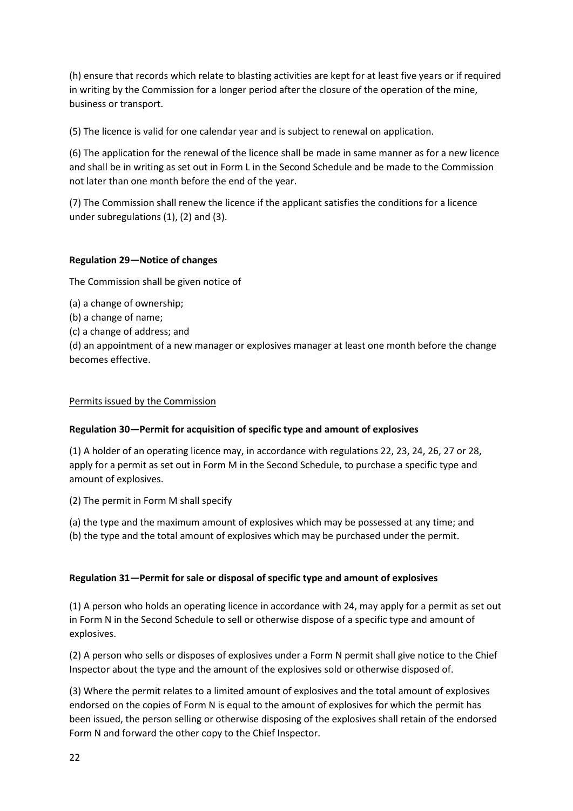(h) ensure that records which relate to blasting activities are kept for at least five years or if required in writing by the Commission for a longer period after the closure of the operation of the mine, business or transport.

(5) The licence is valid for one calendar year and is subject to renewal on application.

(6) The application for the renewal of the licence shall be made in same manner as for a new licence and shall be in writing as set out in Form L in the Second Schedule and be made to the Commission not later than one month before the end of the year.

(7) The Commission shall renew the licence if the applicant satisfies the conditions for a licence under subregulations (1), (2) and (3).

## **Regulation 29—Notice of changes**

The Commission shall be given notice of

(a) a change of ownership;

- (b) a change of name;
- (c) a change of address; and

(d) an appointment of a new manager or explosives manager at least one month before the change becomes effective.

### Permits issued by the Commission

### **Regulation 30—Permit for acquisition of specific type and amount of explosives**

(1) A holder of an operating licence may, in accordance with regulations 22, 23, 24, 26, 27 or 28, apply for a permit as set out in Form M in the Second Schedule, to purchase a specific type and amount of explosives.

(2) The permit in Form M shall specify

(a) the type and the maximum amount of explosives which may be possessed at any time; and

(b) the type and the total amount of explosives which may be purchased under the permit.

### **Regulation 31—Permit for sale or disposal of specific type and amount of explosives**

(1) A person who holds an operating licence in accordance with 24, may apply for a permit as set out in Form N in the Second Schedule to sell or otherwise dispose of a specific type and amount of explosives.

(2) A person who sells or disposes of explosives under a Form N permit shall give notice to the Chief Inspector about the type and the amount of the explosives sold or otherwise disposed of.

(3) Where the permit relates to a limited amount of explosives and the total amount of explosives endorsed on the copies of Form N is equal to the amount of explosives for which the permit has been issued, the person selling or otherwise disposing of the explosives shall retain of the endorsed Form N and forward the other copy to the Chief Inspector.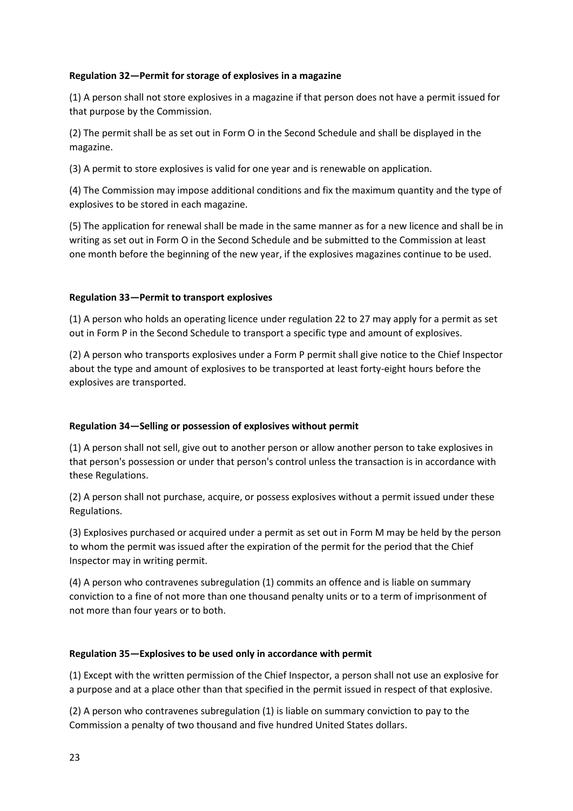### **Regulation 32—Permit for storage of explosives in a magazine**

(1) A person shall not store explosives in a magazine if that person does not have a permit issued for that purpose by the Commission.

(2) The permit shall be as set out in Form O in the Second Schedule and shall be displayed in the magazine.

(3) A permit to store explosives is valid for one year and is renewable on application.

(4) The Commission may impose additional conditions and fix the maximum quantity and the type of explosives to be stored in each magazine.

(5) The application for renewal shall be made in the same manner as for a new licence and shall be in writing as set out in Form O in the Second Schedule and be submitted to the Commission at least one month before the beginning of the new year, if the explosives magazines continue to be used.

## **Regulation 33—Permit to transport explosives**

(1) A person who holds an operating licence under regulation 22 to 27 may apply for a permit as set out in Form P in the Second Schedule to transport a specific type and amount of explosives.

(2) A person who transports explosives under a Form P permit shall give notice to the Chief Inspector about the type and amount of explosives to be transported at least forty-eight hours before the explosives are transported.

## **Regulation 34—Selling or possession of explosives without permit**

(1) A person shall not sell, give out to another person or allow another person to take explosives in that person's possession or under that person's control unless the transaction is in accordance with these Regulations.

(2) A person shall not purchase, acquire, or possess explosives without a permit issued under these Regulations.

(3) Explosives purchased or acquired under a permit as set out in Form M may be held by the person to whom the permit was issued after the expiration of the permit for the period that the Chief Inspector may in writing permit.

(4) A person who contravenes subregulation (1) commits an offence and is liable on summary conviction to a fine of not more than one thousand penalty units or to a term of imprisonment of not more than four years or to both.

### **Regulation 35—Explosives to be used only in accordance with permit**

(1) Except with the written permission of the Chief Inspector, a person shall not use an explosive for a purpose and at a place other than that specified in the permit issued in respect of that explosive.

(2) A person who contravenes subregulation (1) is liable on summary conviction to pay to the Commission a penalty of two thousand and five hundred United States dollars.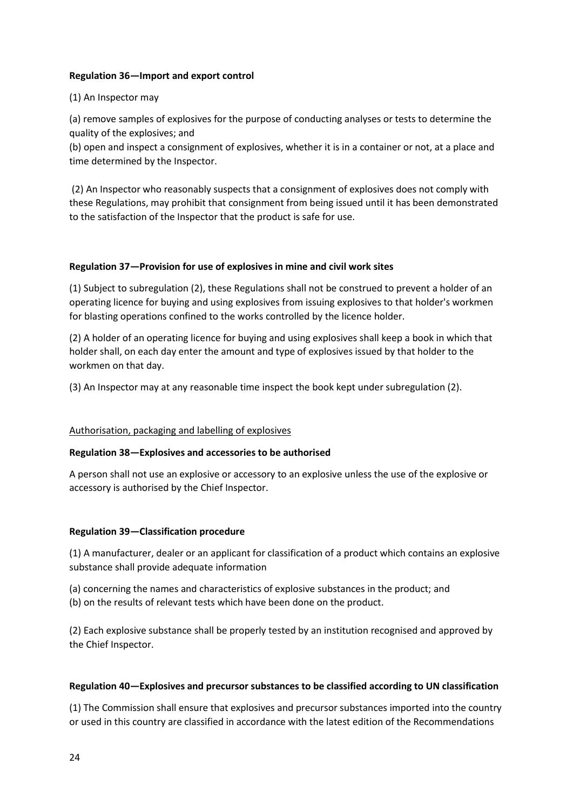## **Regulation 36—Import and export control**

## (1) An Inspector may

(a) remove samples of explosives for the purpose of conducting analyses or tests to determine the quality of the explosives; and

(b) open and inspect a consignment of explosives, whether it is in a container or not, at a place and time determined by the Inspector.

(2) An Inspector who reasonably suspects that a consignment of explosives does not comply with these Regulations, may prohibit that consignment from being issued until it has been demonstrated to the satisfaction of the Inspector that the product is safe for use.

### **Regulation 37—Provision for use of explosives in mine and civil work sites**

(1) Subject to subregulation (2), these Regulations shall not be construed to prevent a holder of an operating licence for buying and using explosives from issuing explosives to that holder's workmen for blasting operations confined to the works controlled by the licence holder.

(2) A holder of an operating licence for buying and using explosives shall keep a book in which that holder shall, on each day enter the amount and type of explosives issued by that holder to the workmen on that day.

(3) An Inspector may at any reasonable time inspect the book kept under subregulation (2).

### Authorisation, packaging and labelling of explosives

### **Regulation 38—Explosives and accessories to be authorised**

A person shall not use an explosive or accessory to an explosive unless the use of the explosive or accessory is authorised by the Chief Inspector.

### **Regulation 39—Classification procedure**

(1) A manufacturer, dealer or an applicant for classification of a product which contains an explosive substance shall provide adequate information

(a) concerning the names and characteristics of explosive substances in the product; and (b) on the results of relevant tests which have been done on the product.

(2) Each explosive substance shall be properly tested by an institution recognised and approved by the Chief Inspector.

### **Regulation 40—Explosives and precursor substances to be classified according to UN classification**

(1) The Commission shall ensure that explosives and precursor substances imported into the country or used in this country are classified in accordance with the latest edition of the Recommendations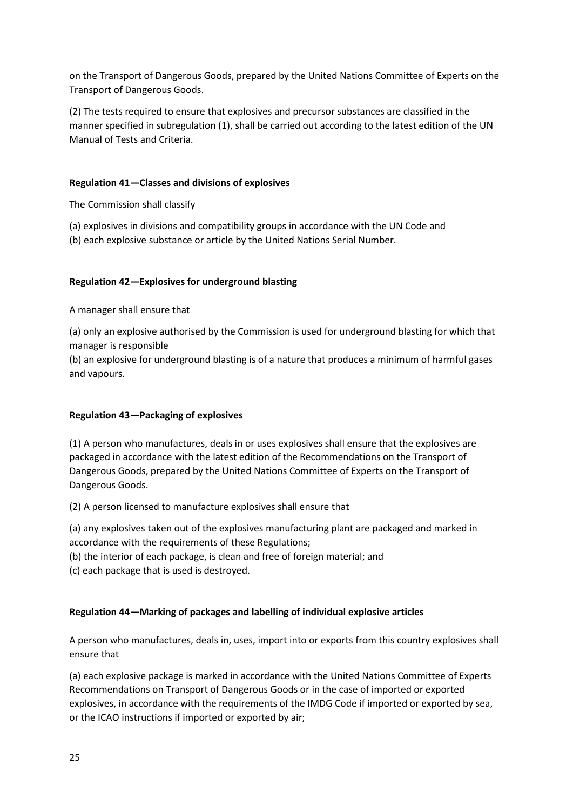on the Transport of Dangerous Goods, prepared by the United Nations Committee of Experts on the Transport of Dangerous Goods.

(2) The tests required to ensure that explosives and precursor substances are classified in the manner specified in subregulation (1), shall be carried out according to the latest edition of the UN Manual of Tests and Criteria.

## **Regulation 41—Classes and divisions of explosives**

The Commission shall classify

- (a) explosives in divisions and compatibility groups in accordance with the UN Code and
- (b) each explosive substance or article by the United Nations Serial Number.

## **Regulation 42—Explosives for underground blasting**

A manager shall ensure that

(a) only an explosive authorised by the Commission is used for underground blasting for which that manager is responsible

(b) an explosive for underground blasting is of a nature that produces a minimum of harmful gases and vapours.

## **Regulation 43—Packaging of explosives**

(1) A person who manufactures, deals in or uses explosives shall ensure that the explosives are packaged in accordance with the latest edition of the Recommendations on the Transport of Dangerous Goods, prepared by the United Nations Committee of Experts on the Transport of Dangerous Goods.

(2) A person licensed to manufacture explosives shall ensure that

(a) any explosives taken out of the explosives manufacturing plant are packaged and marked in accordance with the requirements of these Regulations;

(b) the interior of each package, is clean and free of foreign material; and

(c) each package that is used is destroyed.

## **Regulation 44—Marking of packages and labelling of individual explosive articles**

A person who manufactures, deals in, uses, import into or exports from this country explosives shall ensure that

(a) each explosive package is marked in accordance with the United Nations Committee of Experts Recommendations on Transport of Dangerous Goods or in the case of imported or exported explosives, in accordance with the requirements of the IMDG Code if imported or exported by sea, or the ICAO instructions if imported or exported by air;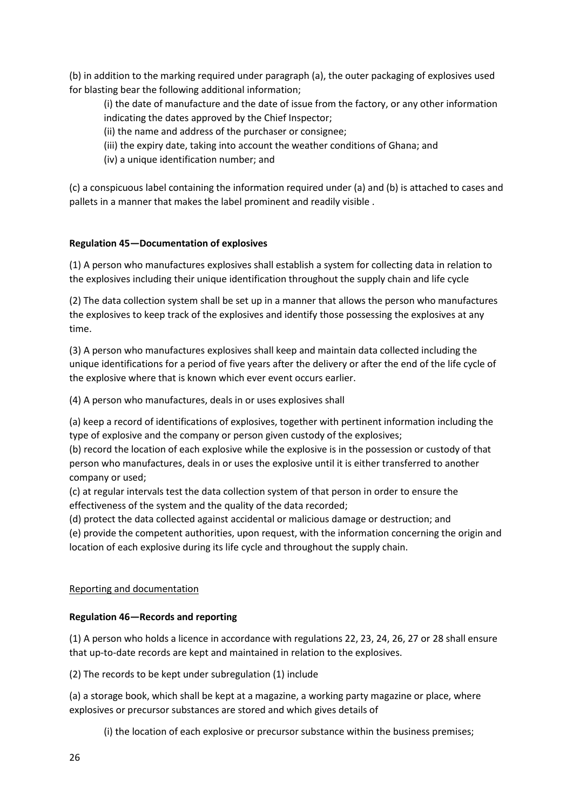(b) in addition to the marking required under paragraph (a), the outer packaging of explosives used for blasting bear the following additional information;

(i) the date of manufacture and the date of issue from the factory, or any other information indicating the dates approved by the Chief Inspector;

- (ii) the name and address of the purchaser or consignee;
- (iii) the expiry date, taking into account the weather conditions of Ghana; and
- (iv) a unique identification number; and

(c) a conspicuous label containing the information required under (a) and (b) is attached to cases and pallets in a manner that makes the label prominent and readily visible .

## **Regulation 45—Documentation of explosives**

(1) A person who manufactures explosives shall establish a system for collecting data in relation to the explosives including their unique identification throughout the supply chain and life cycle

(2) The data collection system shall be set up in a manner that allows the person who manufactures the explosives to keep track of the explosives and identify those possessing the explosives at any time.

(3) A person who manufactures explosives shall keep and maintain data collected including the unique identifications for a period of five years after the delivery or after the end of the life cycle of the explosive where that is known which ever event occurs earlier.

(4) A person who manufactures, deals in or uses explosives shall

(a) keep a record of identifications of explosives, together with pertinent information including the type of explosive and the company or person given custody of the explosives;

(b) record the location of each explosive while the explosive is in the possession or custody of that person who manufactures, deals in or uses the explosive until it is either transferred to another company or used;

(c) at regular intervals test the data collection system of that person in order to ensure the effectiveness of the system and the quality of the data recorded;

(d) protect the data collected against accidental or malicious damage or destruction; and

(e) provide the competent authorities, upon request, with the information concerning the origin and location of each explosive during its life cycle and throughout the supply chain.

## Reporting and documentation

## **Regulation 46—Records and reporting**

(1) A person who holds a licence in accordance with regulations 22, 23, 24, 26, 27 or 28 shall ensure that up-to-date records are kept and maintained in relation to the explosives.

(2) The records to be kept under subregulation (1) include

(a) a storage book, which shall be kept at a magazine, a working party magazine or place, where explosives or precursor substances are stored and which gives details of

(i) the location of each explosive or precursor substance within the business premises;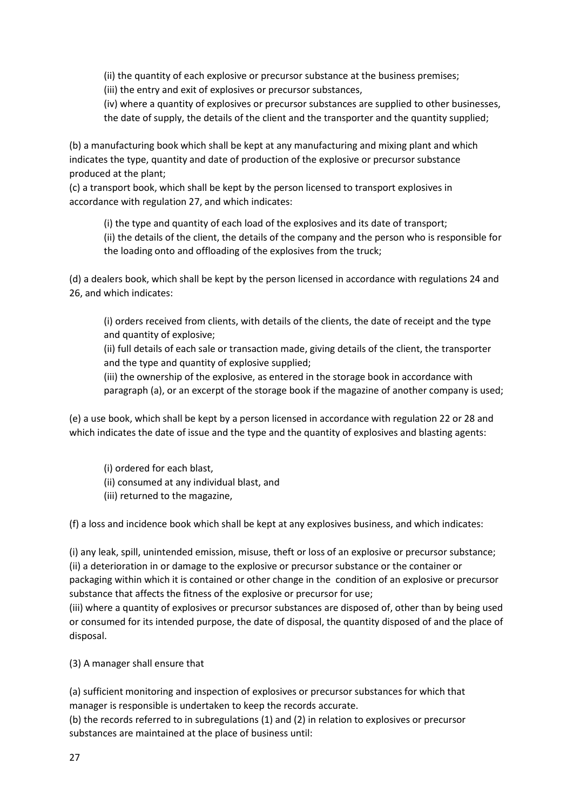(ii) the quantity of each explosive or precursor substance at the business premises;

(iii) the entry and exit of explosives or precursor substances,

(iv) where a quantity of explosives or precursor substances are supplied to other businesses, the date of supply, the details of the client and the transporter and the quantity supplied;

(b) a manufacturing book which shall be kept at any manufacturing and mixing plant and which indicates the type, quantity and date of production of the explosive or precursor substance produced at the plant;

(c) a transport book, which shall be kept by the person licensed to transport explosives in accordance with regulation 27, and which indicates:

(i) the type and quantity of each load of the explosives and its date of transport; (ii) the details of the client, the details of the company and the person who is responsible for the loading onto and offloading of the explosives from the truck;

(d) a dealers book, which shall be kept by the person licensed in accordance with regulations 24 and 26, and which indicates:

(i) orders received from clients, with details of the clients, the date of receipt and the type and quantity of explosive;

(ii) full details of each sale or transaction made, giving details of the client, the transporter and the type and quantity of explosive supplied;

(iii) the ownership of the explosive, as entered in the storage book in accordance with paragraph (a), or an excerpt of the storage book if the magazine of another company is used;

(e) a use book, which shall be kept by a person licensed in accordance with regulation 22 or 28 and which indicates the date of issue and the type and the quantity of explosives and blasting agents:

- (i) ordered for each blast,
- (ii) consumed at any individual blast, and
- (iii) returned to the magazine,

(f) a loss and incidence book which shall be kept at any explosives business, and which indicates:

(i) any leak, spill, unintended emission, misuse, theft or loss of an explosive or precursor substance; (ii) a deterioration in or damage to the explosive or precursor substance or the container or packaging within which it is contained or other change in the condition of an explosive or precursor substance that affects the fitness of the explosive or precursor for use;

(iii) where a quantity of explosives or precursor substances are disposed of, other than by being used or consumed for its intended purpose, the date of disposal, the quantity disposed of and the place of disposal.

(3) A manager shall ensure that

(a) sufficient monitoring and inspection of explosives or precursor substances for which that manager is responsible is undertaken to keep the records accurate.

(b) the records referred to in subregulations (1) and (2) in relation to explosives or precursor substances are maintained at the place of business until: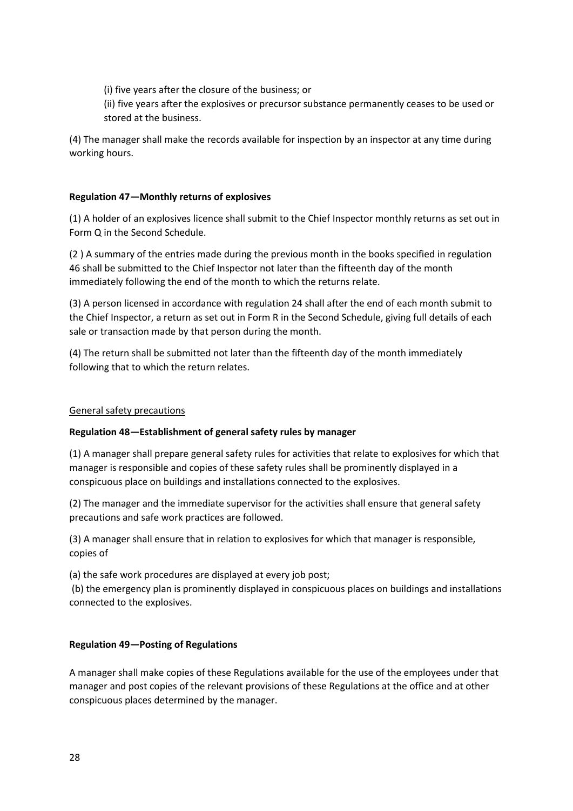(i) five years after the closure of the business; or

(ii) five years after the explosives or precursor substance permanently ceases to be used or stored at the business.

(4) The manager shall make the records available for inspection by an inspector at any time during working hours.

## **Regulation 47—Monthly returns of explosives**

(1) A holder of an explosives licence shall submit to the Chief Inspector monthly returns as set out in Form Q in the Second Schedule.

(2 ) A summary of the entries made during the previous month in the books specified in regulation 46 shall be submitted to the Chief Inspector not later than the fifteenth day of the month immediately following the end of the month to which the returns relate.

(3) A person licensed in accordance with regulation 24 shall after the end of each month submit to the Chief Inspector, a return as set out in Form R in the Second Schedule, giving full details of each sale or transaction made by that person during the month.

(4) The return shall be submitted not later than the fifteenth day of the month immediately following that to which the return relates.

### General safety precautions

## **Regulation 48—Establishment of general safety rules by manager**

(1) A manager shall prepare general safety rules for activities that relate to explosives for which that manager is responsible and copies of these safety rules shall be prominently displayed in a conspicuous place on buildings and installations connected to the explosives.

(2) The manager and the immediate supervisor for the activities shall ensure that general safety precautions and safe work practices are followed.

(3) A manager shall ensure that in relation to explosives for which that manager is responsible, copies of

(a) the safe work procedures are displayed at every job post;

(b) the emergency plan is prominently displayed in conspicuous places on buildings and installations connected to the explosives.

### **Regulation 49—Posting of Regulations**

A manager shall make copies of these Regulations available for the use of the employees under that manager and post copies of the relevant provisions of these Regulations at the office and at other conspicuous places determined by the manager.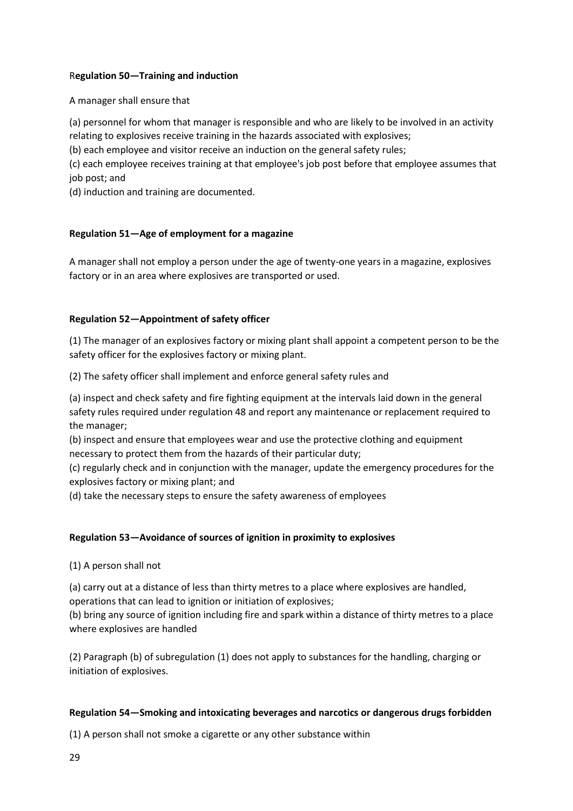## R**egulation 50—Training and induction**

A manager shall ensure that

(a) personnel for whom that manager is responsible and who are likely to be involved in an activity relating to explosives receive training in the hazards associated with explosives;

(b) each employee and visitor receive an induction on the general safety rules;

(c) each employee receives training at that employee's job post before that employee assumes that job post; and

(d) induction and training are documented.

## **Regulation 51—Age of employment for a magazine**

A manager shall not employ a person under the age of twenty-one years in a magazine, explosives factory or in an area where explosives are transported or used.

## **Regulation 52—Appointment of safety officer**

(1) The manager of an explosives factory or mixing plant shall appoint a competent person to be the safety officer for the explosives factory or mixing plant.

(2) The safety officer shall implement and enforce general safety rules and

(a) inspect and check safety and fire fighting equipment at the intervals laid down in the general safety rules required under regulation 48 and report any maintenance or replacement required to the manager;

(b) inspect and ensure that employees wear and use the protective clothing and equipment necessary to protect them from the hazards of their particular duty;

(c) regularly check and in conjunction with the manager, update the emergency procedures for the explosives factory or mixing plant; and

(d) take the necessary steps to ensure the safety awareness of employees

## **Regulation 53—Avoidance of sources of ignition in proximity to explosives**

(1) A person shall not

(a) carry out at a distance of less than thirty metres to a place where explosives are handled, operations that can lead to ignition or initiation of explosives;

(b) bring any source of ignition including fire and spark within a distance of thirty metres to a place where explosives are handled

(2) Paragraph (b) of subregulation (1) does not apply to substances for the handling, charging or initiation of explosives.

### **Regulation 54—Smoking and intoxicating beverages and narcotics or dangerous drugs forbidden**

(1) A person shall not smoke a cigarette or any other substance within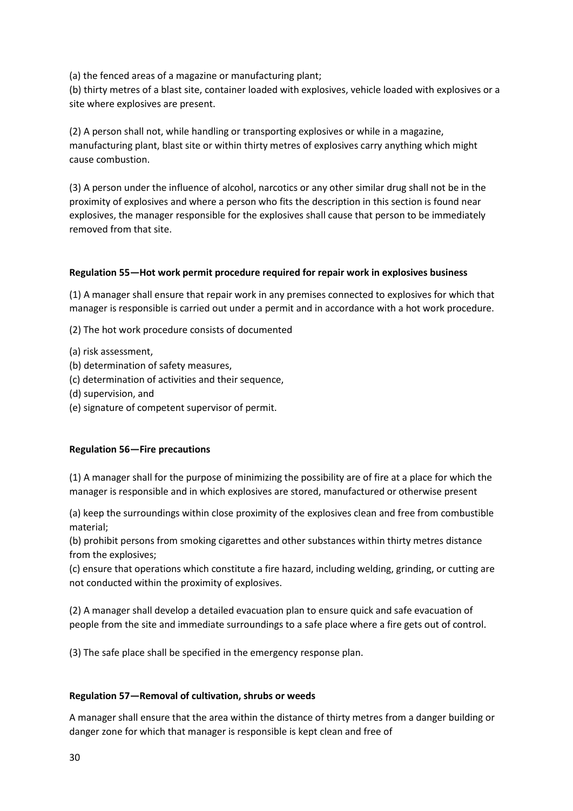(a) the fenced areas of a magazine or manufacturing plant;

(b) thirty metres of a blast site, container loaded with explosives, vehicle loaded with explosives or a site where explosives are present.

(2) A person shall not, while handling or transporting explosives or while in a magazine, manufacturing plant, blast site or within thirty metres of explosives carry anything which might cause combustion.

(3) A person under the influence of alcohol, narcotics or any other similar drug shall not be in the proximity of explosives and where a person who fits the description in this section is found near explosives, the manager responsible for the explosives shall cause that person to be immediately removed from that site.

## **Regulation 55—Hot work permit procedure required for repair work in explosives business**

(1) A manager shall ensure that repair work in any premises connected to explosives for which that manager is responsible is carried out under a permit and in accordance with a hot work procedure.

(2) The hot work procedure consists of documented

- (a) risk assessment,
- (b) determination of safety measures,
- (c) determination of activities and their sequence,
- (d) supervision, and
- (e) signature of competent supervisor of permit.

### **Regulation 56—Fire precautions**

(1) A manager shall for the purpose of minimizing the possibility are of fire at a place for which the manager is responsible and in which explosives are stored, manufactured or otherwise present

(a) keep the surroundings within close proximity of the explosives clean and free from combustible material;

(b) prohibit persons from smoking cigarettes and other substances within thirty metres distance from the explosives;

(c) ensure that operations which constitute a fire hazard, including welding, grinding, or cutting are not conducted within the proximity of explosives.

(2) A manager shall develop a detailed evacuation plan to ensure quick and safe evacuation of people from the site and immediate surroundings to a safe place where a fire gets out of control.

(3) The safe place shall be specified in the emergency response plan.

### **Regulation 57—Removal of cultivation, shrubs or weeds**

A manager shall ensure that the area within the distance of thirty metres from a danger building or danger zone for which that manager is responsible is kept clean and free of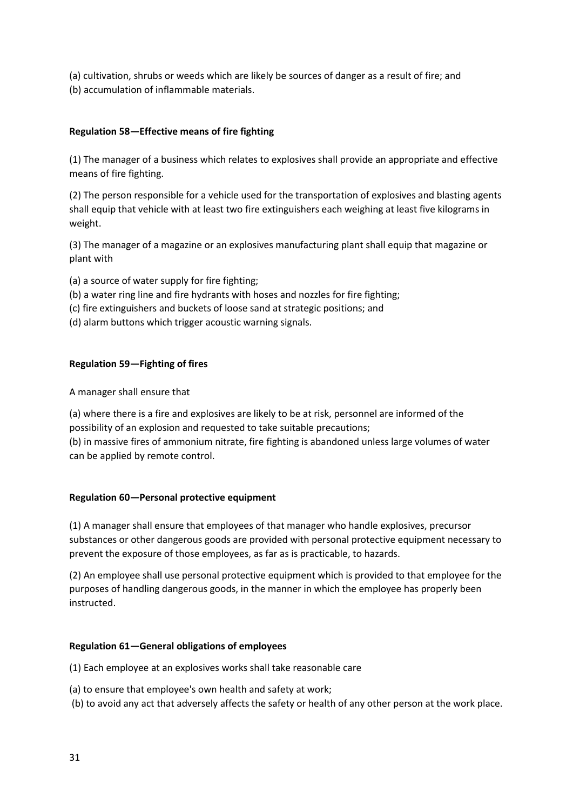(a) cultivation, shrubs or weeds which are likely be sources of danger as a result of fire; and (b) accumulation of inflammable materials.

# **Regulation 58—Effective means of fire fighting**

(1) The manager of a business which relates to explosives shall provide an appropriate and effective means of fire fighting.

(2) The person responsible for a vehicle used for the transportation of explosives and blasting agents shall equip that vehicle with at least two fire extinguishers each weighing at least five kilograms in weight.

(3) The manager of a magazine or an explosives manufacturing plant shall equip that magazine or plant with

- (a) a source of water supply for fire fighting;
- (b) a water ring line and fire hydrants with hoses and nozzles for fire fighting;
- (c) fire extinguishers and buckets of loose sand at strategic positions; and
- (d) alarm buttons which trigger acoustic warning signals.

## **Regulation 59—Fighting of fires**

## A manager shall ensure that

(a) where there is a fire and explosives are likely to be at risk, personnel are informed of the possibility of an explosion and requested to take suitable precautions; (b) in massive fires of ammonium nitrate, fire fighting is abandoned unless large volumes of water can be applied by remote control.

## **Regulation 60—Personal protective equipment**

(1) A manager shall ensure that employees of that manager who handle explosives, precursor substances or other dangerous goods are provided with personal protective equipment necessary to prevent the exposure of those employees, as far as is practicable, to hazards.

(2) An employee shall use personal protective equipment which is provided to that employee for the purposes of handling dangerous goods, in the manner in which the employee has properly been instructed.

## **Regulation 61—General obligations of employees**

(1) Each employee at an explosives works shall take reasonable care

(a) to ensure that employee's own health and safety at work;

(b) to avoid any act that adversely affects the safety or health of any other person at the work place.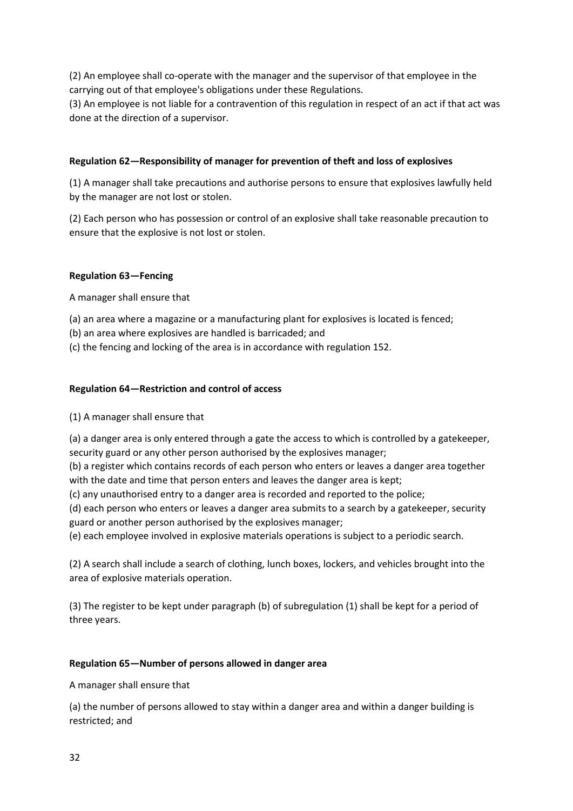(2) An employee shall co-operate with the manager and the supervisor of that employee in the carrying out of that employee's obligations under these Regulations.

(3) An employee is not liable for a contravention of this regulation in respect of an act if that act was done at the direction of a supervisor.

## **Regulation 62—Responsibility of manager for prevention of theft and loss of explosives**

(1) A manager shall take precautions and authorise persons to ensure that explosives lawfully held by the manager are not lost or stolen.

(2) Each person who has possession or control of an explosive shall take reasonable precaution to ensure that the explosive is not lost or stolen.

### **Regulation 63—Fencing**

A manager shall ensure that

(a) an area where a magazine or a manufacturing plant for explosives is located is fenced;

- (b) an area where explosives are handled is barricaded; and
- (c) the fencing and locking of the area is in accordance with regulation 152.

## **Regulation 64—Restriction and control of access**

### (1) A manager shall ensure that

(a) a danger area is only entered through a gate the access to which is controlled by a gatekeeper, security guard or any other person authorised by the explosives manager;

(b) a register which contains records of each person who enters or leaves a danger area together with the date and time that person enters and leaves the danger area is kept;

(c) any unauthorised entry to a danger area is recorded and reported to the police;

(d) each person who enters or leaves a danger area submits to a search by a gatekeeper, security guard or another person authorised by the explosives manager;

(e) each employee involved in explosive materials operations is subject to a periodic search.

(2) A search shall include a search of clothing, lunch boxes, lockers, and vehicles brought into the area of explosive materials operation.

(3) The register to be kept under paragraph (b) of subregulation (1) shall be kept for a period of three years.

### **Regulation 65—Number of persons allowed in danger area**

A manager shall ensure that

(a) the number of persons allowed to stay within a danger area and within a danger building is restricted; and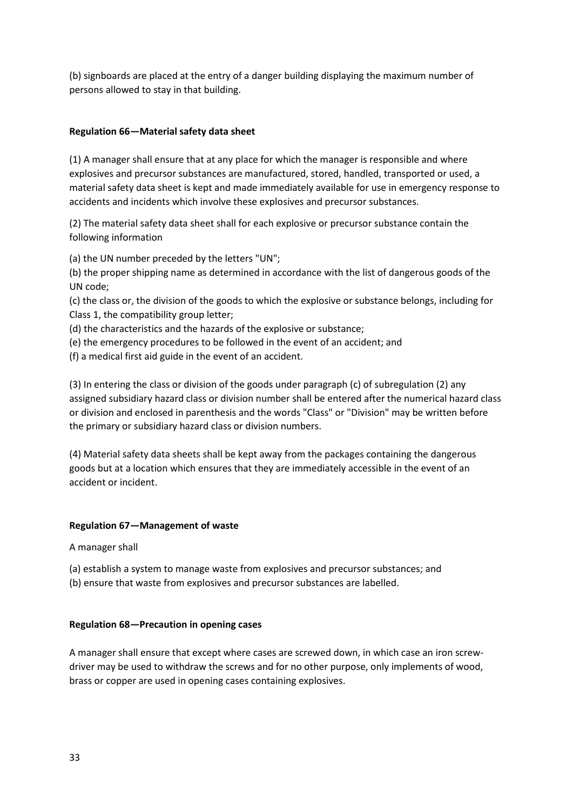(b) signboards are placed at the entry of a danger building displaying the maximum number of persons allowed to stay in that building.

## **Regulation 66—Material safety data sheet**

(1) A manager shall ensure that at any place for which the manager is responsible and where explosives and precursor substances are manufactured, stored, handled, transported or used, a material safety data sheet is kept and made immediately available for use in emergency response to accidents and incidents which involve these explosives and precursor substances.

(2) The material safety data sheet shall for each explosive or precursor substance contain the following information

(a) the UN number preceded by the letters "UN";

(b) the proper shipping name as determined in accordance with the list of dangerous goods of the UN code;

(c) the class or, the division of the goods to which the explosive or substance belongs, including for Class 1, the compatibility group letter;

- (d) the characteristics and the hazards of the explosive or substance;
- (e) the emergency procedures to be followed in the event of an accident; and
- (f) a medical first aid guide in the event of an accident.

(3) In entering the class or division of the goods under paragraph (c) of subregulation (2) any assigned subsidiary hazard class or division number shall be entered after the numerical hazard class or division and enclosed in parenthesis and the words "Class" or "Division" may be written before the primary or subsidiary hazard class or division numbers.

(4) Material safety data sheets shall be kept away from the packages containing the dangerous goods but at a location which ensures that they are immediately accessible in the event of an accident or incident.

### **Regulation 67—Management of waste**

A manager shall

- (a) establish a system to manage waste from explosives and precursor substances; and
- (b) ensure that waste from explosives and precursor substances are labelled.

### **Regulation 68—Precaution in opening cases**

A manager shall ensure that except where cases are screwed down, in which case an iron screwdriver may be used to withdraw the screws and for no other purpose, only implements of wood, brass or copper are used in opening cases containing explosives.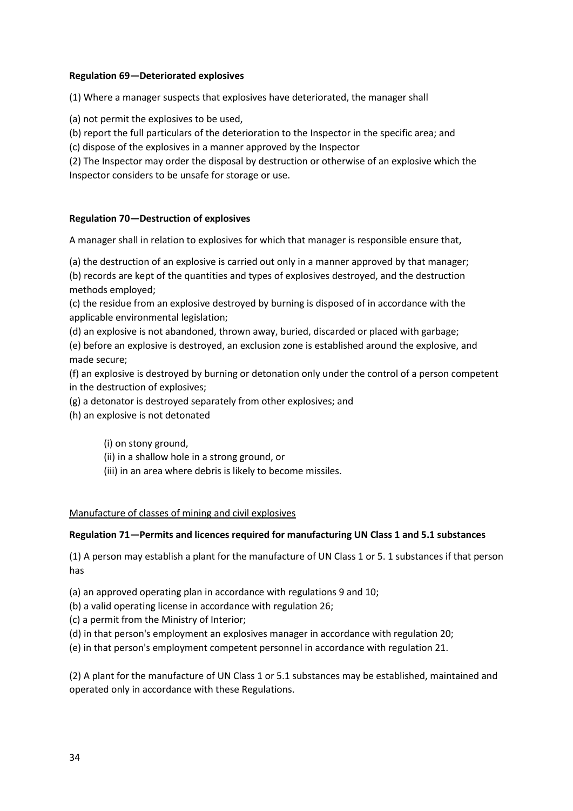### **Regulation 69—Deteriorated explosives**

(1) Where a manager suspects that explosives have deteriorated, the manager shall

(a) not permit the explosives to be used,

(b) report the full particulars of the deterioration to the Inspector in the specific area; and

(c) dispose of the explosives in a manner approved by the Inspector

(2) The Inspector may order the disposal by destruction or otherwise of an explosive which the Inspector considers to be unsafe for storage or use.

## **Regulation 70—Destruction of explosives**

A manager shall in relation to explosives for which that manager is responsible ensure that,

(a) the destruction of an explosive is carried out only in a manner approved by that manager;

(b) records are kept of the quantities and types of explosives destroyed, and the destruction methods employed;

(c) the residue from an explosive destroyed by burning is disposed of in accordance with the applicable environmental legislation;

(d) an explosive is not abandoned, thrown away, buried, discarded or placed with garbage;

(e) before an explosive is destroyed, an exclusion zone is established around the explosive, and made secure;

(f) an explosive is destroyed by burning or detonation only under the control of a person competent in the destruction of explosives;

(g) a detonator is destroyed separately from other explosives; and

(h) an explosive is not detonated

(i) on stony ground,

(ii) in a shallow hole in a strong ground, or

(iii) in an area where debris is likely to become missiles.

### Manufacture of classes of mining and civil explosives

### **Regulation 71—Permits and licences required for manufacturing UN Class 1 and 5.1 substances**

(1) A person may establish a plant for the manufacture of UN Class 1 or 5. 1 substances if that person has

(a) an approved operating plan in accordance with regulations 9 and 10;

(b) a valid operating license in accordance with regulation 26;

(c) a permit from the Ministry of Interior;

(d) in that person's employment an explosives manager in accordance with regulation 20;

(e) in that person's employment competent personnel in accordance with regulation 21.

(2) A plant for the manufacture of UN Class 1 or 5.1 substances may be established, maintained and operated only in accordance with these Regulations.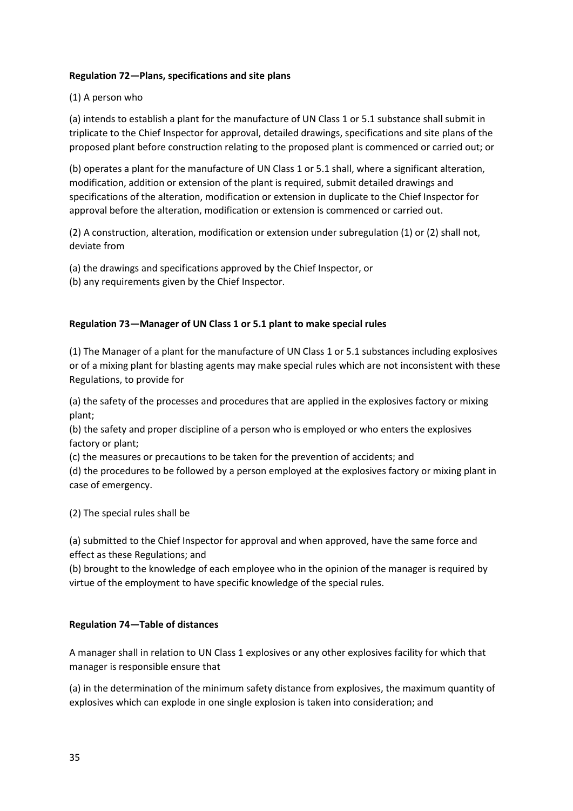## **Regulation 72—Plans, specifications and site plans**

## (1) A person who

(a) intends to establish a plant for the manufacture of UN Class 1 or 5.1 substance shall submit in triplicate to the Chief Inspector for approval, detailed drawings, specifications and site plans of the proposed plant before construction relating to the proposed plant is commenced or carried out; or

(b) operates a plant for the manufacture of UN Class 1 or 5.1 shall, where a significant alteration, modification, addition or extension of the plant is required, submit detailed drawings and specifications of the alteration, modification or extension in duplicate to the Chief Inspector for approval before the alteration, modification or extension is commenced or carried out.

(2) A construction, alteration, modification or extension under subregulation (1) or (2) shall not, deviate from

(a) the drawings and specifications approved by the Chief Inspector, or

(b) any requirements given by the Chief Inspector.

## **Regulation 73—Manager of UN Class 1 or 5.1 plant to make special rules**

(1) The Manager of a plant for the manufacture of UN Class 1 or 5.1 substances including explosives or of a mixing plant for blasting agents may make special rules which are not inconsistent with these Regulations, to provide for

(a) the safety of the processes and procedures that are applied in the explosives factory or mixing plant;

(b) the safety and proper discipline of a person who is employed or who enters the explosives factory or plant;

(c) the measures or precautions to be taken for the prevention of accidents; and

(d) the procedures to be followed by a person employed at the explosives factory or mixing plant in case of emergency.

(2) The special rules shall be

(a) submitted to the Chief Inspector for approval and when approved, have the same force and effect as these Regulations; and

(b) brought to the knowledge of each employee who in the opinion of the manager is required by virtue of the employment to have specific knowledge of the special rules.

### **Regulation 74—Table of distances**

A manager shall in relation to UN Class 1 explosives or any other explosives facility for which that manager is responsible ensure that

(a) in the determination of the minimum safety distance from explosives, the maximum quantity of explosives which can explode in one single explosion is taken into consideration; and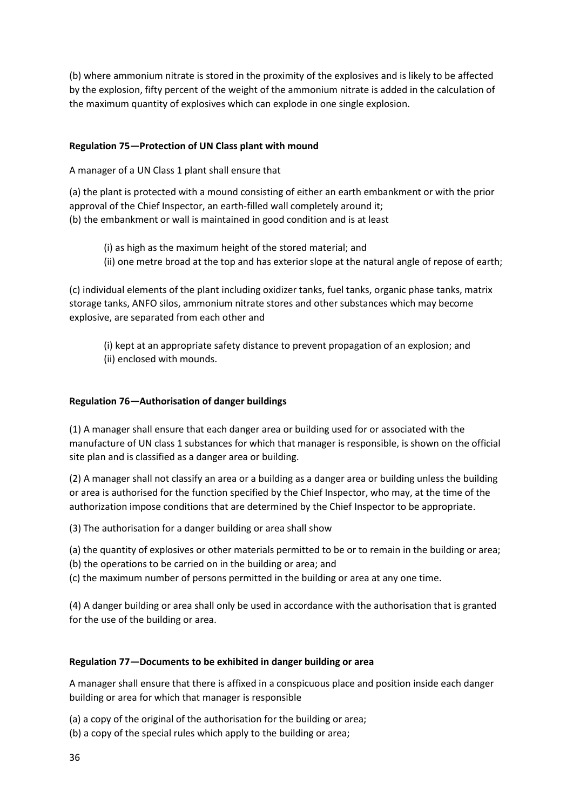(b) where ammonium nitrate is stored in the proximity of the explosives and is likely to be affected by the explosion, fifty percent of the weight of the ammonium nitrate is added in the calculation of the maximum quantity of explosives which can explode in one single explosion.

## **Regulation 75—Protection of UN Class plant with mound**

A manager of a UN Class 1 plant shall ensure that

(a) the plant is protected with a mound consisting of either an earth embankment or with the prior approval of the Chief Inspector, an earth-filled wall completely around it; (b) the embankment or wall is maintained in good condition and is at least

(i) as high as the maximum height of the stored material; and (ii) one metre broad at the top and has exterior slope at the natural angle of repose of earth;

(c) individual elements of the plant including oxidizer tanks, fuel tanks, organic phase tanks, matrix storage tanks, ANFO silos, ammonium nitrate stores and other substances which may become explosive, are separated from each other and

(i) kept at an appropriate safety distance to prevent propagation of an explosion; and (ii) enclosed with mounds.

## **Regulation 76—Authorisation of danger buildings**

(1) A manager shall ensure that each danger area or building used for or associated with the manufacture of UN class 1 substances for which that manager is responsible, is shown on the official site plan and is classified as a danger area or building.

(2) A manager shall not classify an area or a building as a danger area or building unless the building or area is authorised for the function specified by the Chief Inspector, who may, at the time of the authorization impose conditions that are determined by the Chief Inspector to be appropriate.

(3) The authorisation for a danger building or area shall show

(a) the quantity of explosives or other materials permitted to be or to remain in the building or area;

(b) the operations to be carried on in the building or area; and

(c) the maximum number of persons permitted in the building or area at any one time.

(4) A danger building or area shall only be used in accordance with the authorisation that is granted for the use of the building or area.

## **Regulation 77—Documents to be exhibited in danger building or area**

A manager shall ensure that there is affixed in a conspicuous place and position inside each danger building or area for which that manager is responsible

(a) a copy of the original of the authorisation for the building or area;

(b) a copy of the special rules which apply to the building or area;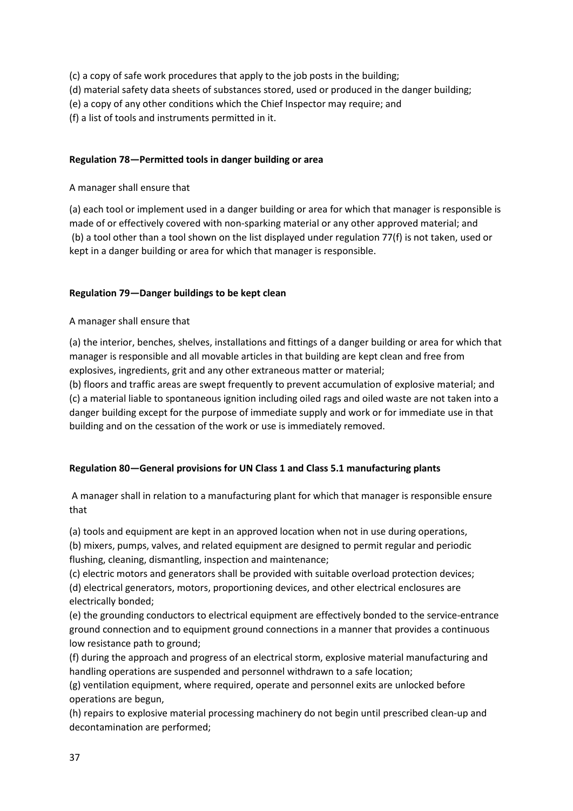(c) a copy of safe work procedures that apply to the job posts in the building;

- (d) material safety data sheets of substances stored, used or produced in the danger building;
- (e) a copy of any other conditions which the Chief Inspector may require; and

(f) a list of tools and instruments permitted in it.

# **Regulation 78—Permitted tools in danger building or area**

# A manager shall ensure that

(a) each tool or implement used in a danger building or area for which that manager is responsible is made of or effectively covered with non-sparking material or any other approved material; and (b) a tool other than a tool shown on the list displayed under regulation 77(f) is not taken, used or kept in a danger building or area for which that manager is responsible.

# **Regulation 79—Danger buildings to be kept clean**

# A manager shall ensure that

(a) the interior, benches, shelves, installations and fittings of a danger building or area for which that manager is responsible and all movable articles in that building are kept clean and free from explosives, ingredients, grit and any other extraneous matter or material;

(b) floors and traffic areas are swept frequently to prevent accumulation of explosive material; and (c) a material liable to spontaneous ignition including oiled rags and oiled waste are not taken into a danger building except for the purpose of immediate supply and work or for immediate use in that building and on the cessation of the work or use is immediately removed.

# **Regulation 80—General provisions for UN Class 1 and Class 5.1 manufacturing plants**

A manager shall in relation to a manufacturing plant for which that manager is responsible ensure that

(a) tools and equipment are kept in an approved location when not in use during operations,

(b) mixers, pumps, valves, and related equipment are designed to permit regular and periodic flushing, cleaning, dismantling, inspection and maintenance;

(c) electric motors and generators shall be provided with suitable overload protection devices;

(d) electrical generators, motors, proportioning devices, and other electrical enclosures are electrically bonded;

(e) the grounding conductors to electrical equipment are effectively bonded to the service-entrance ground connection and to equipment ground connections in a manner that provides a continuous low resistance path to ground;

(f) during the approach and progress of an electrical storm, explosive material manufacturing and handling operations are suspended and personnel withdrawn to a safe location;

(g) ventilation equipment, where required, operate and personnel exits are unlocked before operations are begun,

(h) repairs to explosive material processing machinery do not begin until prescribed clean-up and decontamination are performed;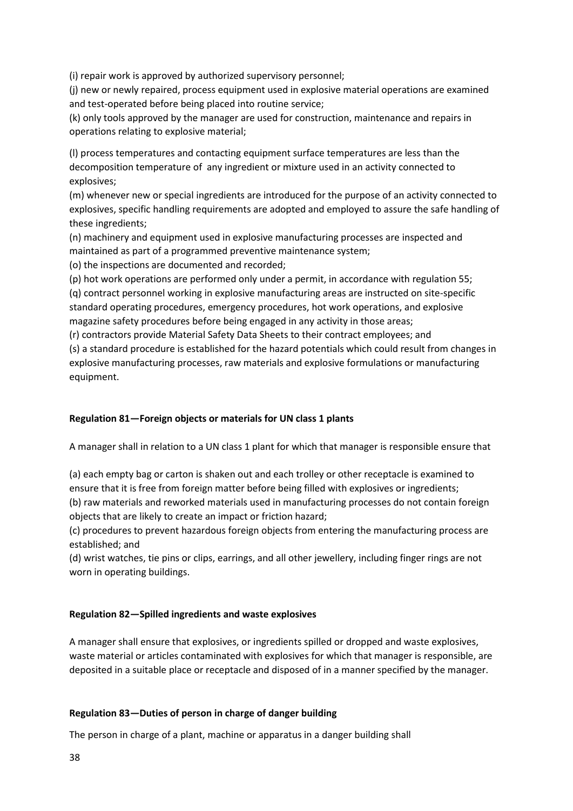(i) repair work is approved by authorized supervisory personnel;

(j) new or newly repaired, process equipment used in explosive material operations are examined and test-operated before being placed into routine service;

(k) only tools approved by the manager are used for construction, maintenance and repairs in operations relating to explosive material;

(l) process temperatures and contacting equipment surface temperatures are less than the decomposition temperature of any ingredient or mixture used in an activity connected to explosives;

(m) whenever new or special ingredients are introduced for the purpose of an activity connected to explosives, specific handling requirements are adopted and employed to assure the safe handling of these ingredients;

(n) machinery and equipment used in explosive manufacturing processes are inspected and maintained as part of a programmed preventive maintenance system;

(o) the inspections are documented and recorded;

(p) hot work operations are performed only under a permit, in accordance with regulation 55;

(q) contract personnel working in explosive manufacturing areas are instructed on site-specific standard operating procedures, emergency procedures, hot work operations, and explosive magazine safety procedures before being engaged in any activity in those areas;

(r) contractors provide Material Safety Data Sheets to their contract employees; and

(s) a standard procedure is established for the hazard potentials which could result from changes in explosive manufacturing processes, raw materials and explosive formulations or manufacturing equipment.

## **Regulation 81—Foreign objects or materials for UN class 1 plants**

A manager shall in relation to a UN class 1 plant for which that manager is responsible ensure that

(a) each empty bag or carton is shaken out and each trolley or other receptacle is examined to ensure that it is free from foreign matter before being filled with explosives or ingredients; (b) raw materials and reworked materials used in manufacturing processes do not contain foreign

objects that are likely to create an impact or friction hazard;

(c) procedures to prevent hazardous foreign objects from entering the manufacturing process are established; and

(d) wrist watches, tie pins or clips, earrings, and all other jewellery, including finger rings are not worn in operating buildings.

## **Regulation 82—Spilled ingredients and waste explosives**

A manager shall ensure that explosives, or ingredients spilled or dropped and waste explosives, waste material or articles contaminated with explosives for which that manager is responsible, are deposited in a suitable place or receptacle and disposed of in a manner specified by the manager.

## **Regulation 83—Duties of person in charge of danger building**

The person in charge of a plant, machine or apparatus in a danger building shall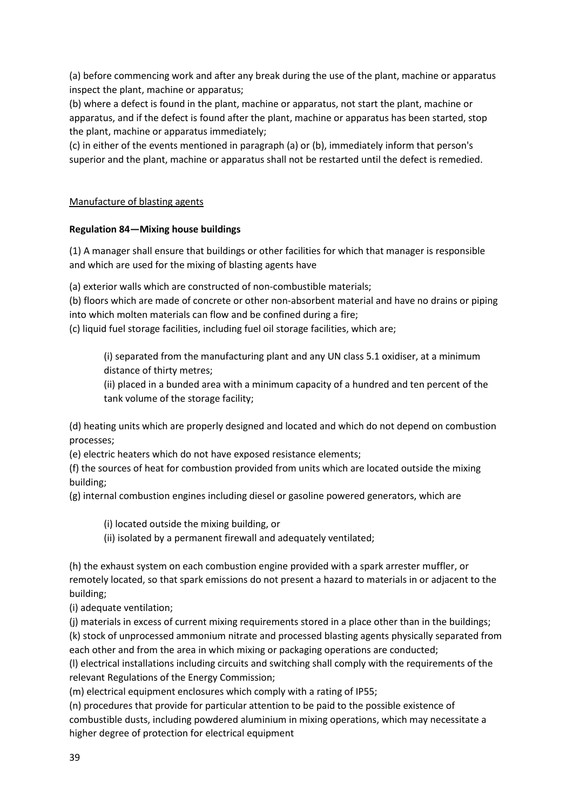(a) before commencing work and after any break during the use of the plant, machine or apparatus inspect the plant, machine or apparatus;

(b) where a defect is found in the plant, machine or apparatus, not start the plant, machine or apparatus, and if the defect is found after the plant, machine or apparatus has been started, stop the plant, machine or apparatus immediately;

(c) in either of the events mentioned in paragraph (a) or (b), immediately inform that person's superior and the plant, machine or apparatus shall not be restarted until the defect is remedied.

## Manufacture of blasting agents

## **Regulation 84—Mixing house buildings**

(1) A manager shall ensure that buildings or other facilities for which that manager is responsible and which are used for the mixing of blasting agents have

(a) exterior walls which are constructed of non-combustible materials;

(b) floors which are made of concrete or other non-absorbent material and have no drains or piping into which molten materials can flow and be confined during a fire;

(c) liquid fuel storage facilities, including fuel oil storage facilities, which are;

(i) separated from the manufacturing plant and any UN class 5.1 oxidiser, at a minimum distance of thirty metres;

(ii) placed in a bunded area with a minimum capacity of a hundred and ten percent of the tank volume of the storage facility;

(d) heating units which are properly designed and located and which do not depend on combustion processes;

(e) electric heaters which do not have exposed resistance elements;

(f) the sources of heat for combustion provided from units which are located outside the mixing building;

(g) internal combustion engines including diesel or gasoline powered generators, which are

(i) located outside the mixing building, or

(ii) isolated by a permanent firewall and adequately ventilated;

(h) the exhaust system on each combustion engine provided with a spark arrester muffler, or remotely located, so that spark emissions do not present a hazard to materials in or adjacent to the building;

(i) adequate ventilation;

(j) materials in excess of current mixing requirements stored in a place other than in the buildings; (k) stock of unprocessed ammonium nitrate and processed blasting agents physically separated from each other and from the area in which mixing or packaging operations are conducted;

(l) electrical installations including circuits and switching shall comply with the requirements of the relevant Regulations of the Energy Commission;

(m) electrical equipment enclosures which comply with a rating of IP55;

(n) procedures that provide for particular attention to be paid to the possible existence of combustible dusts, including powdered aluminium in mixing operations, which may necessitate a higher degree of protection for electrical equipment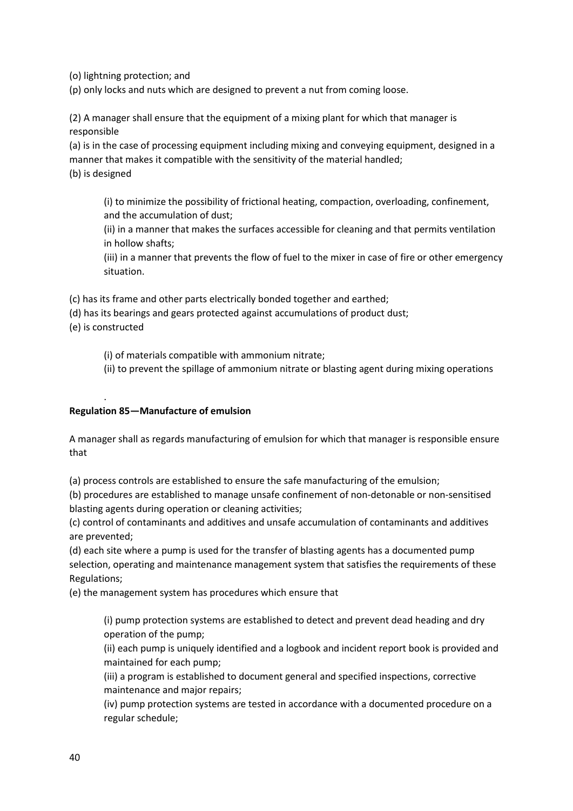(o) lightning protection; and

(p) only locks and nuts which are designed to prevent a nut from coming loose.

(2) A manager shall ensure that the equipment of a mixing plant for which that manager is responsible

(a) is in the case of processing equipment including mixing and conveying equipment, designed in a manner that makes it compatible with the sensitivity of the material handled;

(b) is designed

(i) to minimize the possibility of frictional heating, compaction, overloading, confinement, and the accumulation of dust;

(ii) in a manner that makes the surfaces accessible for cleaning and that permits ventilation in hollow shafts;

(iii) in a manner that prevents the flow of fuel to the mixer in case of fire or other emergency situation.

(c) has its frame and other parts electrically bonded together and earthed;

(d) has its bearings and gears protected against accumulations of product dust;

(e) is constructed

.

(i) of materials compatible with ammonium nitrate;

(ii) to prevent the spillage of ammonium nitrate or blasting agent during mixing operations

## **Regulation 85—Manufacture of emulsion**

A manager shall as regards manufacturing of emulsion for which that manager is responsible ensure that

(a) process controls are established to ensure the safe manufacturing of the emulsion;

(b) procedures are established to manage unsafe confinement of non-detonable or non-sensitised blasting agents during operation or cleaning activities;

(c) control of contaminants and additives and unsafe accumulation of contaminants and additives are prevented;

(d) each site where a pump is used for the transfer of blasting agents has a documented pump selection, operating and maintenance management system that satisfies the requirements of these Regulations;

(e) the management system has procedures which ensure that

(i) pump protection systems are established to detect and prevent dead heading and dry operation of the pump;

(ii) each pump is uniquely identified and a logbook and incident report book is provided and maintained for each pump;

(iii) a program is established to document general and specified inspections, corrective maintenance and major repairs;

(iv) pump protection systems are tested in accordance with a documented procedure on a regular schedule;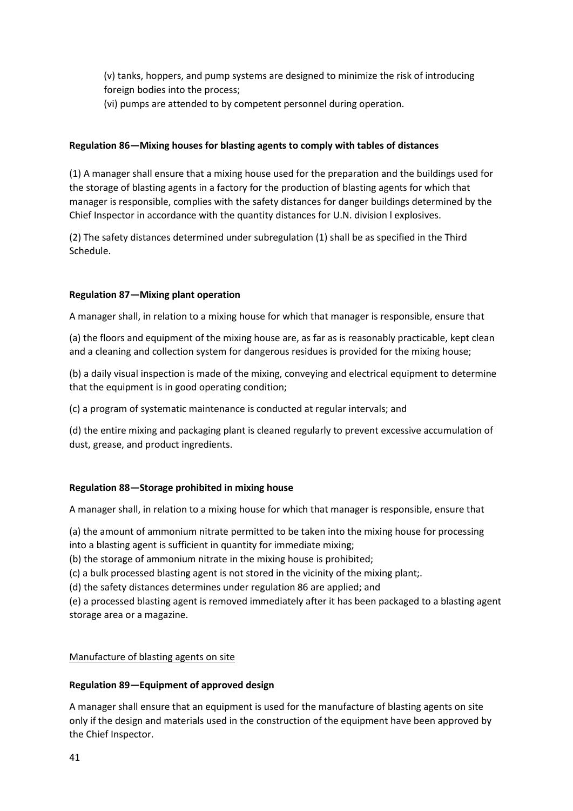(v) tanks, hoppers, and pump systems are designed to minimize the risk of introducing foreign bodies into the process;

(vi) pumps are attended to by competent personnel during operation.

### **Regulation 86—Mixing houses for blasting agents to comply with tables of distances**

(1) A manager shall ensure that a mixing house used for the preparation and the buildings used for the storage of blasting agents in a factory for the production of blasting agents for which that manager is responsible, complies with the safety distances for danger buildings determined by the Chief Inspector in accordance with the quantity distances for U.N. division l explosives.

(2) The safety distances determined under subregulation (1) shall be as specified in the Third Schedule.

## **Regulation 87—Mixing plant operation**

A manager shall, in relation to a mixing house for which that manager is responsible, ensure that

(a) the floors and equipment of the mixing house are, as far as is reasonably practicable, kept clean and a cleaning and collection system for dangerous residues is provided for the mixing house;

(b) a daily visual inspection is made of the mixing, conveying and electrical equipment to determine that the equipment is in good operating condition;

(c) a program of systematic maintenance is conducted at regular intervals; and

(d) the entire mixing and packaging plant is cleaned regularly to prevent excessive accumulation of dust, grease, and product ingredients.

#### **Regulation 88—Storage prohibited in mixing house**

A manager shall, in relation to a mixing house for which that manager is responsible, ensure that

(a) the amount of ammonium nitrate permitted to be taken into the mixing house for processing into a blasting agent is sufficient in quantity for immediate mixing;

(b) the storage of ammonium nitrate in the mixing house is prohibited;

(c) a bulk processed blasting agent is not stored in the vicinity of the mixing plant;.

(d) the safety distances determines under regulation 86 are applied; and

(e) a processed blasting agent is removed immediately after it has been packaged to a blasting agent storage area or a magazine.

#### Manufacture of blasting agents on site

#### **Regulation 89—Equipment of approved design**

A manager shall ensure that an equipment is used for the manufacture of blasting agents on site only if the design and materials used in the construction of the equipment have been approved by the Chief Inspector.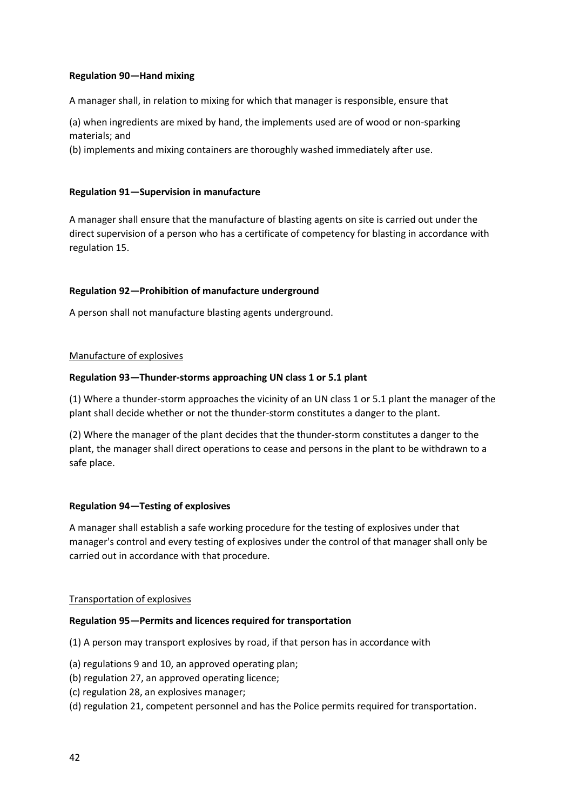## **Regulation 90—Hand mixing**

A manager shall, in relation to mixing for which that manager is responsible, ensure that

(a) when ingredients are mixed by hand, the implements used are of wood or non-sparking materials; and

(b) implements and mixing containers are thoroughly washed immediately after use.

### **Regulation 91—Supervision in manufacture**

A manager shall ensure that the manufacture of blasting agents on site is carried out under the direct supervision of a person who has a certificate of competency for blasting in accordance with regulation 15.

## **Regulation 92—Prohibition of manufacture underground**

A person shall not manufacture blasting agents underground.

#### Manufacture of explosives

## **Regulation 93—Thunder-storms approaching UN class 1 or 5.1 plant**

(1) Where a thunder-storm approaches the vicinity of an UN class 1 or 5.1 plant the manager of the plant shall decide whether or not the thunder-storm constitutes a danger to the plant.

(2) Where the manager of the plant decides that the thunder-storm constitutes a danger to the plant, the manager shall direct operations to cease and persons in the plant to be withdrawn to a safe place.

#### **Regulation 94—Testing of explosives**

A manager shall establish a safe working procedure for the testing of explosives under that manager's control and every testing of explosives under the control of that manager shall only be carried out in accordance with that procedure.

#### Transportation of explosives

#### **Regulation 95—Permits and licences required for transportation**

(1) A person may transport explosives by road, if that person has in accordance with

- (a) regulations 9 and 10, an approved operating plan;
- (b) regulation 27, an approved operating licence;
- (c) regulation 28, an explosives manager;
- (d) regulation 21, competent personnel and has the Police permits required for transportation.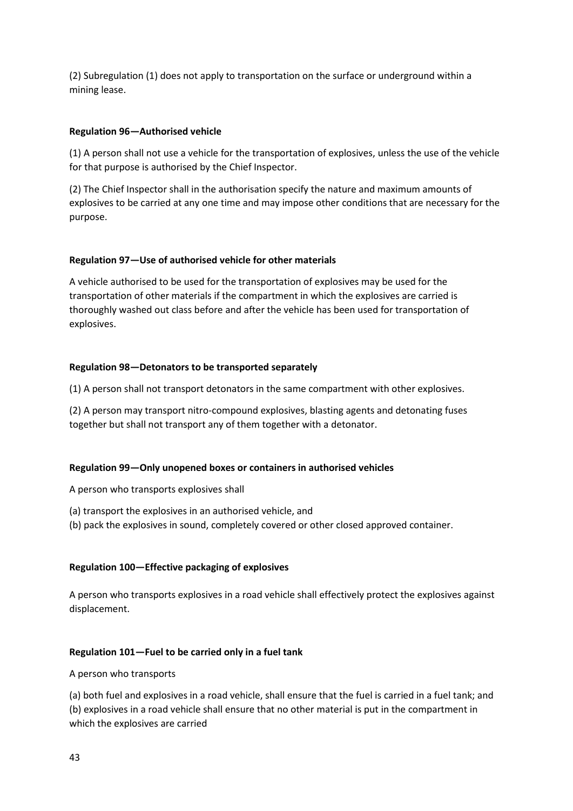(2) Subregulation (1) does not apply to transportation on the surface or underground within a mining lease.

### **Regulation 96—Authorised vehicle**

(1) A person shall not use a vehicle for the transportation of explosives, unless the use of the vehicle for that purpose is authorised by the Chief Inspector.

(2) The Chief Inspector shall in the authorisation specify the nature and maximum amounts of explosives to be carried at any one time and may impose other conditions that are necessary for the purpose.

## **Regulation 97—Use of authorised vehicle for other materials**

A vehicle authorised to be used for the transportation of explosives may be used for the transportation of other materials if the compartment in which the explosives are carried is thoroughly washed out class before and after the vehicle has been used for transportation of explosives.

## **Regulation 98—Detonators to be transported separately**

(1) A person shall not transport detonators in the same compartment with other explosives.

(2) A person may transport nitro-compound explosives, blasting agents and detonating fuses together but shall not transport any of them together with a detonator.

## **Regulation 99—Only unopened boxes or containers in authorised vehicles**

A person who transports explosives shall

- (a) transport the explosives in an authorised vehicle, and
- (b) pack the explosives in sound, completely covered or other closed approved container.

## **Regulation 100—Effective packaging of explosives**

A person who transports explosives in a road vehicle shall effectively protect the explosives against displacement.

#### **Regulation 101—Fuel to be carried only in a fuel tank**

#### A person who transports

(a) both fuel and explosives in a road vehicle, shall ensure that the fuel is carried in a fuel tank; and (b) explosives in a road vehicle shall ensure that no other material is put in the compartment in which the explosives are carried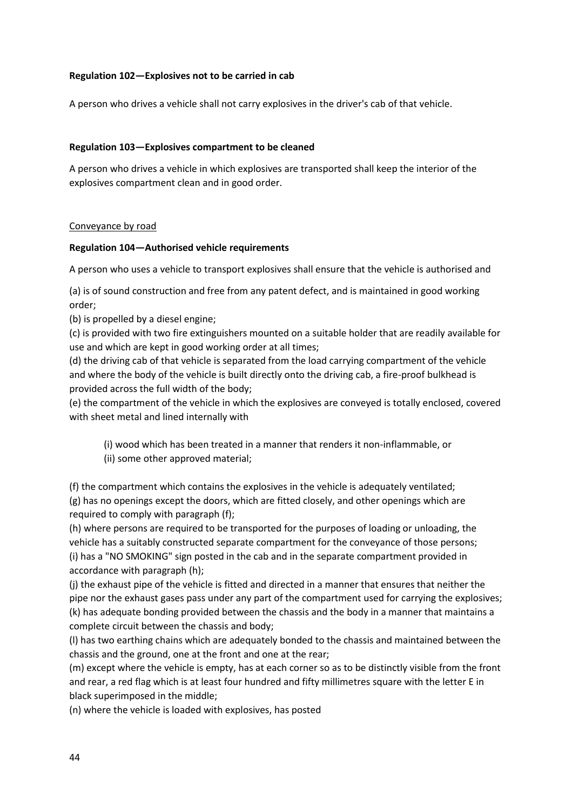## **Regulation 102—Explosives not to be carried in cab**

A person who drives a vehicle shall not carry explosives in the driver's cab of that vehicle.

#### **Regulation 103—Explosives compartment to be cleaned**

A person who drives a vehicle in which explosives are transported shall keep the interior of the explosives compartment clean and in good order.

#### Conveyance by road

#### **Regulation 104—Authorised vehicle requirements**

A person who uses a vehicle to transport explosives shall ensure that the vehicle is authorised and

(a) is of sound construction and free from any patent defect, and is maintained in good working order;

(b) is propelled by a diesel engine;

(c) is provided with two fire extinguishers mounted on a suitable holder that are readily available for use and which are kept in good working order at all times;

(d) the driving cab of that vehicle is separated from the load carrying compartment of the vehicle and where the body of the vehicle is built directly onto the driving cab, a fire-proof bulkhead is provided across the full width of the body;

(e) the compartment of the vehicle in which the explosives are conveyed is totally enclosed, covered with sheet metal and lined internally with

- (i) wood which has been treated in a manner that renders it non-inflammable, or
- (ii) some other approved material;

(f) the compartment which contains the explosives in the vehicle is adequately ventilated; (g) has no openings except the doors, which are fitted closely, and other openings which are required to comply with paragraph (f);

(h) where persons are required to be transported for the purposes of loading or unloading, the vehicle has a suitably constructed separate compartment for the conveyance of those persons; (i) has a "NO SMOKING" sign posted in the cab and in the separate compartment provided in accordance with paragraph (h);

(j) the exhaust pipe of the vehicle is fitted and directed in a manner that ensures that neither the pipe nor the exhaust gases pass under any part of the compartment used for carrying the explosives; (k) has adequate bonding provided between the chassis and the body in a manner that maintains a complete circuit between the chassis and body;

(l) has two earthing chains which are adequately bonded to the chassis and maintained between the chassis and the ground, one at the front and one at the rear;

(m) except where the vehicle is empty, has at each corner so as to be distinctly visible from the front and rear, a red flag which is at least four hundred and fifty millimetres square with the letter E in black superimposed in the middle;

(n) where the vehicle is loaded with explosives, has posted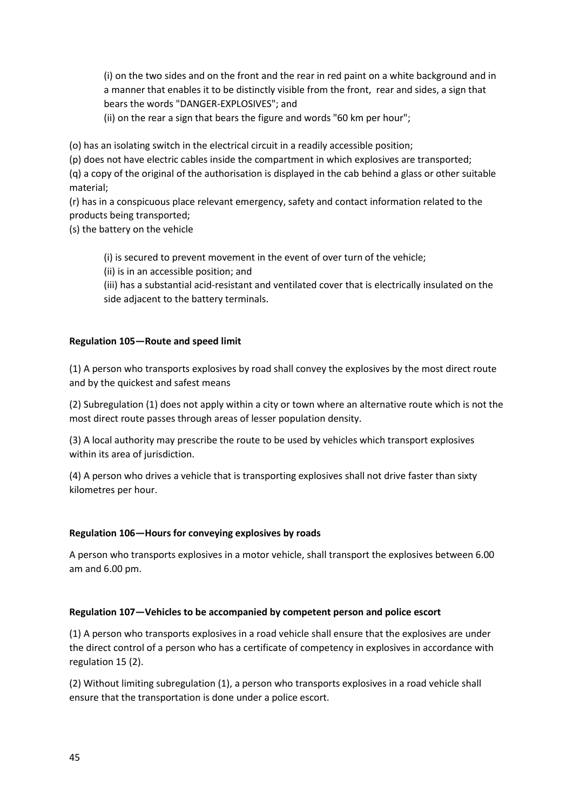(i) on the two sides and on the front and the rear in red paint on a white background and in a manner that enables it to be distinctly visible from the front, rear and sides, a sign that bears the words "DANGER-EXPLOSIVES"; and

(ii) on the rear a sign that bears the figure and words "60 km per hour";

(o) has an isolating switch in the electrical circuit in a readily accessible position;

(p) does not have electric cables inside the compartment in which explosives are transported;

(q) a copy of the original of the authorisation is displayed in the cab behind a glass or other suitable material;

(r) has in a conspicuous place relevant emergency, safety and contact information related to the products being transported;

(s) the battery on the vehicle

(i) is secured to prevent movement in the event of over turn of the vehicle;

(ii) is in an accessible position; and

(iii) has a substantial acid-resistant and ventilated cover that is electrically insulated on the side adjacent to the battery terminals.

## **Regulation 105—Route and speed limit**

(1) A person who transports explosives by road shall convey the explosives by the most direct route and by the quickest and safest means

(2) Subregulation (1) does not apply within a city or town where an alternative route which is not the most direct route passes through areas of lesser population density.

(3) A local authority may prescribe the route to be used by vehicles which transport explosives within its area of jurisdiction.

(4) A person who drives a vehicle that is transporting explosives shall not drive faster than sixty kilometres per hour.

#### **Regulation 106—Hours for conveying explosives by roads**

A person who transports explosives in a motor vehicle, shall transport the explosives between 6.00 am and 6.00 pm.

#### **Regulation 107—Vehicles to be accompanied by competent person and police escort**

(1) A person who transports explosives in a road vehicle shall ensure that the explosives are under the direct control of a person who has a certificate of competency in explosives in accordance with regulation 15 (2).

(2) Without limiting subregulation (1), a person who transports explosives in a road vehicle shall ensure that the transportation is done under a police escort.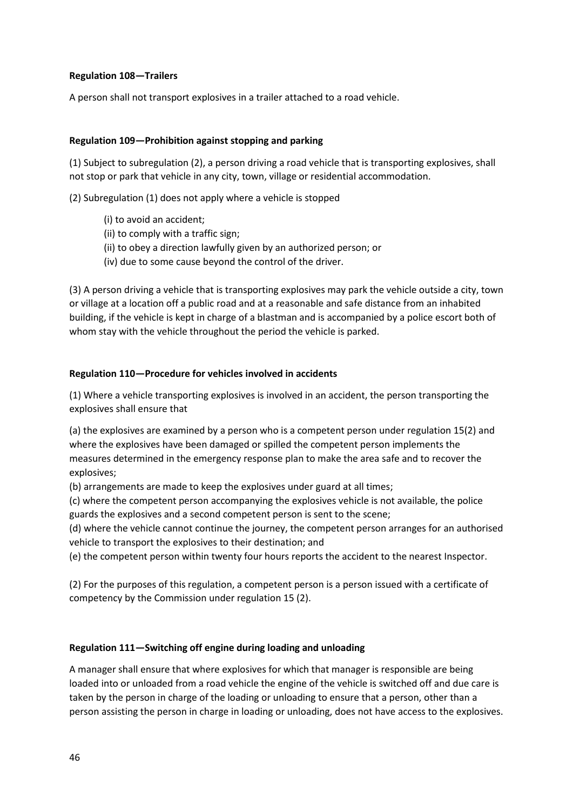### **Regulation 108—Trailers**

A person shall not transport explosives in a trailer attached to a road vehicle.

## **Regulation 109—Prohibition against stopping and parking**

(1) Subject to subregulation (2), a person driving a road vehicle that is transporting explosives, shall not stop or park that vehicle in any city, town, village or residential accommodation.

(2) Subregulation (1) does not apply where a vehicle is stopped

- (i) to avoid an accident;
- (ii) to comply with a traffic sign;
- (ii) to obey a direction lawfully given by an authorized person; or
- (iv) due to some cause beyond the control of the driver.

(3) A person driving a vehicle that is transporting explosives may park the vehicle outside a city, town or village at a location off a public road and at a reasonable and safe distance from an inhabited building, if the vehicle is kept in charge of a blastman and is accompanied by a police escort both of whom stay with the vehicle throughout the period the vehicle is parked.

## **Regulation 110—Procedure for vehicles involved in accidents**

(1) Where a vehicle transporting explosives is involved in an accident, the person transporting the explosives shall ensure that

(a) the explosives are examined by a person who is a competent person under regulation 15(2) and where the explosives have been damaged or spilled the competent person implements the measures determined in the emergency response plan to make the area safe and to recover the explosives;

(b) arrangements are made to keep the explosives under guard at all times;

(c) where the competent person accompanying the explosives vehicle is not available, the police guards the explosives and a second competent person is sent to the scene;

(d) where the vehicle cannot continue the journey, the competent person arranges for an authorised vehicle to transport the explosives to their destination; and

(e) the competent person within twenty four hours reports the accident to the nearest Inspector.

(2) For the purposes of this regulation, a competent person is a person issued with a certificate of competency by the Commission under regulation 15 (2).

#### **Regulation 111—Switching off engine during loading and unloading**

A manager shall ensure that where explosives for which that manager is responsible are being loaded into or unloaded from a road vehicle the engine of the vehicle is switched off and due care is taken by the person in charge of the loading or unloading to ensure that a person, other than a person assisting the person in charge in loading or unloading, does not have access to the explosives.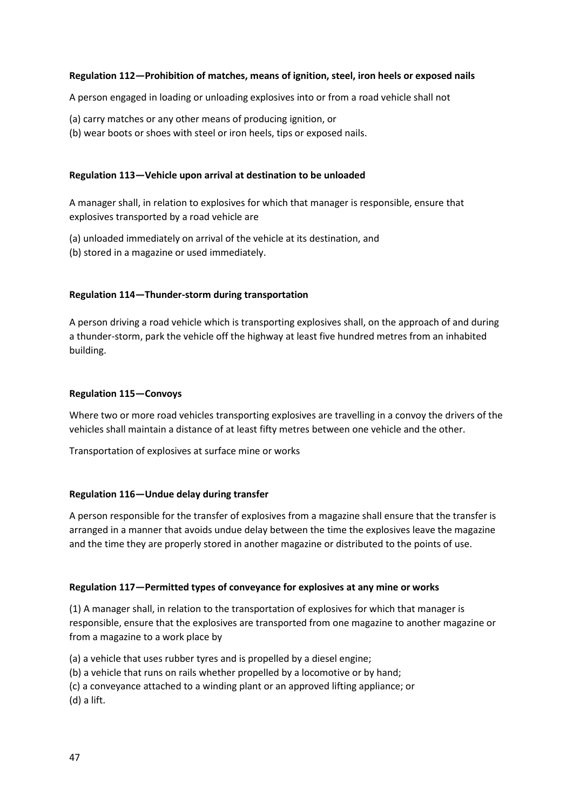### **Regulation 112—Prohibition of matches, means of ignition, steel, iron heels or exposed nails**

A person engaged in loading or unloading explosives into or from a road vehicle shall not

- (a) carry matches or any other means of producing ignition, or
- (b) wear boots or shoes with steel or iron heels, tips or exposed nails.

### **Regulation 113—Vehicle upon arrival at destination to be unloaded**

A manager shall, in relation to explosives for which that manager is responsible, ensure that explosives transported by a road vehicle are

- (a) unloaded immediately on arrival of the vehicle at its destination, and
- (b) stored in a magazine or used immediately.

## **Regulation 114—Thunder-storm during transportation**

A person driving a road vehicle which is transporting explosives shall, on the approach of and during a thunder-storm, park the vehicle off the highway at least five hundred metres from an inhabited building.

#### **Regulation 115—Convoys**

Where two or more road vehicles transporting explosives are travelling in a convoy the drivers of the vehicles shall maintain a distance of at least fifty metres between one vehicle and the other.

Transportation of explosives at surface mine or works

#### **Regulation 116—Undue delay during transfer**

A person responsible for the transfer of explosives from a magazine shall ensure that the transfer is arranged in a manner that avoids undue delay between the time the explosives leave the magazine and the time they are properly stored in another magazine or distributed to the points of use.

#### **Regulation 117—Permitted types of conveyance for explosives at any mine or works**

(1) A manager shall, in relation to the transportation of explosives for which that manager is responsible, ensure that the explosives are transported from one magazine to another magazine or from a magazine to a work place by

- (a) a vehicle that uses rubber tyres and is propelled by a diesel engine;
- (b) a vehicle that runs on rails whether propelled by a locomotive or by hand;
- (c) a conveyance attached to a winding plant or an approved lifting appliance; or
- (d) a lift.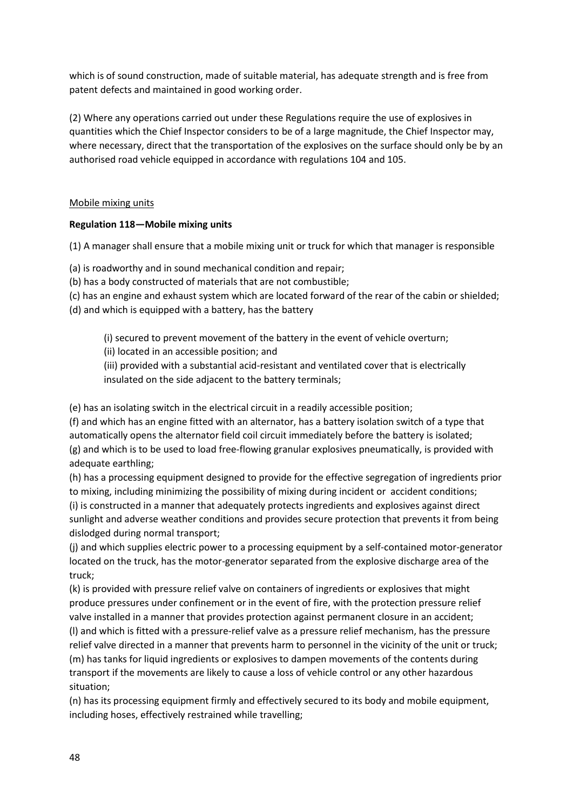which is of sound construction, made of suitable material, has adequate strength and is free from patent defects and maintained in good working order.

(2) Where any operations carried out under these Regulations require the use of explosives in quantities which the Chief Inspector considers to be of a large magnitude, the Chief Inspector may, where necessary, direct that the transportation of the explosives on the surface should only be by an authorised road vehicle equipped in accordance with regulations 104 and 105.

## Mobile mixing units

# **Regulation 118—Mobile mixing units**

(1) A manager shall ensure that a mobile mixing unit or truck for which that manager is responsible

(a) is roadworthy and in sound mechanical condition and repair;

(b) has a body constructed of materials that are not combustible;

(c) has an engine and exhaust system which are located forward of the rear of the cabin or shielded;

(d) and which is equipped with a battery, has the battery

(i) secured to prevent movement of the battery in the event of vehicle overturn;

(ii) located in an accessible position; and

(iii) provided with a substantial acid-resistant and ventilated cover that is electrically insulated on the side adjacent to the battery terminals;

(e) has an isolating switch in the electrical circuit in a readily accessible position;

(f) and which has an engine fitted with an alternator, has a battery isolation switch of a type that automatically opens the alternator field coil circuit immediately before the battery is isolated; (g) and which is to be used to load free-flowing granular explosives pneumatically, is provided with adequate earthling;

(h) has a processing equipment designed to provide for the effective segregation of ingredients prior to mixing, including minimizing the possibility of mixing during incident or accident conditions; (i) is constructed in a manner that adequately protects ingredients and explosives against direct sunlight and adverse weather conditions and provides secure protection that prevents it from being dislodged during normal transport;

(j) and which supplies electric power to a processing equipment by a self-contained motor-generator located on the truck, has the motor-generator separated from the explosive discharge area of the truck;

(k) is provided with pressure relief valve on containers of ingredients or explosives that might produce pressures under confinement or in the event of fire, with the protection pressure relief valve installed in a manner that provides protection against permanent closure in an accident; (l) and which is fitted with a pressure-relief valve as a pressure relief mechanism, has the pressure

relief valve directed in a manner that prevents harm to personnel in the vicinity of the unit or truck; (m) has tanks for liquid ingredients or explosives to dampen movements of the contents during transport if the movements are likely to cause a loss of vehicle control or any other hazardous situation;

(n) has its processing equipment firmly and effectively secured to its body and mobile equipment, including hoses, effectively restrained while travelling;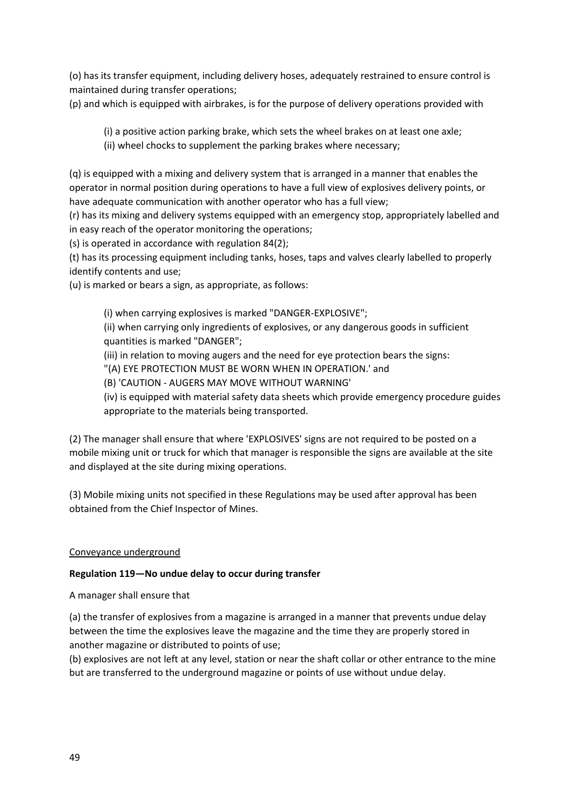(o) has its transfer equipment, including delivery hoses, adequately restrained to ensure control is maintained during transfer operations;

(p) and which is equipped with airbrakes, is for the purpose of delivery operations provided with

(i) a positive action parking brake, which sets the wheel brakes on at least one axle;

(ii) wheel chocks to supplement the parking brakes where necessary;

(q) is equipped with a mixing and delivery system that is arranged in a manner that enables the operator in normal position during operations to have a full view of explosives delivery points, or have adequate communication with another operator who has a full view;

(r) has its mixing and delivery systems equipped with an emergency stop, appropriately labelled and in easy reach of the operator monitoring the operations;

(s) is operated in accordance with regulation 84(2);

(t) has its processing equipment including tanks, hoses, taps and valves clearly labelled to properly identify contents and use;

(u) is marked or bears a sign, as appropriate, as follows:

(i) when carrying explosives is marked "DANGER-EXPLOSIVE";

(ii) when carrying only ingredients of explosives, or any dangerous goods in sufficient quantities is marked "DANGER";

(iii) in relation to moving augers and the need for eye protection bears the signs:

"(A) EYE PROTECTION MUST BE WORN WHEN IN OPERATION.' and

(B) 'CAUTION - AUGERS MAY MOVE WITHOUT WARNING'

(iv) is equipped with material safety data sheets which provide emergency procedure guides appropriate to the materials being transported.

(2) The manager shall ensure that where 'EXPLOSIVES' signs are not required to be posted on a mobile mixing unit or truck for which that manager is responsible the signs are available at the site and displayed at the site during mixing operations.

(3) Mobile mixing units not specified in these Regulations may be used after approval has been obtained from the Chief Inspector of Mines.

## Conveyance underground

## **Regulation 119—No undue delay to occur during transfer**

A manager shall ensure that

(a) the transfer of explosives from a magazine is arranged in a manner that prevents undue delay between the time the explosives leave the magazine and the time they are properly stored in another magazine or distributed to points of use;

(b) explosives are not left at any level, station or near the shaft collar or other entrance to the mine but are transferred to the underground magazine or points of use without undue delay.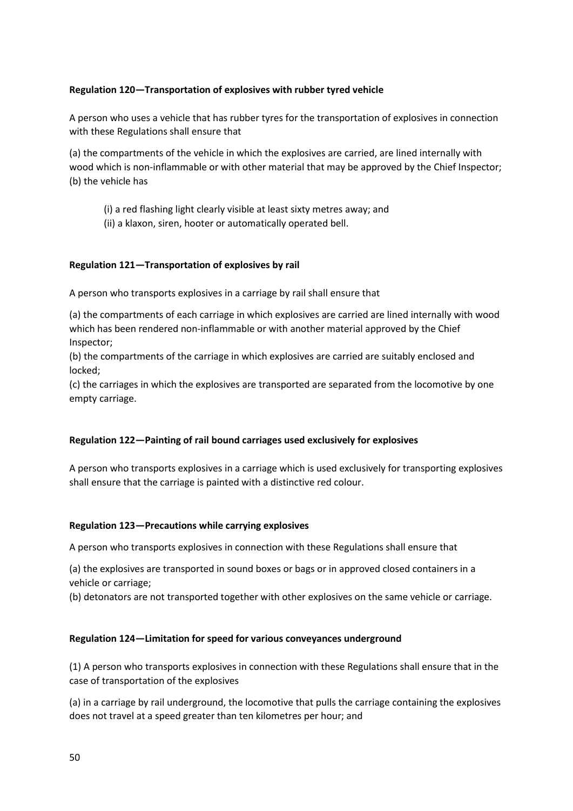## **Regulation 120—Transportation of explosives with rubber tyred vehicle**

A person who uses a vehicle that has rubber tyres for the transportation of explosives in connection with these Regulations shall ensure that

(a) the compartments of the vehicle in which the explosives are carried, are lined internally with wood which is non-inflammable or with other material that may be approved by the Chief Inspector; (b) the vehicle has

(i) a red flashing light clearly visible at least sixty metres away; and

(ii) a klaxon, siren, hooter or automatically operated bell.

## **Regulation 121—Transportation of explosives by rail**

A person who transports explosives in a carriage by rail shall ensure that

(a) the compartments of each carriage in which explosives are carried are lined internally with wood which has been rendered non-inflammable or with another material approved by the Chief Inspector;

(b) the compartments of the carriage in which explosives are carried are suitably enclosed and locked;

(c) the carriages in which the explosives are transported are separated from the locomotive by one empty carriage.

#### **Regulation 122—Painting of rail bound carriages used exclusively for explosives**

A person who transports explosives in a carriage which is used exclusively for transporting explosives shall ensure that the carriage is painted with a distinctive red colour.

#### **Regulation 123—Precautions while carrying explosives**

A person who transports explosives in connection with these Regulations shall ensure that

(a) the explosives are transported in sound boxes or bags or in approved closed containers in a vehicle or carriage;

(b) detonators are not transported together with other explosives on the same vehicle or carriage.

#### **Regulation 124—Limitation for speed for various conveyances underground**

(1) A person who transports explosives in connection with these Regulations shall ensure that in the case of transportation of the explosives

(a) in a carriage by rail underground, the locomotive that pulls the carriage containing the explosives does not travel at a speed greater than ten kilometres per hour; and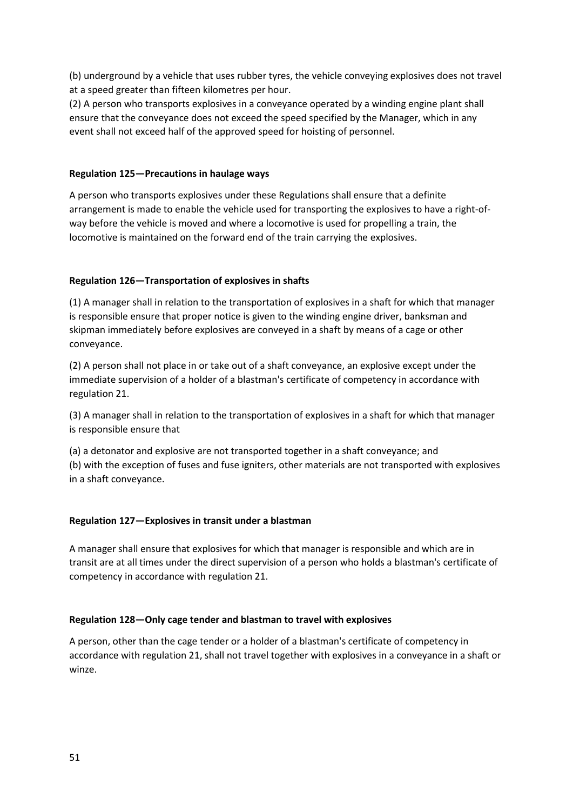(b) underground by a vehicle that uses rubber tyres, the vehicle conveying explosives does not travel at a speed greater than fifteen kilometres per hour.

(2) A person who transports explosives in a conveyance operated by a winding engine plant shall ensure that the conveyance does not exceed the speed specified by the Manager, which in any event shall not exceed half of the approved speed for hoisting of personnel.

### **Regulation 125—Precautions in haulage ways**

A person who transports explosives under these Regulations shall ensure that a definite arrangement is made to enable the vehicle used for transporting the explosives to have a right-ofway before the vehicle is moved and where a locomotive is used for propelling a train, the locomotive is maintained on the forward end of the train carrying the explosives.

## **Regulation 126—Transportation of explosives in shafts**

(1) A manager shall in relation to the transportation of explosives in a shaft for which that manager is responsible ensure that proper notice is given to the winding engine driver, banksman and skipman immediately before explosives are conveyed in a shaft by means of a cage or other conveyance.

(2) A person shall not place in or take out of a shaft conveyance, an explosive except under the immediate supervision of a holder of a blastman's certificate of competency in accordance with regulation 21.

(3) A manager shall in relation to the transportation of explosives in a shaft for which that manager is responsible ensure that

(a) a detonator and explosive are not transported together in a shaft conveyance; and (b) with the exception of fuses and fuse igniters, other materials are not transported with explosives in a shaft conveyance.

## **Regulation 127—Explosives in transit under a blastman**

A manager shall ensure that explosives for which that manager is responsible and which are in transit are at all times under the direct supervision of a person who holds a blastman's certificate of competency in accordance with regulation 21.

#### **Regulation 128—Only cage tender and blastman to travel with explosives**

A person, other than the cage tender or a holder of a blastman's certificate of competency in accordance with regulation 21, shall not travel together with explosives in a conveyance in a shaft or winze.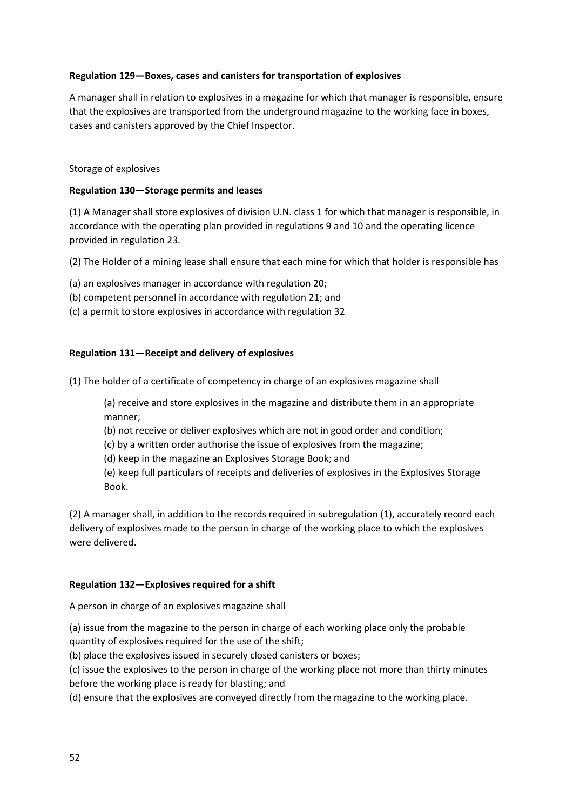## **Regulation 129—Boxes, cases and canisters for transportation of explosives**

A manager shall in relation to explosives in a magazine for which that manager is responsible, ensure that the explosives are transported from the underground magazine to the working face in boxes, cases and canisters approved by the Chief Inspector.

#### Storage of explosives

#### **Regulation 130—Storage permits and leases**

(1) A Manager shall store explosives of division U.N. class 1 for which that manager is responsible, in accordance with the operating plan provided in regulations 9 and 10 and the operating licence provided in regulation 23.

(2) The Holder of a mining lease shall ensure that each mine for which that holder is responsible has

- (a) an explosives manager in accordance with regulation 20;
- (b) competent personnel in accordance with regulation 21; and
- (c) a permit to store explosives in accordance with regulation 32

#### **Regulation 131—Receipt and delivery of explosives**

(1) The holder of a certificate of competency in charge of an explosives magazine shall

(a) receive and store explosives in the magazine and distribute them in an appropriate manner;

(b) not receive or deliver explosives which are not in good order and condition;

(c) by a written order authorise the issue of explosives from the magazine;

(d) keep in the magazine an Explosives Storage Book; and

(e) keep full particulars of receipts and deliveries of explosives in the Explosives Storage Book.

(2) A manager shall, in addition to the records required in subregulation (1), accurately record each delivery of explosives made to the person in charge of the working place to which the explosives were delivered.

#### **Regulation 132—Explosives required for a shift**

A person in charge of an explosives magazine shall

(a) issue from the magazine to the person in charge of each working place only the probable quantity of explosives required for the use of the shift;

(b) place the explosives issued in securely closed canisters or boxes;

(c) issue the explosives to the person in charge of the working place not more than thirty minutes before the working place is ready for blasting; and

(d) ensure that the explosives are conveyed directly from the magazine to the working place.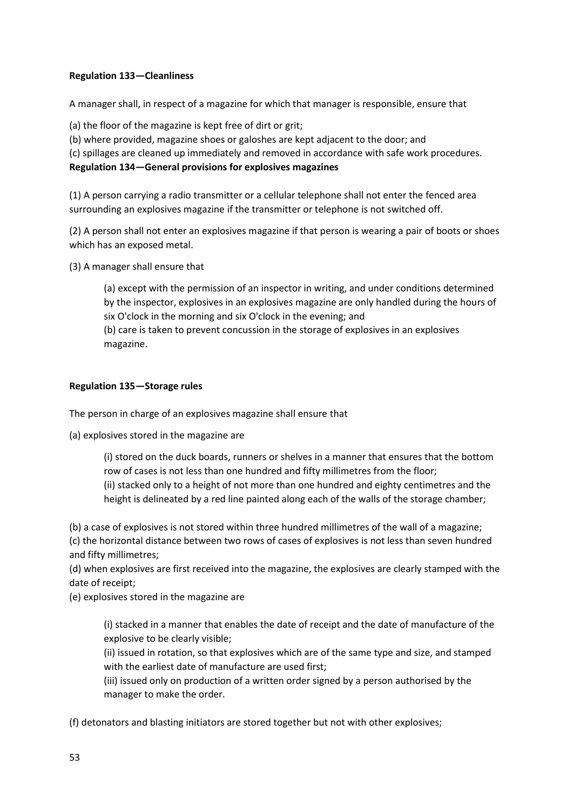## **Regulation 133—Cleanliness**

A manager shall, in respect of a magazine for which that manager is responsible, ensure that

(a) the floor of the magazine is kept free of dirt or grit;

(b) where provided, magazine shoes or galoshes are kept adjacent to the door; and

(c) spillages are cleaned up immediately and removed in accordance with safe work procedures.

**Regulation 134—General provisions for explosives magazines**

(1) A person carrying a radio transmitter or a cellular telephone shall not enter the fenced area surrounding an explosives magazine if the transmitter or telephone is not switched off.

(2) A person shall not enter an explosives magazine if that person is wearing a pair of boots or shoes which has an exposed metal.

(3) A manager shall ensure that

(a) except with the permission of an inspector in writing, and under conditions determined by the inspector, explosives in an explosives magazine are only handled during the hours of six O'clock in the morning and six O'clock in the evening; and

(b) care is taken to prevent concussion in the storage of explosives in an explosives magazine.

## **Regulation 135—Storage rules**

The person in charge of an explosives magazine shall ensure that

(a) explosives stored in the magazine are

(i) stored on the duck boards, runners or shelves in a manner that ensures that the bottom row of cases is not less than one hundred and fifty millimetres from the floor;

(ii) stacked only to a height of not more than one hundred and eighty centimetres and the height is delineated by a red line painted along each of the walls of the storage chamber;

(b) a case of explosives is not stored within three hundred millimetres of the wall of a magazine; (c) the horizontal distance between two rows of cases of explosives is not less than seven hundred and fifty millimetres;

(d) when explosives are first received into the magazine, the explosives are clearly stamped with the date of receipt;

(e) explosives stored in the magazine are

(i) stacked in a manner that enables the date of receipt and the date of manufacture of the explosive to be clearly visible;

(ii) issued in rotation, so that explosives which are of the same type and size, and stamped with the earliest date of manufacture are used first;

(iii) issued only on production of a written order signed by a person authorised by the manager to make the order.

(f) detonators and blasting initiators are stored together but not with other explosives;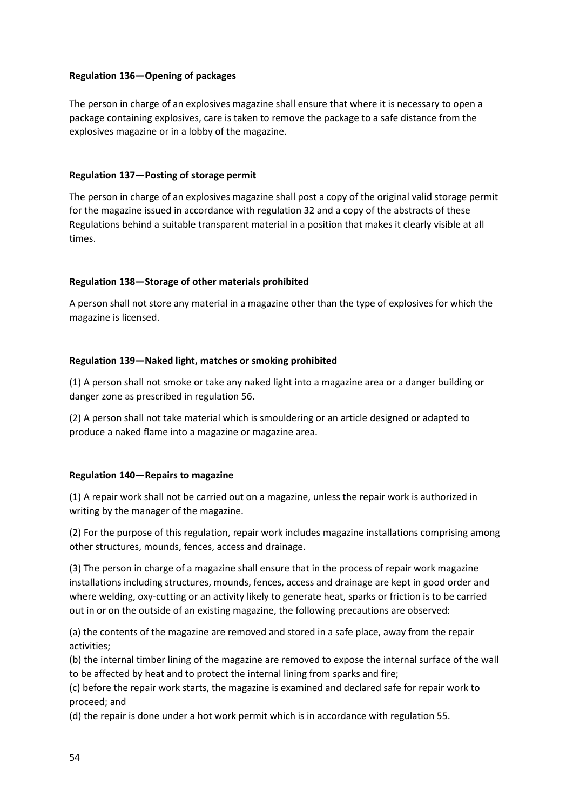## **Regulation 136—Opening of packages**

The person in charge of an explosives magazine shall ensure that where it is necessary to open a package containing explosives, care is taken to remove the package to a safe distance from the explosives magazine or in a lobby of the magazine.

### **Regulation 137—Posting of storage permit**

The person in charge of an explosives magazine shall post a copy of the original valid storage permit for the magazine issued in accordance with regulation 32 and a copy of the abstracts of these Regulations behind a suitable transparent material in a position that makes it clearly visible at all times.

## **Regulation 138—Storage of other materials prohibited**

A person shall not store any material in a magazine other than the type of explosives for which the magazine is licensed.

## **Regulation 139—Naked light, matches or smoking prohibited**

(1) A person shall not smoke or take any naked light into a magazine area or a danger building or danger zone as prescribed in regulation 56.

(2) A person shall not take material which is smouldering or an article designed or adapted to produce a naked flame into a magazine or magazine area.

#### **Regulation 140—Repairs to magazine**

(1) A repair work shall not be carried out on a magazine, unless the repair work is authorized in writing by the manager of the magazine.

(2) For the purpose of this regulation, repair work includes magazine installations comprising among other structures, mounds, fences, access and drainage.

(3) The person in charge of a magazine shall ensure that in the process of repair work magazine installations including structures, mounds, fences, access and drainage are kept in good order and where welding, oxy-cutting or an activity likely to generate heat, sparks or friction is to be carried out in or on the outside of an existing magazine, the following precautions are observed:

(a) the contents of the magazine are removed and stored in a safe place, away from the repair activities;

(b) the internal timber lining of the magazine are removed to expose the internal surface of the wall to be affected by heat and to protect the internal lining from sparks and fire;

(c) before the repair work starts, the magazine is examined and declared safe for repair work to proceed; and

(d) the repair is done under a hot work permit which is in accordance with regulation 55.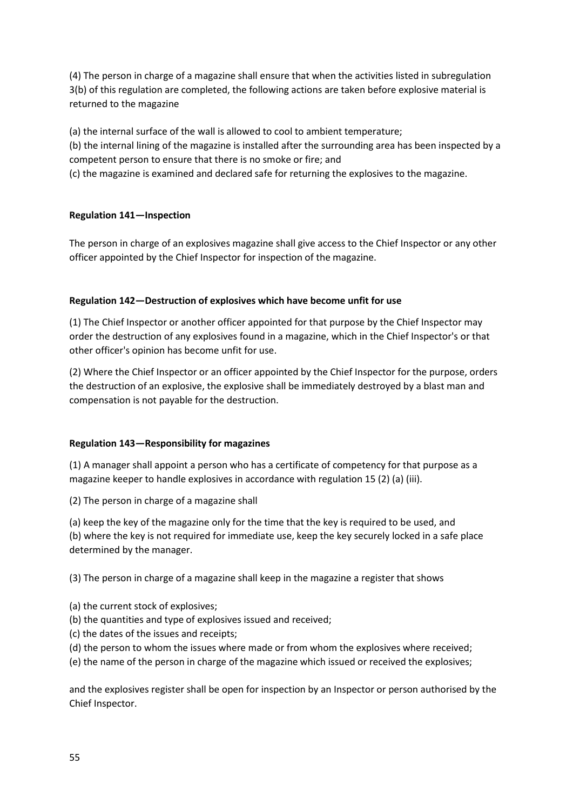(4) The person in charge of a magazine shall ensure that when the activities listed in subregulation 3(b) of this regulation are completed, the following actions are taken before explosive material is returned to the magazine

(a) the internal surface of the wall is allowed to cool to ambient temperature; (b) the internal lining of the magazine is installed after the surrounding area has been inspected by a competent person to ensure that there is no smoke or fire; and

(c) the magazine is examined and declared safe for returning the explosives to the magazine.

## **Regulation 141—Inspection**

The person in charge of an explosives magazine shall give access to the Chief Inspector or any other officer appointed by the Chief Inspector for inspection of the magazine.

## **Regulation 142—Destruction of explosives which have become unfit for use**

(1) The Chief Inspector or another officer appointed for that purpose by the Chief Inspector may order the destruction of any explosives found in a magazine, which in the Chief Inspector's or that other officer's opinion has become unfit for use.

(2) Where the Chief Inspector or an officer appointed by the Chief Inspector for the purpose, orders the destruction of an explosive, the explosive shall be immediately destroyed by a blast man and compensation is not payable for the destruction.

#### **Regulation 143—Responsibility for magazines**

(1) A manager shall appoint a person who has a certificate of competency for that purpose as a magazine keeper to handle explosives in accordance with regulation 15 (2) (a) (iii).

(2) The person in charge of a magazine shall

(a) keep the key of the magazine only for the time that the key is required to be used, and

(b) where the key is not required for immediate use, keep the key securely locked in a safe place determined by the manager.

(3) The person in charge of a magazine shall keep in the magazine a register that shows

- (a) the current stock of explosives;
- (b) the quantities and type of explosives issued and received;
- (c) the dates of the issues and receipts;
- (d) the person to whom the issues where made or from whom the explosives where received;
- (e) the name of the person in charge of the magazine which issued or received the explosives;

and the explosives register shall be open for inspection by an Inspector or person authorised by the Chief Inspector.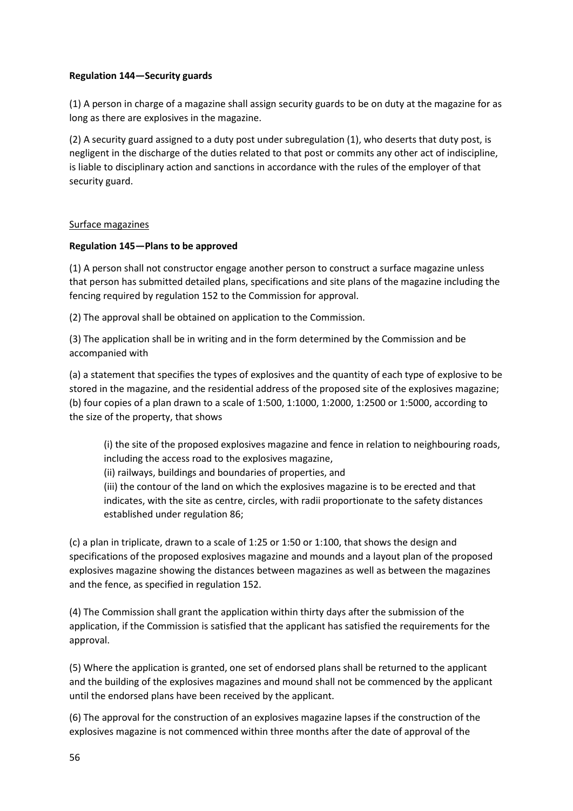## **Regulation 144—Security guards**

(1) A person in charge of a magazine shall assign security guards to be on duty at the magazine for as long as there are explosives in the magazine.

(2) A security guard assigned to a duty post under subregulation (1), who deserts that duty post, is negligent in the discharge of the duties related to that post or commits any other act of indiscipline, is liable to disciplinary action and sanctions in accordance with the rules of the employer of that security guard.

## Surface magazines

## **Regulation 145—Plans to be approved**

(1) A person shall not constructor engage another person to construct a surface magazine unless that person has submitted detailed plans, specifications and site plans of the magazine including the fencing required by regulation 152 to the Commission for approval.

(2) The approval shall be obtained on application to the Commission.

(3) The application shall be in writing and in the form determined by the Commission and be accompanied with

(a) a statement that specifies the types of explosives and the quantity of each type of explosive to be stored in the magazine, and the residential address of the proposed site of the explosives magazine; (b) four copies of a plan drawn to a scale of 1:500, 1:1000, 1:2000, 1:2500 or 1:5000, according to the size of the property, that shows

(i) the site of the proposed explosives magazine and fence in relation to neighbouring roads, including the access road to the explosives magazine,

(ii) railways, buildings and boundaries of properties, and

(iii) the contour of the land on which the explosives magazine is to be erected and that indicates, with the site as centre, circles, with radii proportionate to the safety distances established under regulation 86;

(c) a plan in triplicate, drawn to a scale of 1:25 or 1:50 or 1:100, that shows the design and specifications of the proposed explosives magazine and mounds and a layout plan of the proposed explosives magazine showing the distances between magazines as well as between the magazines and the fence, as specified in regulation 152.

(4) The Commission shall grant the application within thirty days after the submission of the application, if the Commission is satisfied that the applicant has satisfied the requirements for the approval.

(5) Where the application is granted, one set of endorsed plans shall be returned to the applicant and the building of the explosives magazines and mound shall not be commenced by the applicant until the endorsed plans have been received by the applicant.

(6) The approval for the construction of an explosives magazine lapses if the construction of the explosives magazine is not commenced within three months after the date of approval of the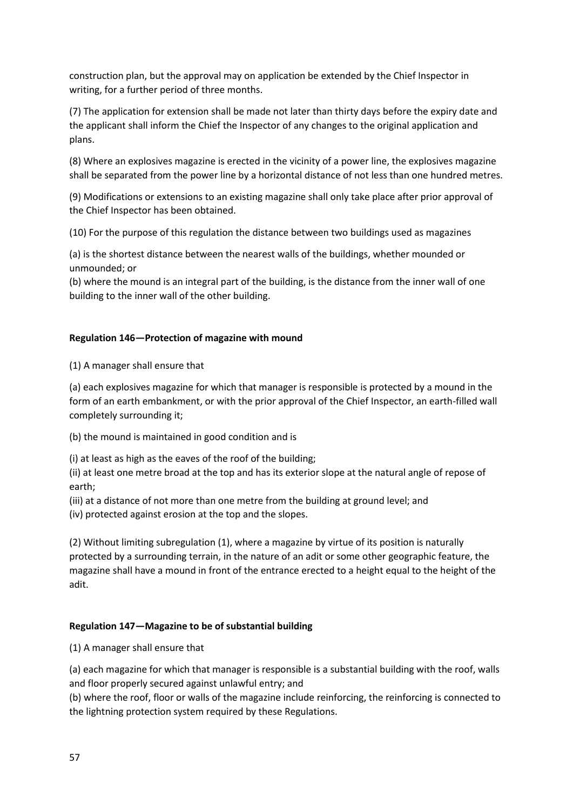construction plan, but the approval may on application be extended by the Chief Inspector in writing, for a further period of three months.

(7) The application for extension shall be made not later than thirty days before the expiry date and the applicant shall inform the Chief the Inspector of any changes to the original application and plans.

(8) Where an explosives magazine is erected in the vicinity of a power line, the explosives magazine shall be separated from the power line by a horizontal distance of not less than one hundred metres.

(9) Modifications or extensions to an existing magazine shall only take place after prior approval of the Chief Inspector has been obtained.

(10) For the purpose of this regulation the distance between two buildings used as magazines

(a) is the shortest distance between the nearest walls of the buildings, whether mounded or unmounded; or

(b) where the mound is an integral part of the building, is the distance from the inner wall of one building to the inner wall of the other building.

## **Regulation 146—Protection of magazine with mound**

(1) A manager shall ensure that

(a) each explosives magazine for which that manager is responsible is protected by a mound in the form of an earth embankment, or with the prior approval of the Chief Inspector, an earth-filled wall completely surrounding it;

(b) the mound is maintained in good condition and is

(i) at least as high as the eaves of the roof of the building;

(ii) at least one metre broad at the top and has its exterior slope at the natural angle of repose of earth;

(iii) at a distance of not more than one metre from the building at ground level; and

(iv) protected against erosion at the top and the slopes.

(2) Without limiting subregulation (1), where a magazine by virtue of its position is naturally protected by a surrounding terrain, in the nature of an adit or some other geographic feature, the magazine shall have a mound in front of the entrance erected to a height equal to the height of the adit.

#### **Regulation 147—Magazine to be of substantial building**

(1) A manager shall ensure that

(a) each magazine for which that manager is responsible is a substantial building with the roof, walls and floor properly secured against unlawful entry; and

(b) where the roof, floor or walls of the magazine include reinforcing, the reinforcing is connected to the lightning protection system required by these Regulations.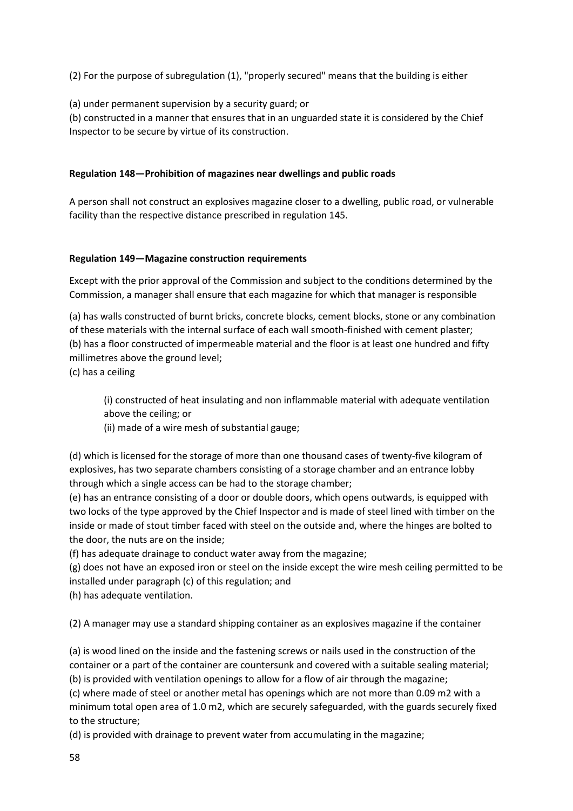(2) For the purpose of subregulation (1), "properly secured" means that the building is either

(a) under permanent supervision by a security guard; or

(b) constructed in a manner that ensures that in an unguarded state it is considered by the Chief Inspector to be secure by virtue of its construction.

## **Regulation 148—Prohibition of magazines near dwellings and public roads**

A person shall not construct an explosives magazine closer to a dwelling, public road, or vulnerable facility than the respective distance prescribed in regulation 145.

## **Regulation 149—Magazine construction requirements**

Except with the prior approval of the Commission and subject to the conditions determined by the Commission, a manager shall ensure that each magazine for which that manager is responsible

(a) has walls constructed of burnt bricks, concrete blocks, cement blocks, stone or any combination of these materials with the internal surface of each wall smooth-finished with cement plaster; (b) has a floor constructed of impermeable material and the floor is at least one hundred and fifty millimetres above the ground level;

(c) has a ceiling

(i) constructed of heat insulating and non inflammable material with adequate ventilation above the ceiling; or

(ii) made of a wire mesh of substantial gauge;

(d) which is licensed for the storage of more than one thousand cases of twenty-five kilogram of explosives, has two separate chambers consisting of a storage chamber and an entrance lobby through which a single access can be had to the storage chamber;

(e) has an entrance consisting of a door or double doors, which opens outwards, is equipped with two locks of the type approved by the Chief Inspector and is made of steel lined with timber on the inside or made of stout timber faced with steel on the outside and, where the hinges are bolted to the door, the nuts are on the inside;

(f) has adequate drainage to conduct water away from the magazine;

(g) does not have an exposed iron or steel on the inside except the wire mesh ceiling permitted to be installed under paragraph (c) of this regulation; and

(h) has adequate ventilation.

(2) A manager may use a standard shipping container as an explosives magazine if the container

(a) is wood lined on the inside and the fastening screws or nails used in the construction of the container or a part of the container are countersunk and covered with a suitable sealing material; (b) is provided with ventilation openings to allow for a flow of air through the magazine;

(c) where made of steel or another metal has openings which are not more than 0.09 m2 with a minimum total open area of 1.0 m2, which are securely safeguarded, with the guards securely fixed to the structure;

(d) is provided with drainage to prevent water from accumulating in the magazine;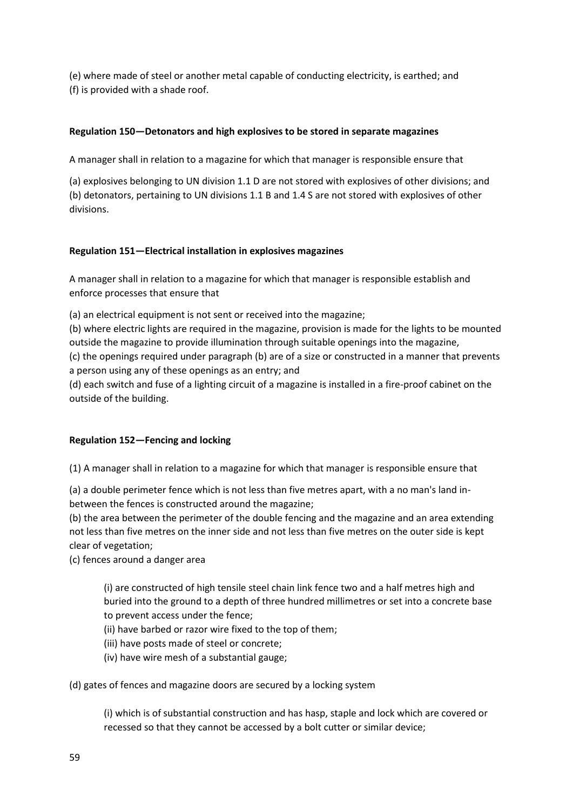(e) where made of steel or another metal capable of conducting electricity, is earthed; and (f) is provided with a shade roof.

## **Regulation 150—Detonators and high explosives to be stored in separate magazines**

A manager shall in relation to a magazine for which that manager is responsible ensure that

(a) explosives belonging to UN division 1.1 D are not stored with explosives of other divisions; and (b) detonators, pertaining to UN divisions 1.1 B and 1.4 S are not stored with explosives of other divisions.

## **Regulation 151—Electrical installation in explosives magazines**

A manager shall in relation to a magazine for which that manager is responsible establish and enforce processes that ensure that

(a) an electrical equipment is not sent or received into the magazine;

(b) where electric lights are required in the magazine, provision is made for the lights to be mounted outside the magazine to provide illumination through suitable openings into the magazine, (c) the openings required under paragraph (b) are of a size or constructed in a manner that prevents

a person using any of these openings as an entry; and

(d) each switch and fuse of a lighting circuit of a magazine is installed in a fire-proof cabinet on the outside of the building.

#### **Regulation 152—Fencing and locking**

(1) A manager shall in relation to a magazine for which that manager is responsible ensure that

(a) a double perimeter fence which is not less than five metres apart, with a no man's land inbetween the fences is constructed around the magazine;

(b) the area between the perimeter of the double fencing and the magazine and an area extending not less than five metres on the inner side and not less than five metres on the outer side is kept clear of vegetation;

(c) fences around a danger area

(i) are constructed of high tensile steel chain link fence two and a half metres high and buried into the ground to a depth of three hundred millimetres or set into a concrete base to prevent access under the fence;

(ii) have barbed or razor wire fixed to the top of them;

- (iii) have posts made of steel or concrete;
- (iv) have wire mesh of a substantial gauge;

(d) gates of fences and magazine doors are secured by a locking system

(i) which is of substantial construction and has hasp, staple and lock which are covered or recessed so that they cannot be accessed by a bolt cutter or similar device;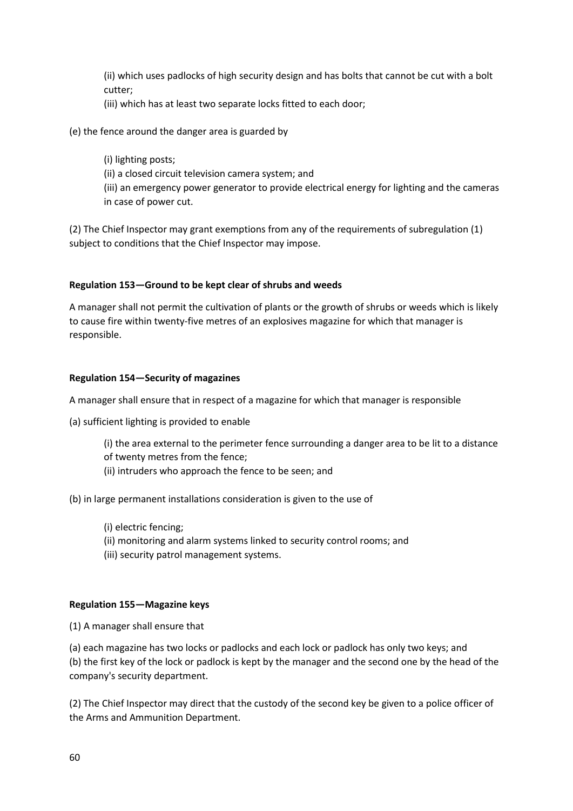(ii) which uses padlocks of high security design and has bolts that cannot be cut with a bolt cutter;

(iii) which has at least two separate locks fitted to each door;

(e) the fence around the danger area is guarded by

(i) lighting posts; (ii) a closed circuit television camera system; and (iii) an emergency power generator to provide electrical energy for lighting and the cameras in case of power cut.

(2) The Chief Inspector may grant exemptions from any of the requirements of subregulation (1) subject to conditions that the Chief Inspector may impose.

## **Regulation 153—Ground to be kept clear of shrubs and weeds**

A manager shall not permit the cultivation of plants or the growth of shrubs or weeds which is likely to cause fire within twenty-five metres of an explosives magazine for which that manager is responsible.

#### **Regulation 154—Security of magazines**

A manager shall ensure that in respect of a magazine for which that manager is responsible

- (a) sufficient lighting is provided to enable
	- (i) the area external to the perimeter fence surrounding a danger area to be lit to a distance
	- of twenty metres from the fence;
	- (ii) intruders who approach the fence to be seen; and

#### (b) in large permanent installations consideration is given to the use of

- (i) electric fencing;
- (ii) monitoring and alarm systems linked to security control rooms; and
- (iii) security patrol management systems.

#### **Regulation 155—Magazine keys**

(1) A manager shall ensure that

(a) each magazine has two locks or padlocks and each lock or padlock has only two keys; and (b) the first key of the lock or padlock is kept by the manager and the second one by the head of the company's security department.

(2) The Chief Inspector may direct that the custody of the second key be given to a police officer of the Arms and Ammunition Department.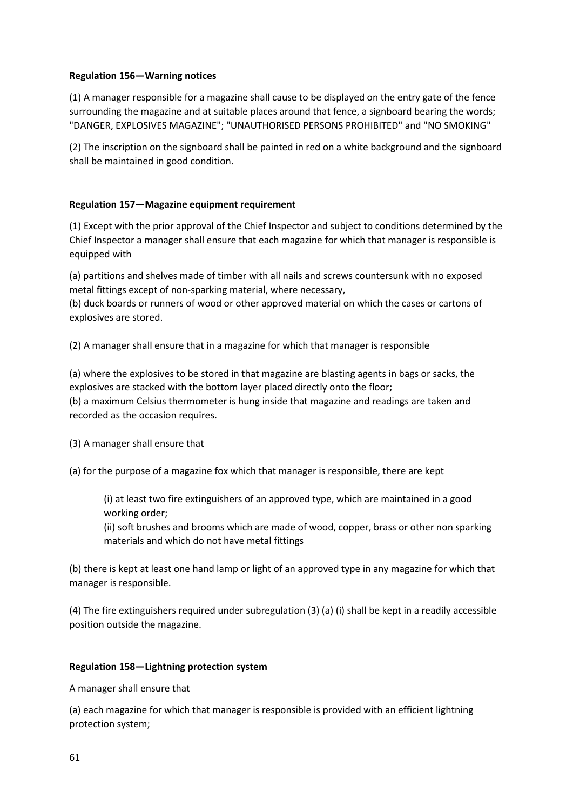## **Regulation 156—Warning notices**

(1) A manager responsible for a magazine shall cause to be displayed on the entry gate of the fence surrounding the magazine and at suitable places around that fence, a signboard bearing the words; "DANGER, EXPLOSIVES MAGAZINE"; "UNAUTHORISED PERSONS PROHIBITED" and "NO SMOKING"

(2) The inscription on the signboard shall be painted in red on a white background and the signboard shall be maintained in good condition.

## **Regulation 157—Magazine equipment requirement**

(1) Except with the prior approval of the Chief Inspector and subject to conditions determined by the Chief Inspector a manager shall ensure that each magazine for which that manager is responsible is equipped with

(a) partitions and shelves made of timber with all nails and screws countersunk with no exposed metal fittings except of non-sparking material, where necessary,

(b) duck boards or runners of wood or other approved material on which the cases or cartons of explosives are stored.

(2) A manager shall ensure that in a magazine for which that manager is responsible

(a) where the explosives to be stored in that magazine are blasting agents in bags or sacks, the explosives are stacked with the bottom layer placed directly onto the floor; (b) a maximum Celsius thermometer is hung inside that magazine and readings are taken and recorded as the occasion requires.

(3) A manager shall ensure that

(a) for the purpose of a magazine fox which that manager is responsible, there are kept

(i) at least two fire extinguishers of an approved type, which are maintained in a good working order;

(ii) soft brushes and brooms which are made of wood, copper, brass or other non sparking materials and which do not have metal fittings

(b) there is kept at least one hand lamp or light of an approved type in any magazine for which that manager is responsible.

(4) The fire extinguishers required under subregulation (3) (a) (i) shall be kept in a readily accessible position outside the magazine.

## **Regulation 158—Lightning protection system**

A manager shall ensure that

(a) each magazine for which that manager is responsible is provided with an efficient lightning protection system;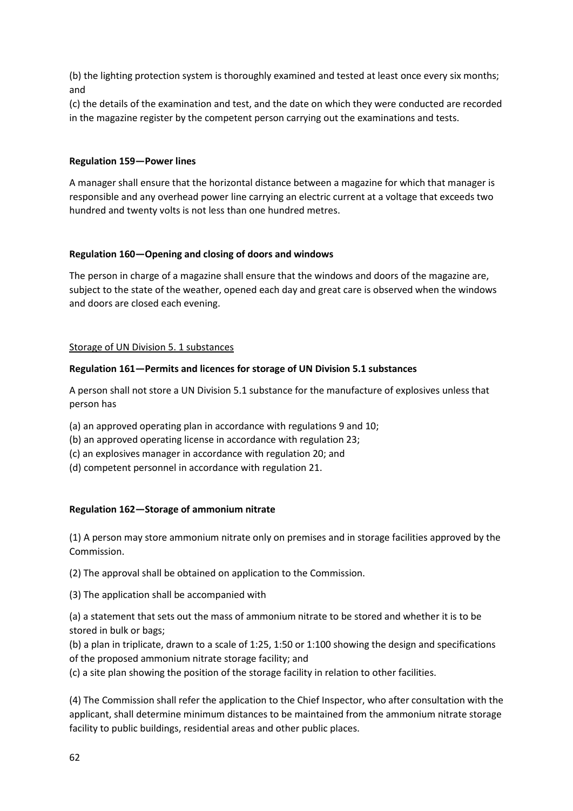(b) the lighting protection system is thoroughly examined and tested at least once every six months; and

(c) the details of the examination and test, and the date on which they were conducted are recorded in the magazine register by the competent person carrying out the examinations and tests.

#### **Regulation 159—Power lines**

A manager shall ensure that the horizontal distance between a magazine for which that manager is responsible and any overhead power line carrying an electric current at a voltage that exceeds two hundred and twenty volts is not less than one hundred metres.

#### **Regulation 160—Opening and closing of doors and windows**

The person in charge of a magazine shall ensure that the windows and doors of the magazine are, subject to the state of the weather, opened each day and great care is observed when the windows and doors are closed each evening.

## Storage of UN Division 5. 1 substances

## **Regulation 161—Permits and licences for storage of UN Division 5.1 substances**

A person shall not store a UN Division 5.1 substance for the manufacture of explosives unless that person has

- (a) an approved operating plan in accordance with regulations 9 and 10;
- (b) an approved operating license in accordance with regulation 23;
- (c) an explosives manager in accordance with regulation 20; and
- (d) competent personnel in accordance with regulation 21.

#### **Regulation 162—Storage of ammonium nitrate**

(1) A person may store ammonium nitrate only on premises and in storage facilities approved by the Commission.

(2) The approval shall be obtained on application to the Commission.

(3) The application shall be accompanied with

(a) a statement that sets out the mass of ammonium nitrate to be stored and whether it is to be stored in bulk or bags;

(b) a plan in triplicate, drawn to a scale of 1:25, 1:50 or 1:100 showing the design and specifications of the proposed ammonium nitrate storage facility; and

(c) a site plan showing the position of the storage facility in relation to other facilities.

(4) The Commission shall refer the application to the Chief Inspector, who after consultation with the applicant, shall determine minimum distances to be maintained from the ammonium nitrate storage facility to public buildings, residential areas and other public places.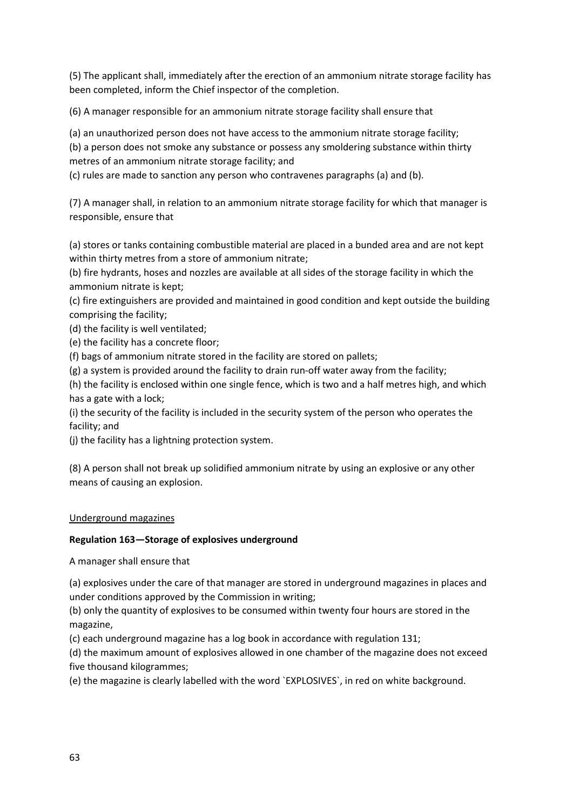(5) The applicant shall, immediately after the erection of an ammonium nitrate storage facility has been completed, inform the Chief inspector of the completion.

(6) A manager responsible for an ammonium nitrate storage facility shall ensure that

(a) an unauthorized person does not have access to the ammonium nitrate storage facility;

(b) a person does not smoke any substance or possess any smoldering substance within thirty metres of an ammonium nitrate storage facility; and

(c) rules are made to sanction any person who contravenes paragraphs (a) and (b).

(7) A manager shall, in relation to an ammonium nitrate storage facility for which that manager is responsible, ensure that

(a) stores or tanks containing combustible material are placed in a bunded area and are not kept within thirty metres from a store of ammonium nitrate;

(b) fire hydrants, hoses and nozzles are available at all sides of the storage facility in which the ammonium nitrate is kept;

(c) fire extinguishers are provided and maintained in good condition and kept outside the building comprising the facility;

(d) the facility is well ventilated;

(e) the facility has a concrete floor;

(f) bags of ammonium nitrate stored in the facility are stored on pallets;

(g) a system is provided around the facility to drain run-off water away from the facility;

(h) the facility is enclosed within one single fence, which is two and a half metres high, and which has a gate with a lock;

(i) the security of the facility is included in the security system of the person who operates the facility; and

(j) the facility has a lightning protection system.

(8) A person shall not break up solidified ammonium nitrate by using an explosive or any other means of causing an explosion.

## Underground magazines

## **Regulation 163—Storage of explosives underground**

A manager shall ensure that

(a) explosives under the care of that manager are stored in underground magazines in places and under conditions approved by the Commission in writing;

(b) only the quantity of explosives to be consumed within twenty four hours are stored in the magazine,

(c) each underground magazine has a log book in accordance with regulation 131;

(d) the maximum amount of explosives allowed in one chamber of the magazine does not exceed five thousand kilogrammes;

(e) the magazine is clearly labelled with the word `EXPLOSIVES`, in red on white background.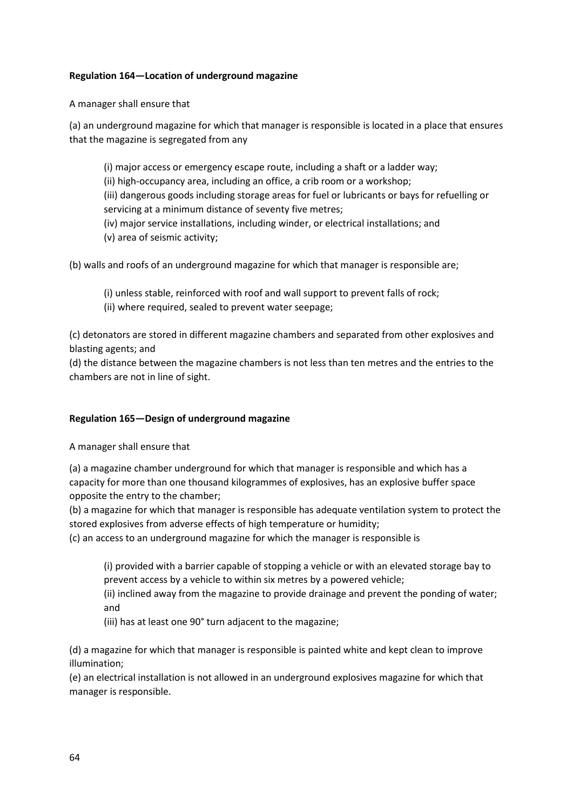## **Regulation 164—Location of underground magazine**

A manager shall ensure that

(a) an underground magazine for which that manager is responsible is located in a place that ensures that the magazine is segregated from any

(i) major access or emergency escape route, including a shaft or a ladder way;

(ii) high-occupancy area, including an office, a crib room or a workshop;

(iii) dangerous goods including storage areas for fuel or lubricants or bays for refuelling or servicing at a minimum distance of seventy five metres;

(iv) major service installations, including winder, or electrical installations; and

(v) area of seismic activity;

(b) walls and roofs of an underground magazine for which that manager is responsible are;

- (i) unless stable, reinforced with roof and wall support to prevent falls of rock;
- (ii) where required, sealed to prevent water seepage;

(c) detonators are stored in different magazine chambers and separated from other explosives and blasting agents; and

(d) the distance between the magazine chambers is not less than ten metres and the entries to the chambers are not in line of sight.

## **Regulation 165—Design of underground magazine**

A manager shall ensure that

(a) a magazine chamber underground for which that manager is responsible and which has a capacity for more than one thousand kilogrammes of explosives, has an explosive buffer space opposite the entry to the chamber;

(b) a magazine for which that manager is responsible has adequate ventilation system to protect the stored explosives from adverse effects of high temperature or humidity;

(c) an access to an underground magazine for which the manager is responsible is

(i) provided with a barrier capable of stopping a vehicle or with an elevated storage bay to prevent access by a vehicle to within six metres by a powered vehicle;

(ii) inclined away from the magazine to provide drainage and prevent the ponding of water; and

(iii) has at least one 90° turn adjacent to the magazine;

(d) a magazine for which that manager is responsible is painted white and kept clean to improve illumination;

(e) an electrical installation is not allowed in an underground explosives magazine for which that manager is responsible.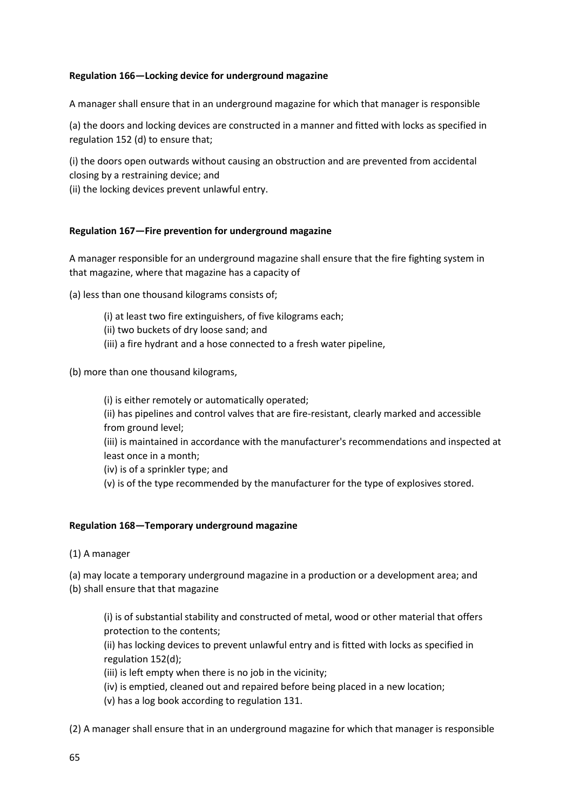## **Regulation 166—Locking device for underground magazine**

A manager shall ensure that in an underground magazine for which that manager is responsible

(a) the doors and locking devices are constructed in a manner and fitted with locks as specified in regulation 152 (d) to ensure that;

(i) the doors open outwards without causing an obstruction and are prevented from accidental closing by a restraining device; and

(ii) the locking devices prevent unlawful entry.

#### **Regulation 167—Fire prevention for underground magazine**

A manager responsible for an underground magazine shall ensure that the fire fighting system in that magazine, where that magazine has a capacity of

(a) less than one thousand kilograms consists of;

- (i) at least two fire extinguishers, of five kilograms each;
- (ii) two buckets of dry loose sand; and
- (iii) a fire hydrant and a hose connected to a fresh water pipeline,

(b) more than one thousand kilograms,

(i) is either remotely or automatically operated;

(ii) has pipelines and control valves that are fire-resistant, clearly marked and accessible from ground level;

(iii) is maintained in accordance with the manufacturer's recommendations and inspected at least once in a month;

(iv) is of a sprinkler type; and

(v) is of the type recommended by the manufacturer for the type of explosives stored.

#### **Regulation 168—Temporary underground magazine**

(1) A manager

(a) may locate a temporary underground magazine in a production or a development area; and (b) shall ensure that that magazine

(i) is of substantial stability and constructed of metal, wood or other material that offers protection to the contents;

(ii) has locking devices to prevent unlawful entry and is fitted with locks as specified in regulation 152(d);

(iii) is left empty when there is no job in the vicinity;

(iv) is emptied, cleaned out and repaired before being placed in a new location;

(v) has a log book according to regulation 131.

(2) A manager shall ensure that in an underground magazine for which that manager is responsible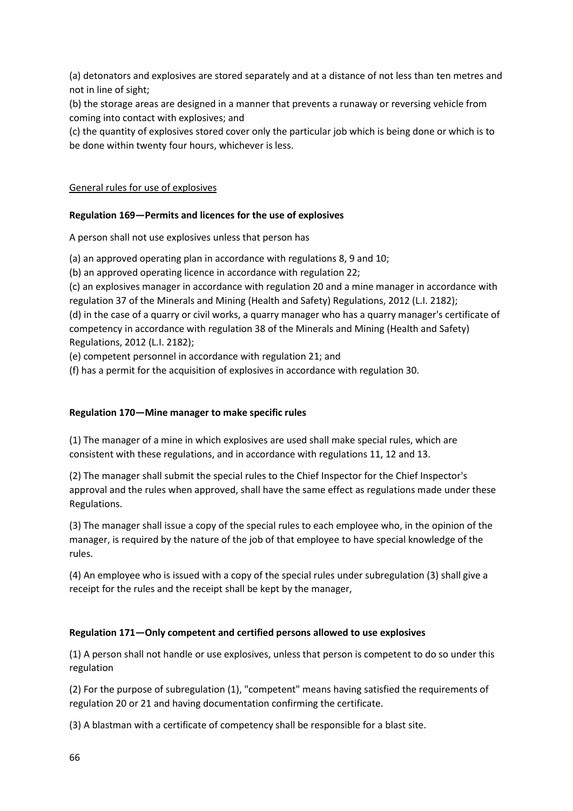(a) detonators and explosives are stored separately and at a distance of not less than ten metres and not in line of sight;

(b) the storage areas are designed in a manner that prevents a runaway or reversing vehicle from coming into contact with explosives; and

(c) the quantity of explosives stored cover only the particular job which is being done or which is to be done within twenty four hours, whichever is less.

## General rules for use of explosives

## **Regulation 169—Permits and licences for the use of explosives**

A person shall not use explosives unless that person has

(a) an approved operating plan in accordance with regulations 8, 9 and 10;

(b) an approved operating licence in accordance with regulation 22;

(c) an explosives manager in accordance with regulation 20 and a mine manager in accordance with regulation 37 of the Minerals and Mining (Health and Safety) Regulations, 2012 (L.I. 2182);

(d) in the case of a quarry or civil works, a quarry manager who has a quarry manager's certificate of competency in accordance with regulation 38 of the Minerals and Mining (Health and Safety) Regulations, 2012 (L.I. 2182);

(e) competent personnel in accordance with regulation 21; and

(f) has a permit for the acquisition of explosives in accordance with regulation 30.

## **Regulation 170—Mine manager to make specific rules**

(1) The manager of a mine in which explosives are used shall make special rules, which are consistent with these regulations, and in accordance with regulations 11, 12 and 13.

(2) The manager shall submit the special rules to the Chief Inspector for the Chief Inspector's approval and the rules when approved, shall have the same effect as regulations made under these Regulations.

(3) The manager shall issue a copy of the special rules to each employee who, in the opinion of the manager, is required by the nature of the job of that employee to have special knowledge of the rules.

(4) An employee who is issued with a copy of the special rules under subregulation (3) shall give a receipt for the rules and the receipt shall be kept by the manager,

## **Regulation 171—Only competent and certified persons allowed to use explosives**

(1) A person shall not handle or use explosives, unless that person is competent to do so under this regulation

(2) For the purpose of subregulation (1), "competent" means having satisfied the requirements of regulation 20 or 21 and having documentation confirming the certificate.

(3) A blastman with a certificate of competency shall be responsible for a blast site.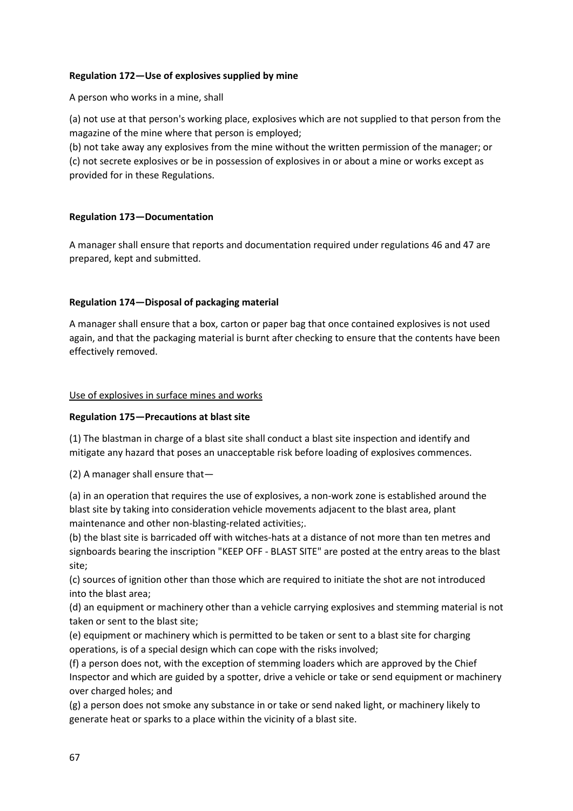## **Regulation 172—Use of explosives supplied by mine**

A person who works in a mine, shall

(a) not use at that person's working place, explosives which are not supplied to that person from the magazine of the mine where that person is employed;

(b) not take away any explosives from the mine without the written permission of the manager; or (c) not secrete explosives or be in possession of explosives in or about a mine or works except as provided for in these Regulations.

## **Regulation 173—Documentation**

A manager shall ensure that reports and documentation required under regulations 46 and 47 are prepared, kept and submitted.

## **Regulation 174—Disposal of packaging material**

A manager shall ensure that a box, carton or paper bag that once contained explosives is not used again, and that the packaging material is burnt after checking to ensure that the contents have been effectively removed.

## Use of explosives in surface mines and works

#### **Regulation 175—Precautions at blast site**

(1) The blastman in charge of a blast site shall conduct a blast site inspection and identify and mitigate any hazard that poses an unacceptable risk before loading of explosives commences.

(2) A manager shall ensure that—

(a) in an operation that requires the use of explosives, a non-work zone is established around the blast site by taking into consideration vehicle movements adjacent to the blast area, plant maintenance and other non-blasting-related activities;.

(b) the blast site is barricaded off with witches-hats at a distance of not more than ten metres and signboards bearing the inscription "KEEP OFF - BLAST SITE" are posted at the entry areas to the blast site;

(c) sources of ignition other than those which are required to initiate the shot are not introduced into the blast area;

(d) an equipment or machinery other than a vehicle carrying explosives and stemming material is not taken or sent to the blast site;

(e) equipment or machinery which is permitted to be taken or sent to a blast site for charging operations, is of a special design which can cope with the risks involved;

(f) a person does not, with the exception of stemming loaders which are approved by the Chief Inspector and which are guided by a spotter, drive a vehicle or take or send equipment or machinery over charged holes; and

(g) a person does not smoke any substance in or take or send naked light, or machinery likely to generate heat or sparks to a place within the vicinity of a blast site.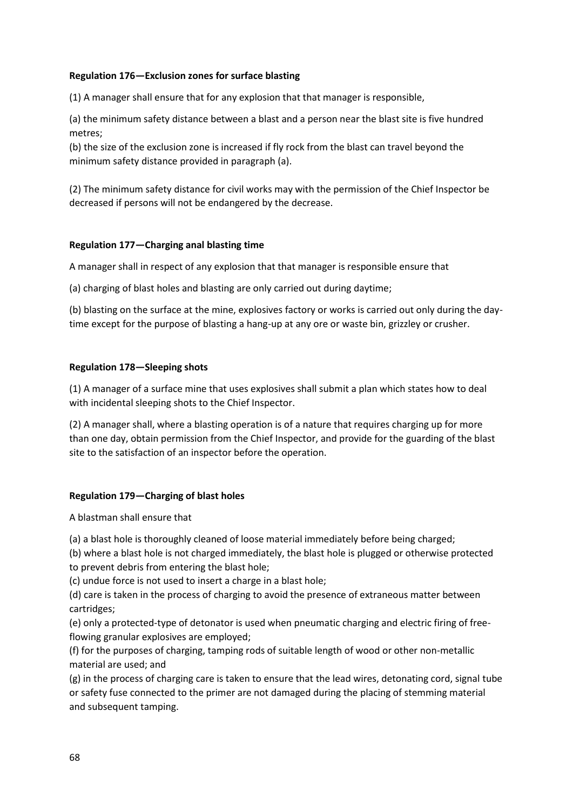## **Regulation 176—Exclusion zones for surface blasting**

(1) A manager shall ensure that for any explosion that that manager is responsible,

(a) the minimum safety distance between a blast and a person near the blast site is five hundred metres;

(b) the size of the exclusion zone is increased if fly rock from the blast can travel beyond the minimum safety distance provided in paragraph (a).

(2) The minimum safety distance for civil works may with the permission of the Chief Inspector be decreased if persons will not be endangered by the decrease.

## **Regulation 177—Charging anal blasting time**

A manager shall in respect of any explosion that that manager is responsible ensure that

(a) charging of blast holes and blasting are only carried out during daytime;

(b) blasting on the surface at the mine, explosives factory or works is carried out only during the daytime except for the purpose of blasting a hang-up at any ore or waste bin, grizzley or crusher.

## **Regulation 178—Sleeping shots**

(1) A manager of a surface mine that uses explosives shall submit a plan which states how to deal with incidental sleeping shots to the Chief Inspector.

(2) A manager shall, where a blasting operation is of a nature that requires charging up for more than one day, obtain permission from the Chief Inspector, and provide for the guarding of the blast site to the satisfaction of an inspector before the operation.

## **Regulation 179—Charging of blast holes**

A blastman shall ensure that

(a) a blast hole is thoroughly cleaned of loose material immediately before being charged;

(b) where a blast hole is not charged immediately, the blast hole is plugged or otherwise protected to prevent debris from entering the blast hole;

(c) undue force is not used to insert a charge in a blast hole;

(d) care is taken in the process of charging to avoid the presence of extraneous matter between cartridges;

(e) only a protected-type of detonator is used when pneumatic charging and electric firing of freeflowing granular explosives are employed;

(f) for the purposes of charging, tamping rods of suitable length of wood or other non-metallic material are used; and

(g) in the process of charging care is taken to ensure that the lead wires, detonating cord, signal tube or safety fuse connected to the primer are not damaged during the placing of stemming material and subsequent tamping.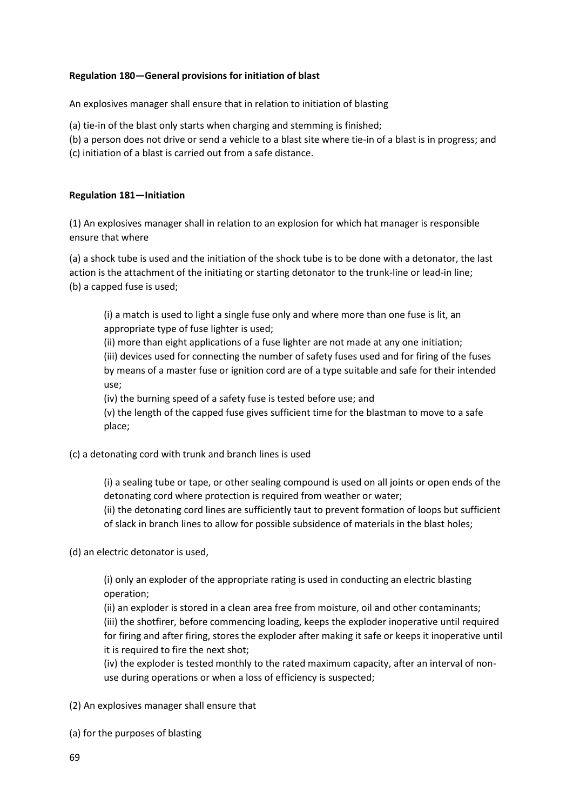## **Regulation 180—General provisions for initiation of blast**

An explosives manager shall ensure that in relation to initiation of blasting

(a) tie-in of the blast only starts when charging and stemming is finished;

(b) a person does not drive or send a vehicle to a blast site where tie-in of a blast is in progress; and

(c) initiation of a blast is carried out from a safe distance.

### **Regulation 181—Initiation**

(1) An explosives manager shall in relation to an explosion for which hat manager is responsible ensure that where

(a) a shock tube is used and the initiation of the shock tube is to be done with a detonator, the last action is the attachment of the initiating or starting detonator to the trunk-line or lead-in line; (b) a capped fuse is used;

(i) a match is used to light a single fuse only and where more than one fuse is lit, an appropriate type of fuse lighter is used;

(ii) more than eight applications of a fuse lighter are not made at any one initiation; (iii) devices used for connecting the number of safety fuses used and for firing of the fuses by means of a master fuse or ignition cord are of a type suitable and safe for their intended use;

(iv) the burning speed of a safety fuse is tested before use; and

(v) the length of the capped fuse gives sufficient time for the blastman to move to a safe place;

(c) a detonating cord with trunk and branch lines is used

(i) a sealing tube or tape, or other sealing compound is used on all joints or open ends of the detonating cord where protection is required from weather or water;

(ii) the detonating cord lines are sufficiently taut to prevent formation of loops but sufficient of slack in branch lines to allow for possible subsidence of materials in the blast holes;

(d) an electric detonator is used,

(i) only an exploder of the appropriate rating is used in conducting an electric blasting operation;

(ii) an exploder is stored in a clean area free from moisture, oil and other contaminants; (iii) the shotfirer, before commencing loading, keeps the exploder inoperative until required for firing and after firing, stores the exploder after making it safe or keeps it inoperative until it is required to fire the next shot;

(iv) the exploder is tested monthly to the rated maximum capacity, after an interval of nonuse during operations or when a loss of efficiency is suspected;

(2) An explosives manager shall ensure that

(a) for the purposes of blasting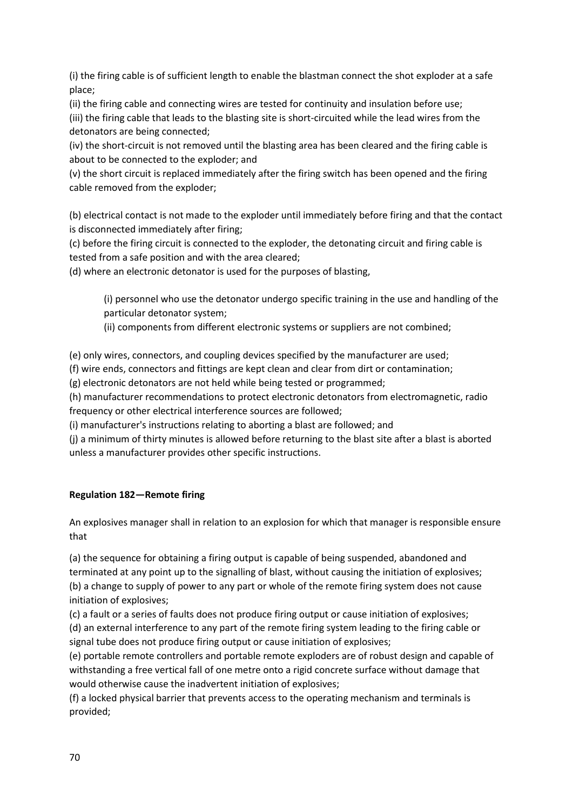(i) the firing cable is of sufficient length to enable the blastman connect the shot exploder at a safe place;

(ii) the firing cable and connecting wires are tested for continuity and insulation before use; (iii) the firing cable that leads to the blasting site is short-circuited while the lead wires from the detonators are being connected;

(iv) the short-circuit is not removed until the blasting area has been cleared and the firing cable is about to be connected to the exploder; and

(v) the short circuit is replaced immediately after the firing switch has been opened and the firing cable removed from the exploder;

(b) electrical contact is not made to the exploder until immediately before firing and that the contact is disconnected immediately after firing;

(c) before the firing circuit is connected to the exploder, the detonating circuit and firing cable is tested from a safe position and with the area cleared;

(d) where an electronic detonator is used for the purposes of blasting,

(i) personnel who use the detonator undergo specific training in the use and handling of the particular detonator system;

(ii) components from different electronic systems or suppliers are not combined;

(e) only wires, connectors, and coupling devices specified by the manufacturer are used;

(f) wire ends, connectors and fittings are kept clean and clear from dirt or contamination;

(g) electronic detonators are not held while being tested or programmed;

(h) manufacturer recommendations to protect electronic detonators from electromagnetic, radio frequency or other electrical interference sources are followed;

(i) manufacturer's instructions relating to aborting a blast are followed; and

(j) a minimum of thirty minutes is allowed before returning to the blast site after a blast is aborted unless a manufacturer provides other specific instructions.

# **Regulation 182—Remote firing**

An explosives manager shall in relation to an explosion for which that manager is responsible ensure that

(a) the sequence for obtaining a firing output is capable of being suspended, abandoned and terminated at any point up to the signalling of blast, without causing the initiation of explosives; (b) a change to supply of power to any part or whole of the remote firing system does not cause initiation of explosives;

(c) a fault or a series of faults does not produce firing output or cause initiation of explosives; (d) an external interference to any part of the remote firing system leading to the firing cable or signal tube does not produce firing output or cause initiation of explosives;

(e) portable remote controllers and portable remote exploders are of robust design and capable of withstanding a free vertical fall of one metre onto a rigid concrete surface without damage that would otherwise cause the inadvertent initiation of explosives;

(f) a locked physical barrier that prevents access to the operating mechanism and terminals is provided;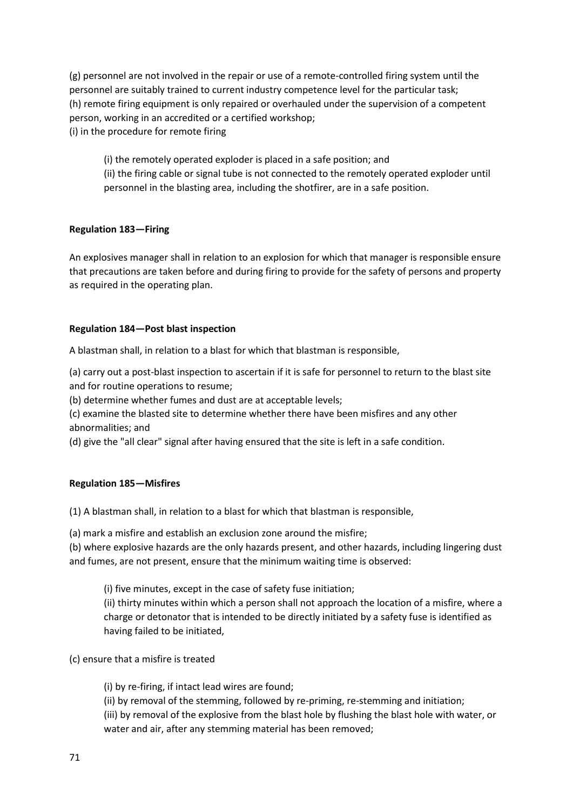(g) personnel are not involved in the repair or use of a remote-controlled firing system until the personnel are suitably trained to current industry competence level for the particular task; (h) remote firing equipment is only repaired or overhauled under the supervision of a competent person, working in an accredited or a certified workshop; (i) in the procedure for remote firing

(i) the remotely operated exploder is placed in a safe position; and (ii) the firing cable or signal tube is not connected to the remotely operated exploder until personnel in the blasting area, including the shotfirer, are in a safe position.

## **Regulation 183—Firing**

An explosives manager shall in relation to an explosion for which that manager is responsible ensure that precautions are taken before and during firing to provide for the safety of persons and property as required in the operating plan.

## **Regulation 184—Post blast inspection**

A blastman shall, in relation to a blast for which that blastman is responsible,

(a) carry out a post-blast inspection to ascertain if it is safe for personnel to return to the blast site and for routine operations to resume;

(b) determine whether fumes and dust are at acceptable levels;

(c) examine the blasted site to determine whether there have been misfires and any other abnormalities; and

(d) give the "all clear" signal after having ensured that the site is left in a safe condition.

## **Regulation 185—Misfires**

(1) A blastman shall, in relation to a blast for which that blastman is responsible,

(a) mark a misfire and establish an exclusion zone around the misfire;

(b) where explosive hazards are the only hazards present, and other hazards, including lingering dust and fumes, are not present, ensure that the minimum waiting time is observed:

(i) five minutes, except in the case of safety fuse initiation;

(ii) thirty minutes within which a person shall not approach the location of a misfire, where a charge or detonator that is intended to be directly initiated by a safety fuse is identified as having failed to be initiated,

(c) ensure that a misfire is treated

(i) by re-firing, if intact lead wires are found;

(ii) by removal of the stemming, followed by re-priming, re-stemming and initiation;

(iii) by removal of the explosive from the blast hole by flushing the blast hole with water, or water and air, after any stemming material has been removed;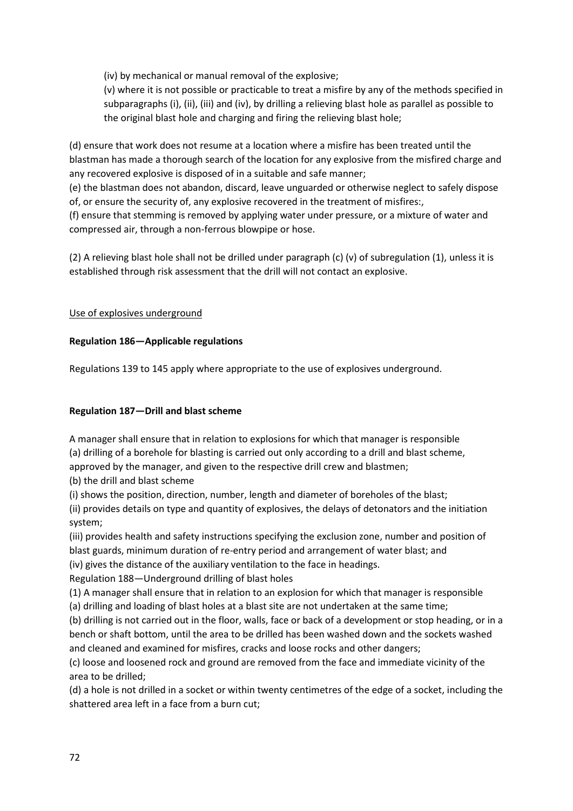(iv) by mechanical or manual removal of the explosive;

(v) where it is not possible or practicable to treat a misfire by any of the methods specified in subparagraphs (i), (ii), (iii) and (iv), by drilling a relieving blast hole as parallel as possible to the original blast hole and charging and firing the relieving blast hole;

(d) ensure that work does not resume at a location where a misfire has been treated until the blastman has made a thorough search of the location for any explosive from the misfired charge and any recovered explosive is disposed of in a suitable and safe manner;

(e) the blastman does not abandon, discard, leave unguarded or otherwise neglect to safely dispose of, or ensure the security of, any explosive recovered in the treatment of misfires:,

(f) ensure that stemming is removed by applying water under pressure, or a mixture of water and compressed air, through a non-ferrous blowpipe or hose.

(2) A relieving blast hole shall not be drilled under paragraph (c) (v) of subregulation (1), unless it is established through risk assessment that the drill will not contact an explosive.

# Use of explosives underground

# **Regulation 186—Applicable regulations**

Regulations 139 to 145 apply where appropriate to the use of explosives underground.

# **Regulation 187—Drill and blast scheme**

A manager shall ensure that in relation to explosions for which that manager is responsible

(a) drilling of a borehole for blasting is carried out only according to a drill and blast scheme,

approved by the manager, and given to the respective drill crew and blastmen;

(b) the drill and blast scheme

(i) shows the position, direction, number, length and diameter of boreholes of the blast;

(ii) provides details on type and quantity of explosives, the delays of detonators and the initiation system;

(iii) provides health and safety instructions specifying the exclusion zone, number and position of blast guards, minimum duration of re-entry period and arrangement of water blast; and (iv) gives the distance of the auxiliary ventilation to the face in headings.

Regulation 188—Underground drilling of blast holes

(1) A manager shall ensure that in relation to an explosion for which that manager is responsible (a) drilling and loading of blast holes at a blast site are not undertaken at the same time;

(b) drilling is not carried out in the floor, walls, face or back of a development or stop heading, or in a bench or shaft bottom, until the area to be drilled has been washed down and the sockets washed and cleaned and examined for misfires, cracks and loose rocks and other dangers;

(c) loose and loosened rock and ground are removed from the face and immediate vicinity of the area to be drilled;

(d) a hole is not drilled in a socket or within twenty centimetres of the edge of a socket, including the shattered area left in a face from a burn cut;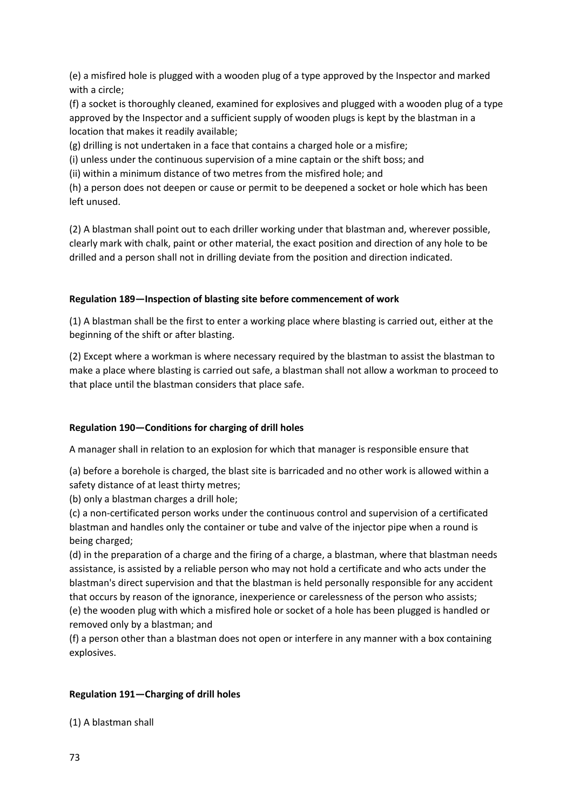(e) a misfired hole is plugged with a wooden plug of a type approved by the Inspector and marked with a circle;

(f) a socket is thoroughly cleaned, examined for explosives and plugged with a wooden plug of a type approved by the Inspector and a sufficient supply of wooden plugs is kept by the blastman in a location that makes it readily available;

(g) drilling is not undertaken in a face that contains a charged hole or a misfire;

(i) unless under the continuous supervision of a mine captain or the shift boss; and

(ii) within a minimum distance of two metres from the misfired hole; and

(h) a person does not deepen or cause or permit to be deepened a socket or hole which has been left unused.

(2) A blastman shall point out to each driller working under that blastman and, wherever possible, clearly mark with chalk, paint or other material, the exact position and direction of any hole to be drilled and a person shall not in drilling deviate from the position and direction indicated.

## **Regulation 189—Inspection of blasting site before commencement of work**

(1) A blastman shall be the first to enter a working place where blasting is carried out, either at the beginning of the shift or after blasting.

(2) Except where a workman is where necessary required by the blastman to assist the blastman to make a place where blasting is carried out safe, a blastman shall not allow a workman to proceed to that place until the blastman considers that place safe.

# **Regulation 190—Conditions for charging of drill holes**

A manager shall in relation to an explosion for which that manager is responsible ensure that

(a) before a borehole is charged, the blast site is barricaded and no other work is allowed within a safety distance of at least thirty metres;

(b) only a blastman charges a drill hole;

(c) a non-certificated person works under the continuous control and supervision of a certificated blastman and handles only the container or tube and valve of the injector pipe when a round is being charged;

(d) in the preparation of a charge and the firing of a charge, a blastman, where that blastman needs assistance, is assisted by a reliable person who may not hold a certificate and who acts under the blastman's direct supervision and that the blastman is held personally responsible for any accident that occurs by reason of the ignorance, inexperience or carelessness of the person who assists; (e) the wooden plug with which a misfired hole or socket of a hole has been plugged is handled or removed only by a blastman; and

(f) a person other than a blastman does not open or interfere in any manner with a box containing explosives.

# **Regulation 191—Charging of drill holes**

(1) A blastman shall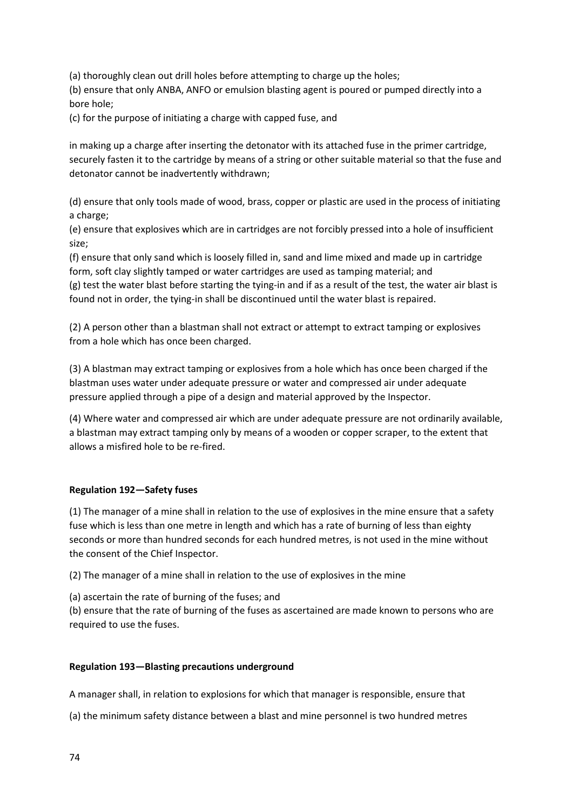(a) thoroughly clean out drill holes before attempting to charge up the holes;

(b) ensure that only ANBA, ANFO or emulsion blasting agent is poured or pumped directly into a bore hole;

(c) for the purpose of initiating a charge with capped fuse, and

in making up a charge after inserting the detonator with its attached fuse in the primer cartridge, securely fasten it to the cartridge by means of a string or other suitable material so that the fuse and detonator cannot be inadvertently withdrawn;

(d) ensure that only tools made of wood, brass, copper or plastic are used in the process of initiating a charge;

(e) ensure that explosives which are in cartridges are not forcibly pressed into a hole of insufficient size;

(f) ensure that only sand which is loosely filled in, sand and lime mixed and made up in cartridge form, soft clay slightly tamped or water cartridges are used as tamping material; and (g) test the water blast before starting the tying-in and if as a result of the test, the water air blast is found not in order, the tying-in shall be discontinued until the water blast is repaired.

(2) A person other than a blastman shall not extract or attempt to extract tamping or explosives from a hole which has once been charged.

(3) A blastman may extract tamping or explosives from a hole which has once been charged if the blastman uses water under adequate pressure or water and compressed air under adequate pressure applied through a pipe of a design and material approved by the Inspector.

(4) Where water and compressed air which are under adequate pressure are not ordinarily available, a blastman may extract tamping only by means of a wooden or copper scraper, to the extent that allows a misfired hole to be re-fired.

### **Regulation 192—Safety fuses**

(1) The manager of a mine shall in relation to the use of explosives in the mine ensure that a safety fuse which is less than one metre in length and which has a rate of burning of less than eighty seconds or more than hundred seconds for each hundred metres, is not used in the mine without the consent of the Chief Inspector.

(2) The manager of a mine shall in relation to the use of explosives in the mine

(a) ascertain the rate of burning of the fuses; and

(b) ensure that the rate of burning of the fuses as ascertained are made known to persons who are required to use the fuses.

### **Regulation 193—Blasting precautions underground**

A manager shall, in relation to explosions for which that manager is responsible, ensure that

(a) the minimum safety distance between a blast and mine personnel is two hundred metres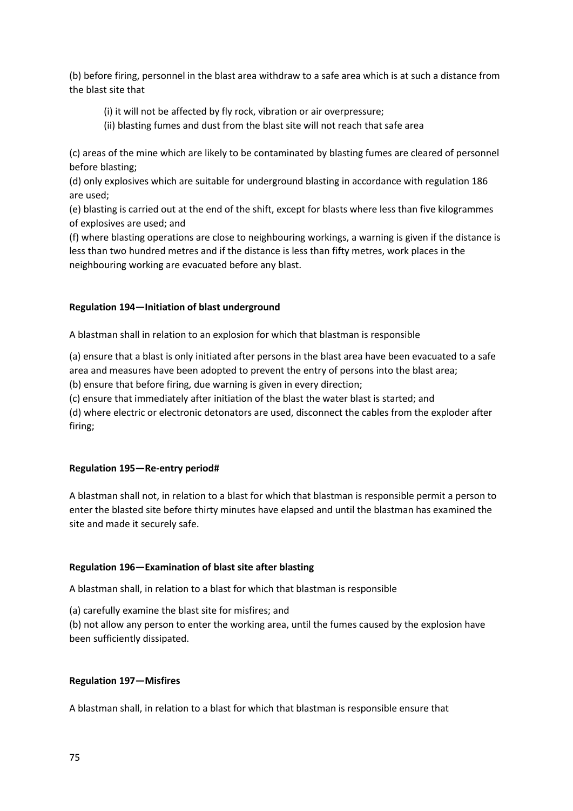(b) before firing, personnel in the blast area withdraw to a safe area which is at such a distance from the blast site that

- (i) it will not be affected by fly rock, vibration or air overpressure;
- (ii) blasting fumes and dust from the blast site will not reach that safe area

(c) areas of the mine which are likely to be contaminated by blasting fumes are cleared of personnel before blasting;

(d) only explosives which are suitable for underground blasting in accordance with regulation 186 are used;

(e) blasting is carried out at the end of the shift, except for blasts where less than five kilogrammes of explosives are used; and

(f) where blasting operations are close to neighbouring workings, a warning is given if the distance is less than two hundred metres and if the distance is less than fifty metres, work places in the neighbouring working are evacuated before any blast.

## **Regulation 194—Initiation of blast underground**

A blastman shall in relation to an explosion for which that blastman is responsible

(a) ensure that a blast is only initiated after persons in the blast area have been evacuated to a safe area and measures have been adopted to prevent the entry of persons into the blast area;

(b) ensure that before firing, due warning is given in every direction;

(c) ensure that immediately after initiation of the blast the water blast is started; and

(d) where electric or electronic detonators are used, disconnect the cables from the exploder after firing;

### **Regulation 195—Re-entry period#**

A blastman shall not, in relation to a blast for which that blastman is responsible permit a person to enter the blasted site before thirty minutes have elapsed and until the blastman has examined the site and made it securely safe.

### **Regulation 196—Examination of blast site after blasting**

A blastman shall, in relation to a blast for which that blastman is responsible

(a) carefully examine the blast site for misfires; and

(b) not allow any person to enter the working area, until the fumes caused by the explosion have been sufficiently dissipated.

### **Regulation 197—Misfires**

A blastman shall, in relation to a blast for which that blastman is responsible ensure that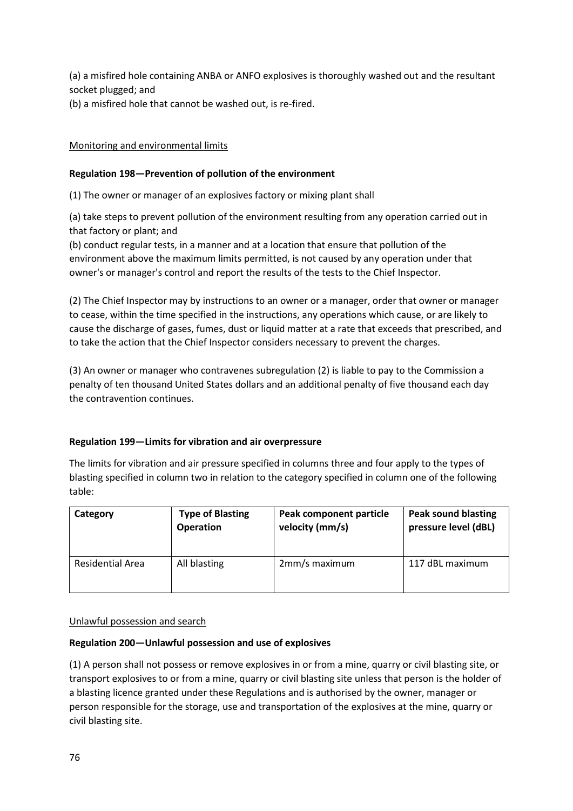(a) a misfired hole containing ANBA or ANFO explosives is thoroughly washed out and the resultant socket plugged; and

(b) a misfired hole that cannot be washed out, is re-fired.

# Monitoring and environmental limits

## **Regulation 198—Prevention of pollution of the environment**

(1) The owner or manager of an explosives factory or mixing plant shall

(a) take steps to prevent pollution of the environment resulting from any operation carried out in that factory or plant; and

(b) conduct regular tests, in a manner and at a location that ensure that pollution of the environment above the maximum limits permitted, is not caused by any operation under that owner's or manager's control and report the results of the tests to the Chief Inspector.

(2) The Chief Inspector may by instructions to an owner or a manager, order that owner or manager to cease, within the time specified in the instructions, any operations which cause, or are likely to cause the discharge of gases, fumes, dust or liquid matter at a rate that exceeds that prescribed, and to take the action that the Chief Inspector considers necessary to prevent the charges.

(3) An owner or manager who contravenes subregulation (2) is liable to pay to the Commission a penalty of ten thousand United States dollars and an additional penalty of five thousand each day the contravention continues.

# **Regulation 199—Limits for vibration and air overpressure**

The limits for vibration and air pressure specified in columns three and four apply to the types of blasting specified in column two in relation to the category specified in column one of the following table:

| Category         | <b>Type of Blasting</b> | Peak component particle | <b>Peak sound blasting</b> |
|------------------|-------------------------|-------------------------|----------------------------|
|                  | <b>Operation</b>        | velocity (mm/s)         | pressure level (dBL)       |
| Residential Area | All blasting            | 2mm/s maximum           | 117 dBL maximum            |

### Unlawful possession and search

### **Regulation 200—Unlawful possession and use of explosives**

(1) A person shall not possess or remove explosives in or from a mine, quarry or civil blasting site, or transport explosives to or from a mine, quarry or civil blasting site unless that person is the holder of a blasting licence granted under these Regulations and is authorised by the owner, manager or person responsible for the storage, use and transportation of the explosives at the mine, quarry or civil blasting site.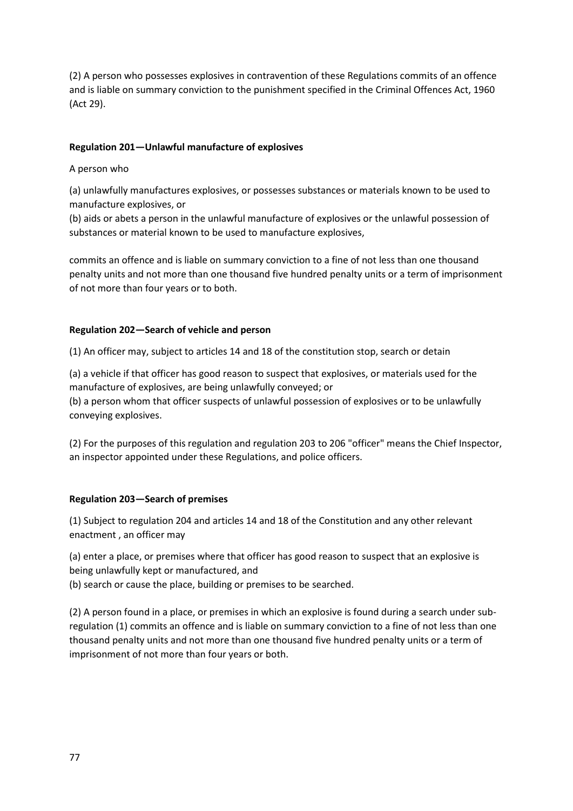(2) A person who possesses explosives in contravention of these Regulations commits of an offence and is liable on summary conviction to the punishment specified in the Criminal Offences Act, 1960 (Act 29).

## **Regulation 201—Unlawful manufacture of explosives**

A person who

(a) unlawfully manufactures explosives, or possesses substances or materials known to be used to manufacture explosives, or

(b) aids or abets a person in the unlawful manufacture of explosives or the unlawful possession of substances or material known to be used to manufacture explosives,

commits an offence and is liable on summary conviction to a fine of not less than one thousand penalty units and not more than one thousand five hundred penalty units or a term of imprisonment of not more than four years or to both.

## **Regulation 202—Search of vehicle and person**

(1) An officer may, subject to articles 14 and 18 of the constitution stop, search or detain

(a) a vehicle if that officer has good reason to suspect that explosives, or materials used for the manufacture of explosives, are being unlawfully conveyed; or

(b) a person whom that officer suspects of unlawful possession of explosives or to be unlawfully conveying explosives.

(2) For the purposes of this regulation and regulation 203 to 206 "officer" means the Chief Inspector, an inspector appointed under these Regulations, and police officers.

# **Regulation 203—Search of premises**

(1) Subject to regulation 204 and articles 14 and 18 of the Constitution and any other relevant enactment , an officer may

(a) enter a place, or premises where that officer has good reason to suspect that an explosive is being unlawfully kept or manufactured, and

(b) search or cause the place, building or premises to be searched.

(2) A person found in a place, or premises in which an explosive is found during a search under subregulation (1) commits an offence and is liable on summary conviction to a fine of not less than one thousand penalty units and not more than one thousand five hundred penalty units or a term of imprisonment of not more than four years or both.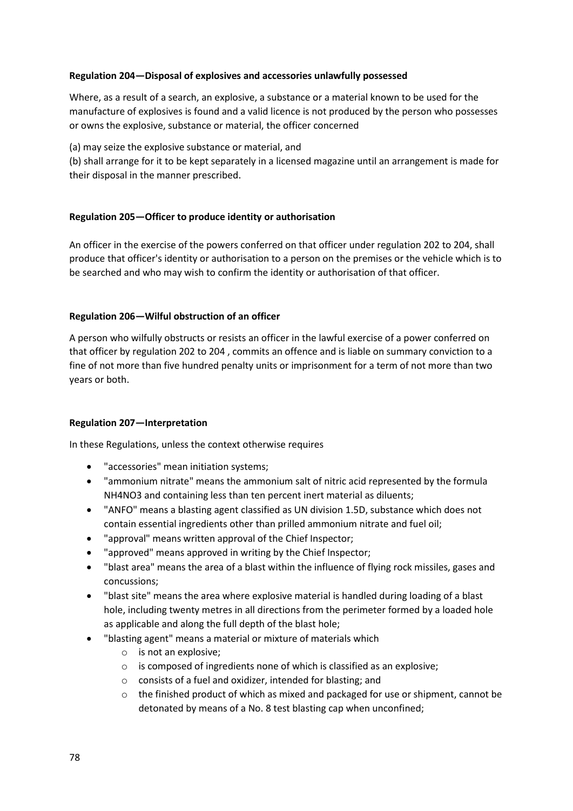## **Regulation 204—Disposal of explosives and accessories unlawfully possessed**

Where, as a result of a search, an explosive, a substance or a material known to be used for the manufacture of explosives is found and a valid licence is not produced by the person who possesses or owns the explosive, substance or material, the officer concerned

(a) may seize the explosive substance or material, and

(b) shall arrange for it to be kept separately in a licensed magazine until an arrangement is made for their disposal in the manner prescribed.

## **Regulation 205—Officer to produce identity or authorisation**

An officer in the exercise of the powers conferred on that officer under regulation 202 to 204, shall produce that officer's identity or authorisation to a person on the premises or the vehicle which is to be searched and who may wish to confirm the identity or authorisation of that officer.

## **Regulation 206—Wilful obstruction of an officer**

A person who wilfully obstructs or resists an officer in the lawful exercise of a power conferred on that officer by regulation 202 to 204 , commits an offence and is liable on summary conviction to a fine of not more than five hundred penalty units or imprisonment for a term of not more than two years or both.

### **Regulation 207—Interpretation**

In these Regulations, unless the context otherwise requires

- "accessories" mean initiation systems;
- "ammonium nitrate" means the ammonium salt of nitric acid represented by the formula NH4NO3 and containing less than ten percent inert material as diluents;
- "ANFO" means a blasting agent classified as UN division 1.5D, substance which does not contain essential ingredients other than prilled ammonium nitrate and fuel oil;
- "approval" means written approval of the Chief Inspector;
- "approved" means approved in writing by the Chief Inspector;
- "blast area" means the area of a blast within the influence of flying rock missiles, gases and concussions;
- "blast site" means the area where explosive material is handled during loading of a blast hole, including twenty metres in all directions from the perimeter formed by a loaded hole as applicable and along the full depth of the blast hole;
- "blasting agent" means a material or mixture of materials which
	- o is not an explosive;
	- o is composed of ingredients none of which is classified as an explosive;
	- o consists of a fuel and oxidizer, intended for blasting; and
	- $\circ$  the finished product of which as mixed and packaged for use or shipment, cannot be detonated by means of a No. 8 test blasting cap when unconfined;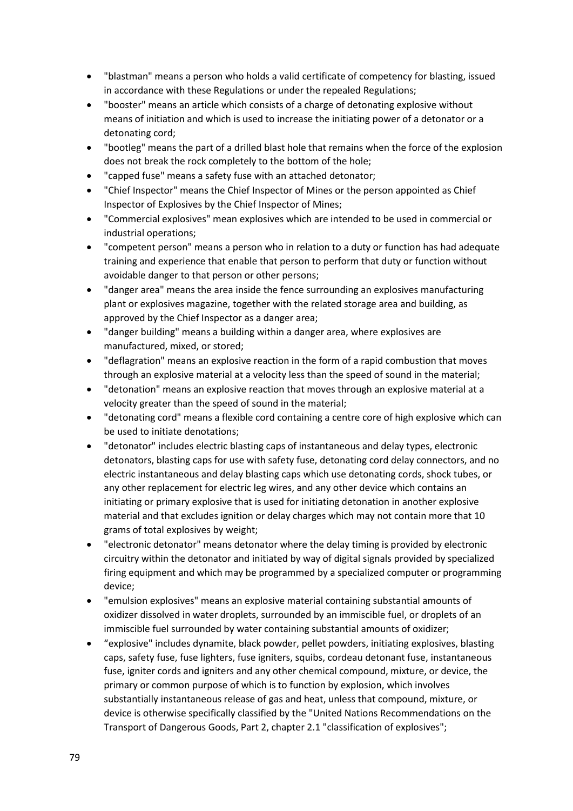- "blastman" means a person who holds a valid certificate of competency for blasting, issued in accordance with these Regulations or under the repealed Regulations;
- "booster" means an article which consists of a charge of detonating explosive without means of initiation and which is used to increase the initiating power of a detonator or a detonating cord;
- "bootleg" means the part of a drilled blast hole that remains when the force of the explosion does not break the rock completely to the bottom of the hole;
- "capped fuse" means a safety fuse with an attached detonator;
- "Chief Inspector" means the Chief Inspector of Mines or the person appointed as Chief Inspector of Explosives by the Chief Inspector of Mines;
- "Commercial explosives" mean explosives which are intended to be used in commercial or industrial operations;
- "competent person" means a person who in relation to a duty or function has had adequate training and experience that enable that person to perform that duty or function without avoidable danger to that person or other persons;
- "danger area" means the area inside the fence surrounding an explosives manufacturing plant or explosives magazine, together with the related storage area and building, as approved by the Chief Inspector as a danger area;
- "danger building" means a building within a danger area, where explosives are manufactured, mixed, or stored;
- "deflagration" means an explosive reaction in the form of a rapid combustion that moves through an explosive material at a velocity less than the speed of sound in the material;
- "detonation" means an explosive reaction that moves through an explosive material at a velocity greater than the speed of sound in the material;
- "detonating cord" means a flexible cord containing a centre core of high explosive which can be used to initiate denotations;
- "detonator" includes electric blasting caps of instantaneous and delay types, electronic detonators, blasting caps for use with safety fuse, detonating cord delay connectors, and no electric instantaneous and delay blasting caps which use detonating cords, shock tubes, or any other replacement for electric leg wires, and any other device which contains an initiating or primary explosive that is used for initiating detonation in another explosive material and that excludes ignition or delay charges which may not contain more that 10 grams of total explosives by weight;
- "electronic detonator" means detonator where the delay timing is provided by electronic circuitry within the detonator and initiated by way of digital signals provided by specialized firing equipment and which may be programmed by a specialized computer or programming device;
- "emulsion explosives" means an explosive material containing substantial amounts of oxidizer dissolved in water droplets, surrounded by an immiscible fuel, or droplets of an immiscible fuel surrounded by water containing substantial amounts of oxidizer;
- "explosive" includes dynamite, black powder, pellet powders, initiating explosives, blasting caps, safety fuse, fuse lighters, fuse igniters, squibs, cordeau detonant fuse, instantaneous fuse, igniter cords and igniters and any other chemical compound, mixture, or device, the primary or common purpose of which is to function by explosion, which involves substantially instantaneous release of gas and heat, unless that compound, mixture, or device is otherwise specifically classified by the "United Nations Recommendations on the Transport of Dangerous Goods, Part 2, chapter 2.1 "classification of explosives";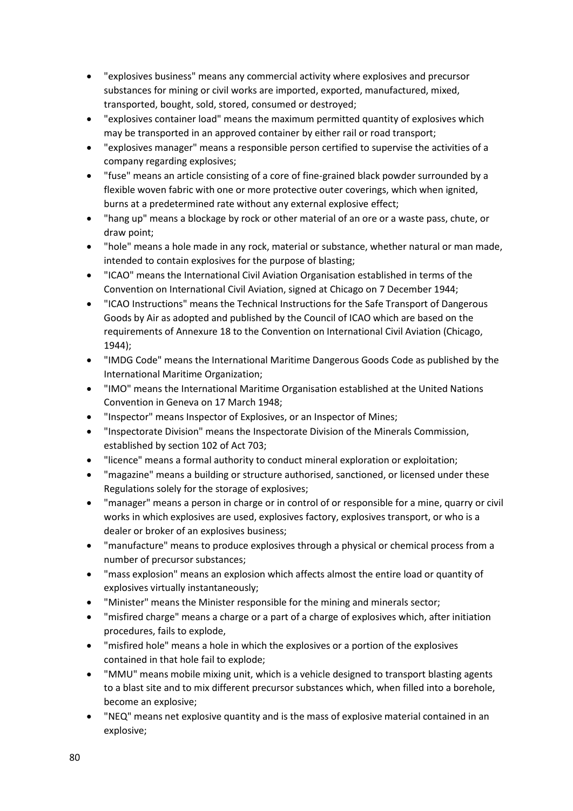- "explosives business" means any commercial activity where explosives and precursor substances for mining or civil works are imported, exported, manufactured, mixed, transported, bought, sold, stored, consumed or destroyed;
- "explosives container load" means the maximum permitted quantity of explosives which may be transported in an approved container by either rail or road transport;
- "explosives manager" means a responsible person certified to supervise the activities of a company regarding explosives;
- "fuse" means an article consisting of a core of fine-grained black powder surrounded by a flexible woven fabric with one or more protective outer coverings, which when ignited, burns at a predetermined rate without any external explosive effect;
- "hang up" means a blockage by rock or other material of an ore or a waste pass, chute, or draw point;
- "hole" means a hole made in any rock, material or substance, whether natural or man made, intended to contain explosives for the purpose of blasting;
- "ICAO" means the International Civil Aviation Organisation established in terms of the Convention on International Civil Aviation, signed at Chicago on 7 December 1944;
- "ICAO Instructions" means the Technical Instructions for the Safe Transport of Dangerous Goods by Air as adopted and published by the Council of ICAO which are based on the requirements of Annexure 18 to the Convention on International Civil Aviation (Chicago, 1944);
- "IMDG Code" means the International Maritime Dangerous Goods Code as published by the International Maritime Organization;
- "IMO" means the International Maritime Organisation established at the United Nations Convention in Geneva on 17 March 1948;
- "Inspector" means Inspector of Explosives, or an Inspector of Mines;
- "Inspectorate Division" means the Inspectorate Division of the Minerals Commission, established by section 102 of Act 703;
- "licence" means a formal authority to conduct mineral exploration or exploitation;
- "magazine" means a building or structure authorised, sanctioned, or licensed under these Regulations solely for the storage of explosives;
- "manager" means a person in charge or in control of or responsible for a mine, quarry or civil works in which explosives are used, explosives factory, explosives transport, or who is a dealer or broker of an explosives business;
- "manufacture" means to produce explosives through a physical or chemical process from a number of precursor substances;
- "mass explosion" means an explosion which affects almost the entire load or quantity of explosives virtually instantaneously;
- "Minister" means the Minister responsible for the mining and minerals sector;
- "misfired charge" means a charge or a part of a charge of explosives which, after initiation procedures, fails to explode,
- "misfired hole" means a hole in which the explosives or a portion of the explosives contained in that hole fail to explode;
- "MMU" means mobile mixing unit, which is a vehicle designed to transport blasting agents to a blast site and to mix different precursor substances which, when filled into a borehole, become an explosive;
- "NEQ" means net explosive quantity and is the mass of explosive material contained in an explosive;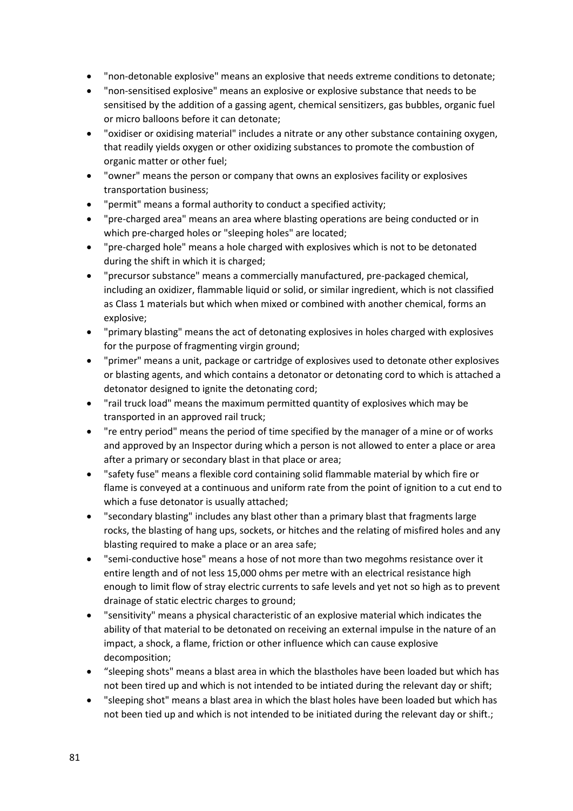- "non-detonable explosive" means an explosive that needs extreme conditions to detonate;
- "non-sensitised explosive" means an explosive or explosive substance that needs to be sensitised by the addition of a gassing agent, chemical sensitizers, gas bubbles, organic fuel or micro balloons before it can detonate;
- "oxidiser or oxidising material" includes a nitrate or any other substance containing oxygen, that readily yields oxygen or other oxidizing substances to promote the combustion of organic matter or other fuel;
- "owner" means the person or company that owns an explosives facility or explosives transportation business;
- "permit" means a formal authority to conduct a specified activity;
- "pre-charged area" means an area where blasting operations are being conducted or in which pre-charged holes or "sleeping holes" are located;
- "pre-charged hole" means a hole charged with explosives which is not to be detonated during the shift in which it is charged;
- "precursor substance" means a commercially manufactured, pre-packaged chemical, including an oxidizer, flammable liquid or solid, or similar ingredient, which is not classified as Class 1 materials but which when mixed or combined with another chemical, forms an explosive;
- "primary blasting" means the act of detonating explosives in holes charged with explosives for the purpose of fragmenting virgin ground;
- "primer" means a unit, package or cartridge of explosives used to detonate other explosives or blasting agents, and which contains a detonator or detonating cord to which is attached a detonator designed to ignite the detonating cord;
- "rail truck load" means the maximum permitted quantity of explosives which may be transported in an approved rail truck;
- "re entry period" means the period of time specified by the manager of a mine or of works and approved by an Inspector during which a person is not allowed to enter a place or area after a primary or secondary blast in that place or area;
- "safety fuse" means a flexible cord containing solid flammable material by which fire or flame is conveyed at a continuous and uniform rate from the point of ignition to a cut end to which a fuse detonator is usually attached;
- "secondary blasting" includes any blast other than a primary blast that fragments large rocks, the blasting of hang ups, sockets, or hitches and the relating of misfired holes and any blasting required to make a place or an area safe;
- "semi-conductive hose" means a hose of not more than two megohms resistance over it entire length and of not less 15,000 ohms per metre with an electrical resistance high enough to limit flow of stray electric currents to safe levels and yet not so high as to prevent drainage of static electric charges to ground;
- "sensitivity" means a physical characteristic of an explosive material which indicates the ability of that material to be detonated on receiving an external impulse in the nature of an impact, a shock, a flame, friction or other influence which can cause explosive decomposition;
- "sleeping shots" means a blast area in which the blastholes have been loaded but which has not been tired up and which is not intended to be intiated during the relevant day or shift;
- "sleeping shot" means a blast area in which the blast holes have been loaded but which has not been tied up and which is not intended to be initiated during the relevant day or shift.;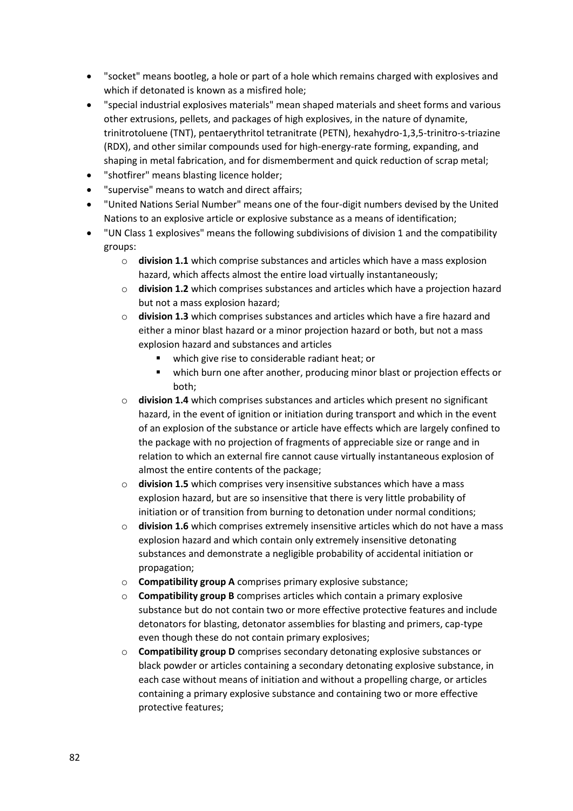- "socket" means bootleg, a hole or part of a hole which remains charged with explosives and which if detonated is known as a misfired hole;
- "special industrial explosives materials" mean shaped materials and sheet forms and various other extrusions, pellets, and packages of high explosives, in the nature of dynamite, trinitrotoluene (TNT), pentaerythritol tetranitrate (PETN), hexahydro-1,3,5-trinitro-s-triazine (RDX), and other similar compounds used for high-energy-rate forming, expanding, and shaping in metal fabrication, and for dismemberment and quick reduction of scrap metal;
- "shotfirer" means blasting licence holder;
- "supervise" means to watch and direct affairs;
- "United Nations Serial Number" means one of the four-digit numbers devised by the United Nations to an explosive article or explosive substance as a means of identification;
- "UN Class 1 explosives" means the following subdivisions of division 1 and the compatibility groups:
	- o **division 1.1** which comprise substances and articles which have a mass explosion hazard, which affects almost the entire load virtually instantaneously;
	- o **division 1.2** which comprises substances and articles which have a projection hazard but not a mass explosion hazard;
	- o **division 1.3** which comprises substances and articles which have a fire hazard and either a minor blast hazard or a minor projection hazard or both, but not a mass explosion hazard and substances and articles
		- which give rise to considerable radiant heat; or
		- which burn one after another, producing minor blast or projection effects or both;
	- o **division 1.4** which comprises substances and articles which present no significant hazard, in the event of ignition or initiation during transport and which in the event of an explosion of the substance or article have effects which are largely confined to the package with no projection of fragments of appreciable size or range and in relation to which an external fire cannot cause virtually instantaneous explosion of almost the entire contents of the package;
	- o **division 1.5** which comprises very insensitive substances which have a mass explosion hazard, but are so insensitive that there is very little probability of initiation or of transition from burning to detonation under normal conditions;
	- o **division 1.6** which comprises extremely insensitive articles which do not have a mass explosion hazard and which contain only extremely insensitive detonating substances and demonstrate a negligible probability of accidental initiation or propagation;
	- o **Compatibility group A** comprises primary explosive substance;
	- o **Compatibility group B** comprises articles which contain a primary explosive substance but do not contain two or more effective protective features and include detonators for blasting, detonator assemblies for blasting and primers, cap-type even though these do not contain primary explosives;
	- o **Compatibility group D** comprises secondary detonating explosive substances or black powder or articles containing a secondary detonating explosive substance, in each case without means of initiation and without a propelling charge, or articles containing a primary explosive substance and containing two or more effective protective features;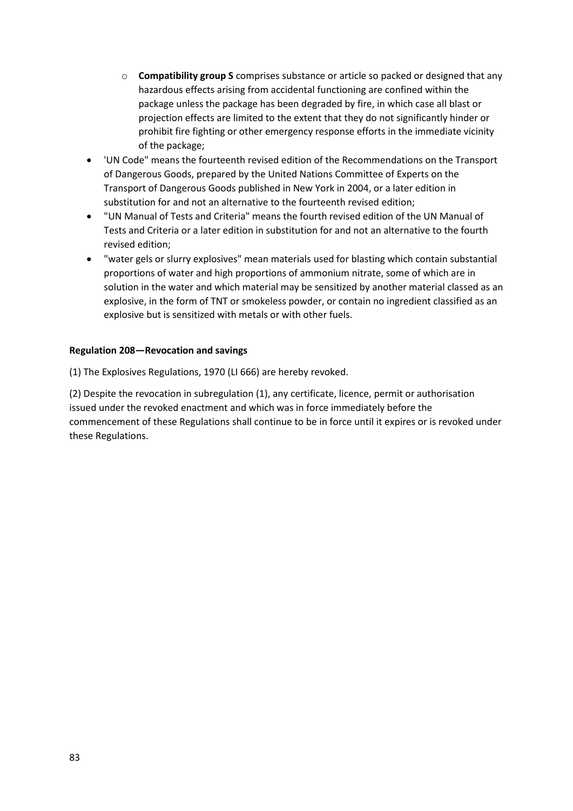- o **Compatibility group S** comprises substance or article so packed or designed that any hazardous effects arising from accidental functioning are confined within the package unless the package has been degraded by fire, in which case all blast or projection effects are limited to the extent that they do not significantly hinder or prohibit fire fighting or other emergency response efforts in the immediate vicinity of the package;
- 'UN Code" means the fourteenth revised edition of the Recommendations on the Transport of Dangerous Goods, prepared by the United Nations Committee of Experts on the Transport of Dangerous Goods published in New York in 2004, or a later edition in substitution for and not an alternative to the fourteenth revised edition;
- "UN Manual of Tests and Criteria" means the fourth revised edition of the UN Manual of Tests and Criteria or a later edition in substitution for and not an alternative to the fourth revised edition;
- "water gels or slurry explosives" mean materials used for blasting which contain substantial proportions of water and high proportions of ammonium nitrate, some of which are in solution in the water and which material may be sensitized by another material classed as an explosive, in the form of TNT or smokeless powder, or contain no ingredient classified as an explosive but is sensitized with metals or with other fuels.

## **Regulation 208—Revocation and savings**

(1) The Explosives Regulations, 1970 (LI 666) are hereby revoked.

(2) Despite the revocation in subregulation (1), any certificate, licence, permit or authorisation issued under the revoked enactment and which was in force immediately before the commencement of these Regulations shall continue to be in force until it expires or is revoked under these Regulations.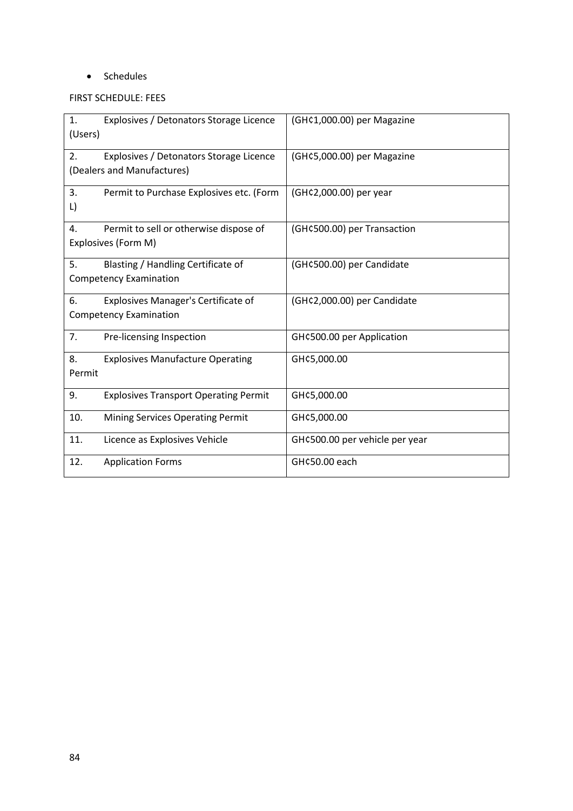## • Schedules

# FIRST SCHEDULE: FEES

| 1.<br>Explosives / Detonators Storage Licence<br>(Users) | (GH¢1,000.00) per Magazine     |
|----------------------------------------------------------|--------------------------------|
|                                                          |                                |
| 2.<br>Explosives / Detonators Storage Licence            | (GH¢5,000.00) per Magazine     |
| (Dealers and Manufactures)                               |                                |
| 3.<br>Permit to Purchase Explosives etc. (Form           | (GH¢2,000.00) per year         |
| L)                                                       |                                |
| 4.<br>Permit to sell or otherwise dispose of             | (GH¢500.00) per Transaction    |
| Explosives (Form M)                                      |                                |
| 5.<br>Blasting / Handling Certificate of                 | (GH¢500.00) per Candidate      |
| <b>Competency Examination</b>                            |                                |
| 6.<br><b>Explosives Manager's Certificate of</b>         | (GH¢2,000.00) per Candidate    |
| <b>Competency Examination</b>                            |                                |
| 7.<br>Pre-licensing Inspection                           | GH¢500.00 per Application      |
| 8.<br><b>Explosives Manufacture Operating</b>            | GH¢5,000.00                    |
| Permit                                                   |                                |
| 9.<br><b>Explosives Transport Operating Permit</b>       | GH¢5,000.00                    |
| 10.<br><b>Mining Services Operating Permit</b>           | GH¢5,000.00                    |
| 11.<br>Licence as Explosives Vehicle                     | GH¢500.00 per vehicle per year |
| 12.<br><b>Application Forms</b>                          | GH¢50.00 each                  |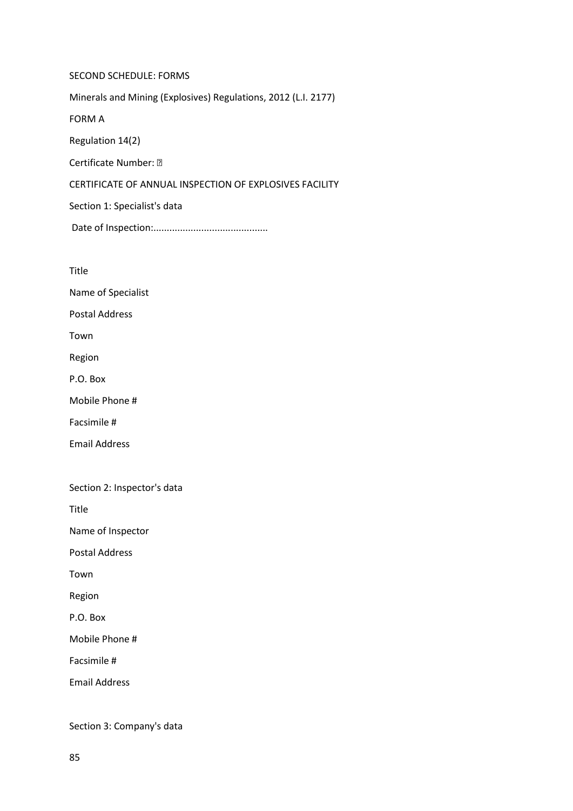SECOND SCHEDULE: FORMS Minerals and Mining (Explosives) Regulations, 2012 (L.I. 2177) FORM A Regulation 14(2) Certificate Number: • CERTIFICATE OF ANNUAL INSPECTION OF EXPLOSIVES FACILITY Section 1: Specialist's data Date of Inspection:...........................................

Title

Name of Specialist

Postal Address

Town

Region

P.O. Box

Mobile Phone #

Facsimile #

Email Address

Section 2: Inspector's data

Title

Name of Inspector

Postal Address

Town

Region

P.O. Box

Mobile Phone #

Facsimile #

Email Address

Section 3: Company's data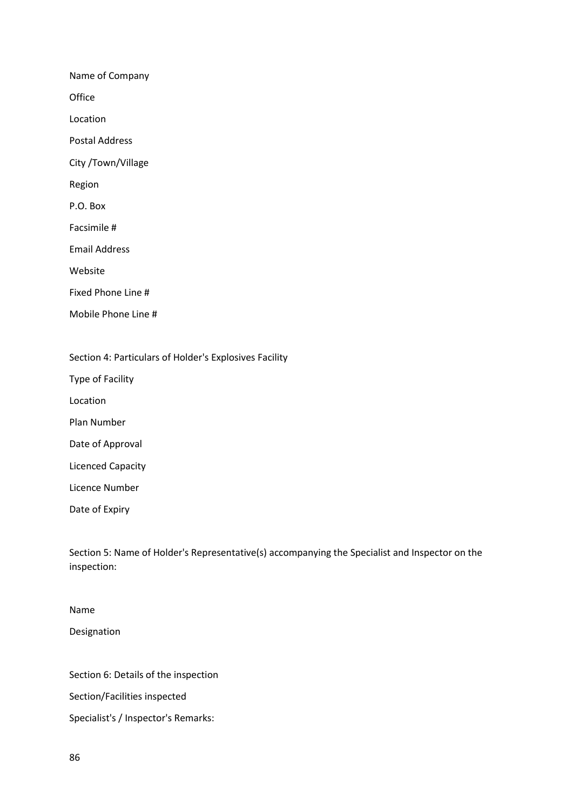Name of Company **Office** Location Postal Address City /Town/Village Region P.O. Box Facsimile # Email Address Website Fixed Phone Line # Mobile Phone Line #

Section 4: Particulars of Holder's Explosives Facility

Type of Facility

Location

Plan Number

Date of Approval

Licenced Capacity

Licence Number

Date of Expiry

Section 5: Name of Holder's Representative(s) accompanying the Specialist and Inspector on the inspection:

Name Designation

Section 6: Details of the inspection

Section/Facilities inspected

Specialist's / Inspector's Remarks: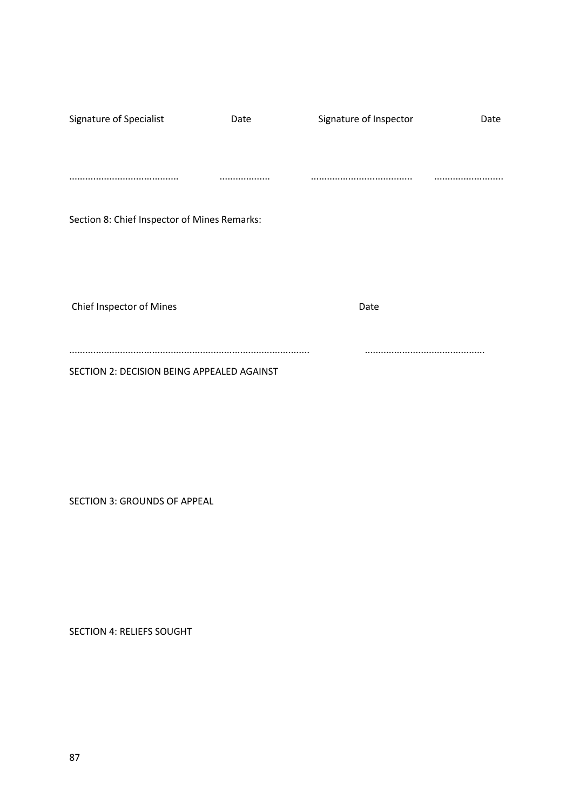| Signature of Specialist                      | Date | Signature of Inspector | Date |
|----------------------------------------------|------|------------------------|------|
|                                              |      |                        |      |
|                                              |      |                        |      |
|                                              |      |                        |      |
|                                              |      |                        |      |
| Section 8: Chief Inspector of Mines Remarks: |      |                        |      |
|                                              |      |                        |      |
|                                              |      |                        |      |
|                                              |      |                        |      |
|                                              |      |                        |      |
| Chief Inspector of Mines                     |      | Date                   |      |
|                                              |      |                        |      |
|                                              |      |                        |      |
| SECTION 2: DECISION BEING APPEALED AGAINST   |      |                        |      |

SECTION 3: GROUNDS OF APPEAL

SECTION 4: RELIEFS SOUGHT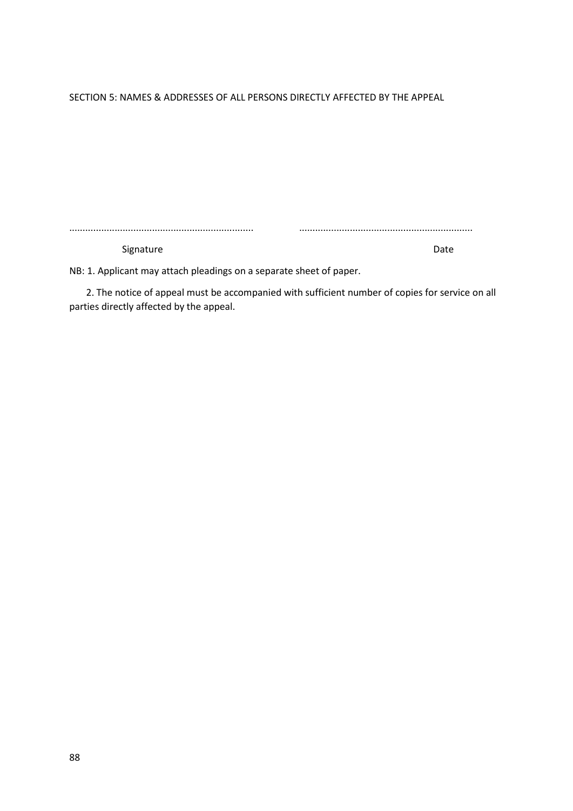SECTION 5: NAMES & ADDRESSES OF ALL PERSONS DIRECTLY AFFECTED BY THE APPEAL

..................................................................... .................................................................

Signature Date Date

NB: 1. Applicant may attach pleadings on a separate sheet of paper.

 2. The notice of appeal must be accompanied with sufficient number of copies for service on all parties directly affected by the appeal.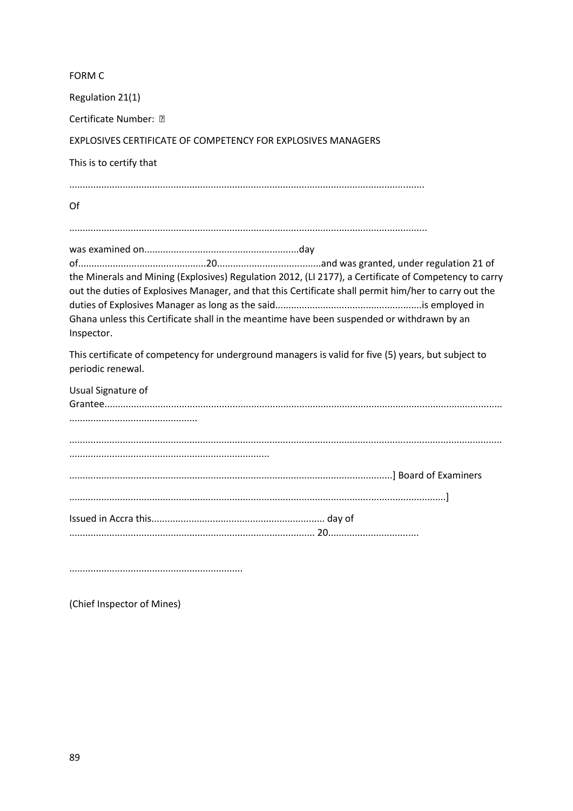| <b>FORM C</b>                                                                                                                                                                                                                                                                                                              |
|----------------------------------------------------------------------------------------------------------------------------------------------------------------------------------------------------------------------------------------------------------------------------------------------------------------------------|
| Regulation 21(1)                                                                                                                                                                                                                                                                                                           |
| Certificate Number: •                                                                                                                                                                                                                                                                                                      |
| EXPLOSIVES CERTIFICATE OF COMPETENCY FOR EXPLOSIVES MANAGERS                                                                                                                                                                                                                                                               |
| This is to certify that                                                                                                                                                                                                                                                                                                    |
| Of                                                                                                                                                                                                                                                                                                                         |
|                                                                                                                                                                                                                                                                                                                            |
| the Minerals and Mining (Explosives) Regulation 2012, (LI 2177), a Certificate of Competency to carry<br>out the duties of Explosives Manager, and that this Certificate shall permit him/her to carry out the<br>Ghana unless this Certificate shall in the meantime have been suspended or withdrawn by an<br>Inspector. |
| This certificate of competency for underground managers is valid for five (5) years, but subject to<br>periodic renewal.                                                                                                                                                                                                   |
| Usual Signature of                                                                                                                                                                                                                                                                                                         |
|                                                                                                                                                                                                                                                                                                                            |
|                                                                                                                                                                                                                                                                                                                            |
|                                                                                                                                                                                                                                                                                                                            |
|                                                                                                                                                                                                                                                                                                                            |
|                                                                                                                                                                                                                                                                                                                            |
|                                                                                                                                                                                                                                                                                                                            |

.................................................................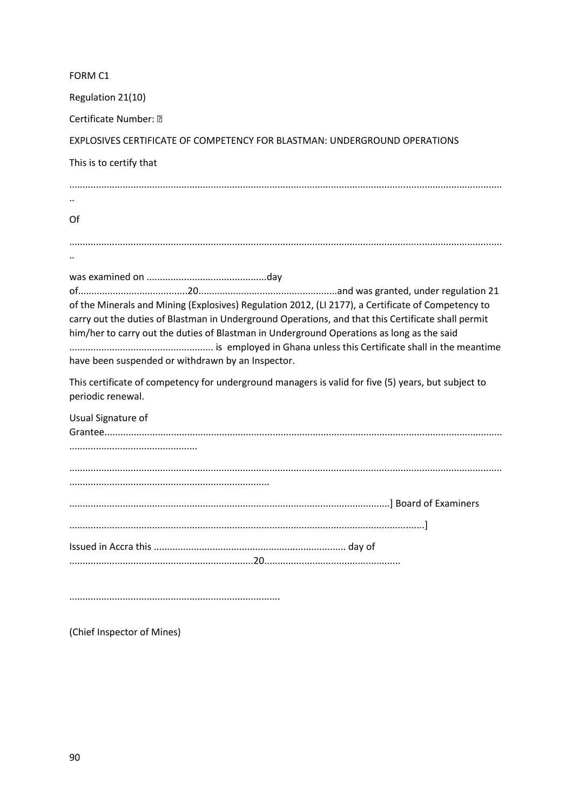| FORM C1                                                                                                                                                                                                                                                                                                                                                    |
|------------------------------------------------------------------------------------------------------------------------------------------------------------------------------------------------------------------------------------------------------------------------------------------------------------------------------------------------------------|
| Regulation 21(10)                                                                                                                                                                                                                                                                                                                                          |
| Certificate Number: •                                                                                                                                                                                                                                                                                                                                      |
| EXPLOSIVES CERTIFICATE OF COMPETENCY FOR BLASTMAN: UNDERGROUND OPERATIONS                                                                                                                                                                                                                                                                                  |
| This is to certify that                                                                                                                                                                                                                                                                                                                                    |
|                                                                                                                                                                                                                                                                                                                                                            |
| Of                                                                                                                                                                                                                                                                                                                                                         |
|                                                                                                                                                                                                                                                                                                                                                            |
|                                                                                                                                                                                                                                                                                                                                                            |
| of the Minerals and Mining (Explosives) Regulation 2012, (LI 2177), a Certificate of Competency to<br>carry out the duties of Blastman in Underground Operations, and that this Certificate shall permit<br>him/her to carry out the duties of Blastman in Underground Operations as long as the said<br>have been suspended or withdrawn by an Inspector. |
| This certificate of competency for underground managers is valid for five (5) years, but subject to<br>periodic renewal.                                                                                                                                                                                                                                   |
| Usual Signature of                                                                                                                                                                                                                                                                                                                                         |
|                                                                                                                                                                                                                                                                                                                                                            |
|                                                                                                                                                                                                                                                                                                                                                            |
|                                                                                                                                                                                                                                                                                                                                                            |
|                                                                                                                                                                                                                                                                                                                                                            |
|                                                                                                                                                                                                                                                                                                                                                            |
|                                                                                                                                                                                                                                                                                                                                                            |
|                                                                                                                                                                                                                                                                                                                                                            |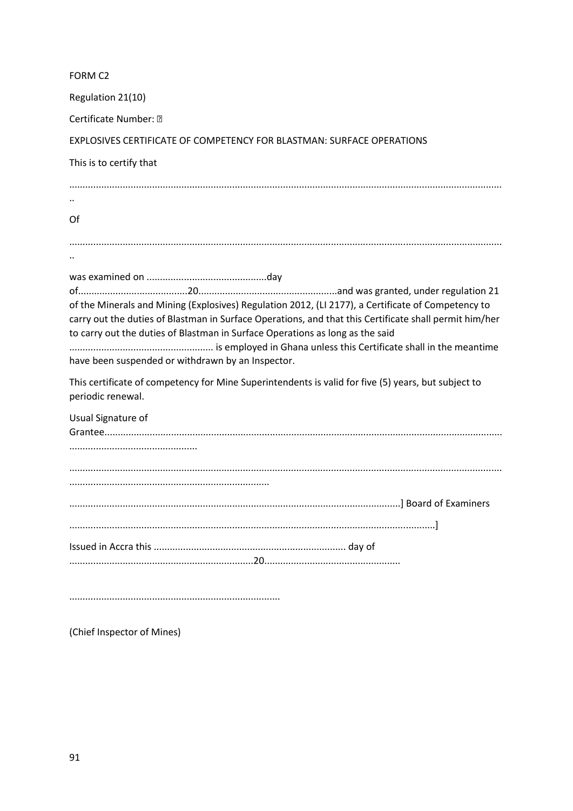| FORM C2                                                                                                |
|--------------------------------------------------------------------------------------------------------|
| Regulation 21(10)                                                                                      |
| Certificate Number: •                                                                                  |
| EXPLOSIVES CERTIFICATE OF COMPETENCY FOR BLASTMAN: SURFACE OPERATIONS                                  |
| This is to certify that                                                                                |
|                                                                                                        |
|                                                                                                        |
| Of                                                                                                     |
|                                                                                                        |
|                                                                                                        |
|                                                                                                        |
|                                                                                                        |
| of the Minerals and Mining (Explosives) Regulation 2012, (LI 2177), a Certificate of Competency to     |
| carry out the duties of Blastman in Surface Operations, and that this Certificate shall permit him/her |
| to carry out the duties of Blastman in Surface Operations as long as the said                          |
|                                                                                                        |
| have been suspended or withdrawn by an Inspector.                                                      |
| This certificate of competency for Mine Superintendents is valid for five (5) years, but subject to    |
| periodic renewal.                                                                                      |
| Usual Signature of                                                                                     |
|                                                                                                        |
|                                                                                                        |
|                                                                                                        |
|                                                                                                        |
|                                                                                                        |
|                                                                                                        |
|                                                                                                        |
|                                                                                                        |
|                                                                                                        |
|                                                                                                        |
|                                                                                                        |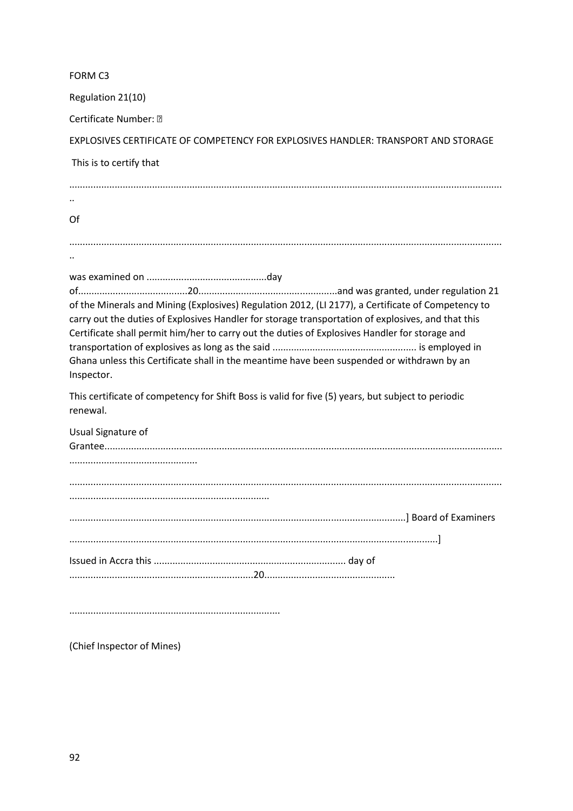| FORM C3                                                                                                                                                                                                                                                                                                                                                                                                                |
|------------------------------------------------------------------------------------------------------------------------------------------------------------------------------------------------------------------------------------------------------------------------------------------------------------------------------------------------------------------------------------------------------------------------|
| Regulation 21(10)                                                                                                                                                                                                                                                                                                                                                                                                      |
| Certificate Number: •                                                                                                                                                                                                                                                                                                                                                                                                  |
| EXPLOSIVES CERTIFICATE OF COMPETENCY FOR EXPLOSIVES HANDLER: TRANSPORT AND STORAGE                                                                                                                                                                                                                                                                                                                                     |
| This is to certify that                                                                                                                                                                                                                                                                                                                                                                                                |
|                                                                                                                                                                                                                                                                                                                                                                                                                        |
| Of                                                                                                                                                                                                                                                                                                                                                                                                                     |
|                                                                                                                                                                                                                                                                                                                                                                                                                        |
| of the Minerals and Mining (Explosives) Regulation 2012, (LI 2177), a Certificate of Competency to<br>carry out the duties of Explosives Handler for storage transportation of explosives, and that this<br>Certificate shall permit him/her to carry out the duties of Explosives Handler for storage and<br>Ghana unless this Certificate shall in the meantime have been suspended or withdrawn by an<br>Inspector. |
| This certificate of competency for Shift Boss is valid for five (5) years, but subject to periodic<br>renewal.                                                                                                                                                                                                                                                                                                         |
| Usual Signature of                                                                                                                                                                                                                                                                                                                                                                                                     |
|                                                                                                                                                                                                                                                                                                                                                                                                                        |
|                                                                                                                                                                                                                                                                                                                                                                                                                        |
|                                                                                                                                                                                                                                                                                                                                                                                                                        |
|                                                                                                                                                                                                                                                                                                                                                                                                                        |
|                                                                                                                                                                                                                                                                                                                                                                                                                        |
|                                                                                                                                                                                                                                                                                                                                                                                                                        |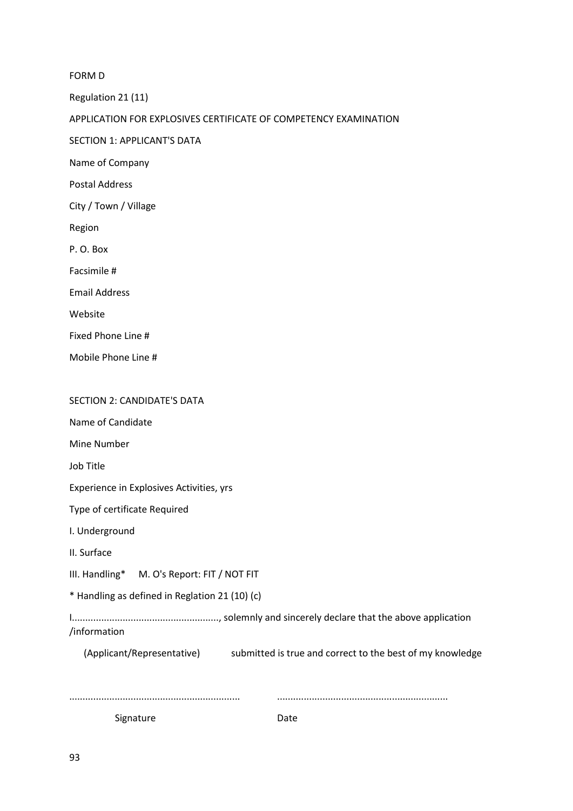FORM D

Regulation 21 (11)

#### APPLICATION FOR EXPLOSIVES CERTIFICATE OF COMPETENCY EXAMINATION

SECTION 1: APPLICANT'S DATA

Name of Company

Postal Address

City / Town / Village

Region

P. O. Box

Facsimile #

Email Address

Website

Fixed Phone Line #

Mobile Phone Line #

#### SECTION 2: CANDIDATE'S DATA

Name of Candidate

Mine Number

Job Title

Experience in Explosives Activities, yrs

Type of certificate Required

I. Underground

II. Surface

III. Handling\* M. O's Report: FIT / NOT FIT

\* Handling as defined in Reglation 21 (10) (c)

I......................................................., solemnly and sincerely declare that the above application /information

(Applicant/Representative) submitted is true and correct to the best of my knowledge

................................................................ ................................................................

Signature Date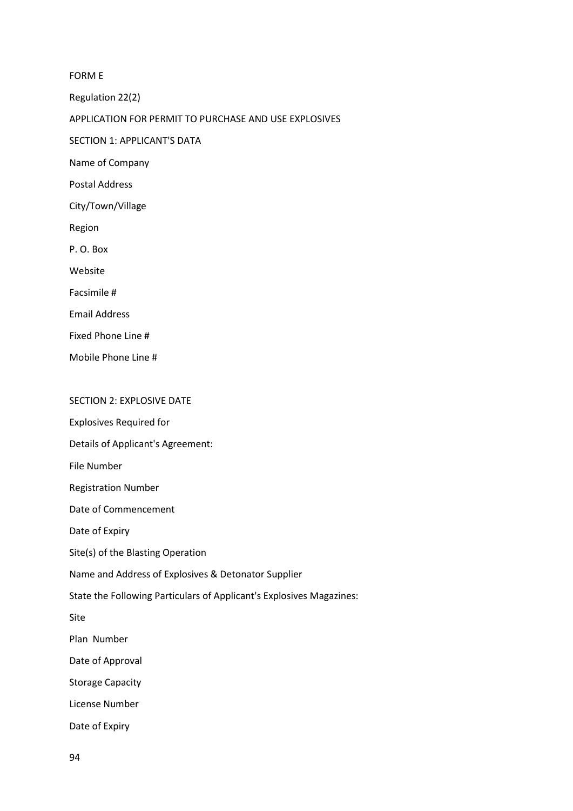FORM E

Regulation 22(2)

APPLICATION FOR PERMIT TO PURCHASE AND USE EXPLOSIVES

SECTION 1: APPLICANT'S DATA

Name of Company

Postal Address

City/Town/Village

Region

P. O. Box

Website

Facsimile #

Email Address

Fixed Phone Line #

Mobile Phone Line #

#### SECTION 2: EXPLOSIVE DATE

Explosives Required for

Details of Applicant's Agreement:

File Number

Registration Number

Date of Commencement

Date of Expiry

Site(s) of the Blasting Operation

Name and Address of Explosives & Detonator Supplier

State the Following Particulars of Applicant's Explosives Magazines:

Site

Plan Number

Date of Approval

Storage Capacity

License Number

Date of Expiry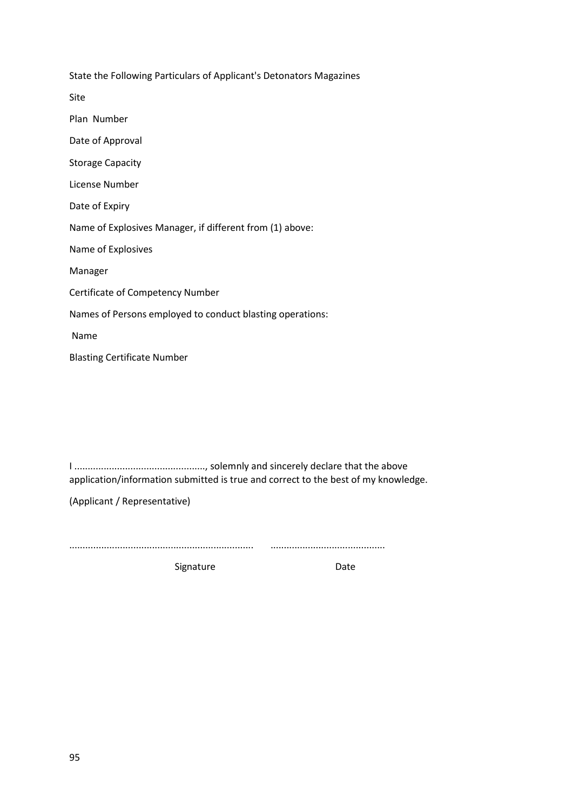State the Following Particulars of Applicant's Detonators Magazines Site Plan Number Date of Approval Storage Capacity License Number Date of Expiry Name of Explosives Manager, if different from (1) above: Name of Explosives Manager Certificate of Competency Number Names of Persons employed to conduct blasting operations: Name Blasting Certificate Number

I ................................................., solemnly and sincerely declare that the above application/information submitted is true and correct to the best of my knowledge.

(Applicant / Representative)

..................................................................... ...........................................

Signature Date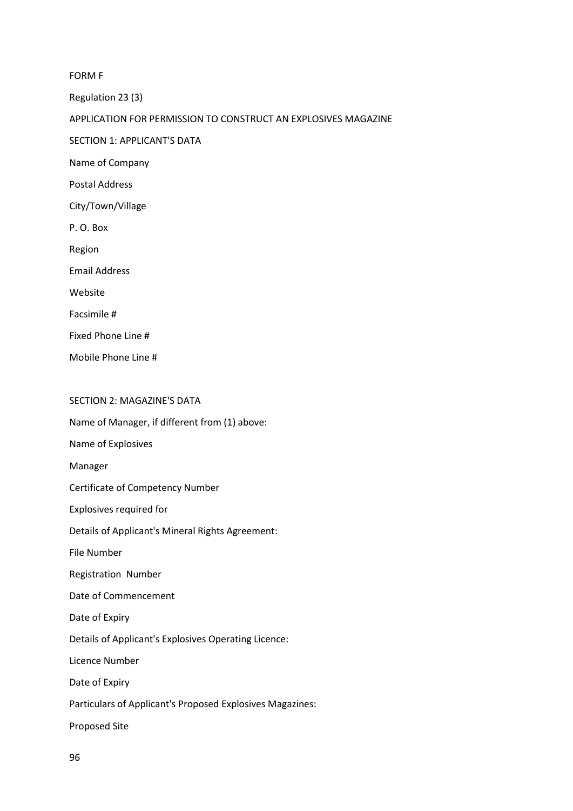FORM F

Regulation 23 (3)

APPLICATION FOR PERMISSION TO CONSTRUCT AN EXPLOSIVES MAGAZINE

SECTION 1: APPLICANT'S DATA

Name of Company

Postal Address

City/Town/Village

P. O. Box

Region

Email Address

Website

Facsimile #

Fixed Phone Line #

Mobile Phone Line #

### SECTION 2: MAGAZINE'S DATA

Name of Manager, if different from (1) above:

Name of Explosives

Manager

Certificate of Competency Number

Explosives required for

Details of Applicant's Mineral Rights Agreement:

File Number

Registration Number

Date of Commencement

Date of Expiry

Details of Applicant's Explosives Operating Licence:

Licence Number

Date of Expiry

Particulars of Applicant's Proposed Explosives Magazines:

Proposed Site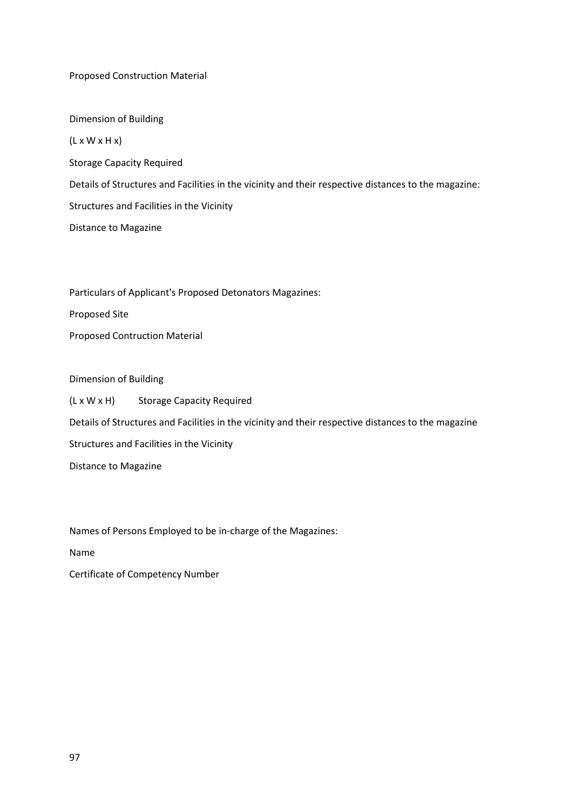### Proposed Construction Material

Dimension of Building  $(L \times W \times H \times)$ Storage Capacity Required Details of Structures and Facilities in the vicinity and their respective distances to the magazine: Structures and Facilities in the Vicinity Distance to Magazine

Particulars of Applicant's Proposed Detonators Magazines:

Proposed Site

Proposed Contruction Material

Dimension of Building

(L x W x H) Storage Capacity Required Details of Structures and Facilities in the vicinity and their respective distances to the magazine Structures and Facilities in the Vicinity Distance to Magazine

Names of Persons Employed to be in-charge of the Magazines:

Name

Certificate of Competency Number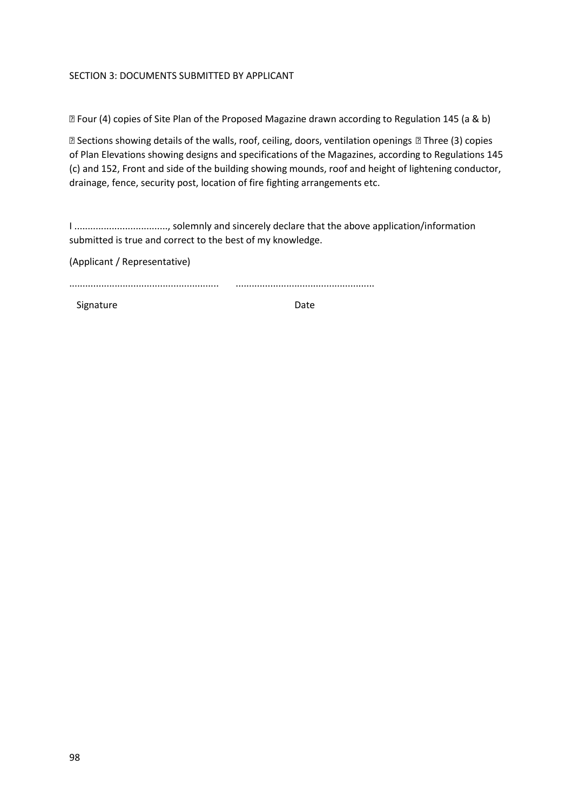### SECTION 3: DOCUMENTS SUBMITTED BY APPLICANT

• Four (4) copies of Site Plan of the Proposed Magazine drawn according to Regulation 145 (a & b)

• Sections showing details of the walls, roof, ceiling, doors, ventilation openings • Three (3) copies of Plan Elevations showing designs and specifications of the Magazines, according to Regulations 145 (c) and 152, Front and side of the building showing mounds, roof and height of lightening conductor, drainage, fence, security post, location of fire fighting arrangements etc.

I ..................................., solemnly and sincerely declare that the above application/information submitted is true and correct to the best of my knowledge.

(Applicant / Representative)

........................................................ ....................................................

Signature Date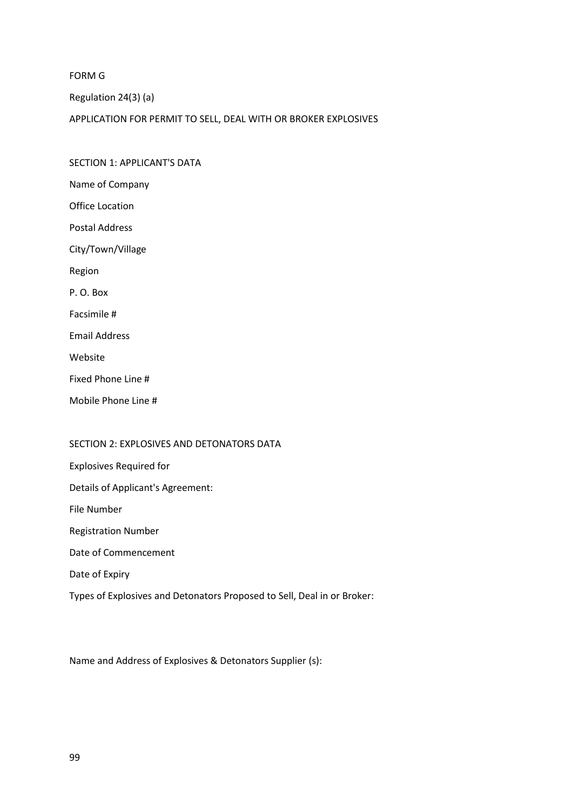FORM G

Regulation 24(3) (a)

APPLICATION FOR PERMIT TO SELL, DEAL WITH OR BROKER EXPLOSIVES

SECTION 1: APPLICANT'S DATA Name of Company Office Location Postal Address City/Town/Village Region P. O. Box Facsimile # Email Address Website Fixed Phone Line # Mobile Phone Line #

#### SECTION 2: EXPLOSIVES AND DETONATORS DATA

Explosives Required for Details of Applicant's Agreement: File Number Registration Number Date of Commencement Date of Expiry Types of Explosives and Detonators Proposed to Sell, Deal in or Broker:

Name and Address of Explosives & Detonators Supplier (s):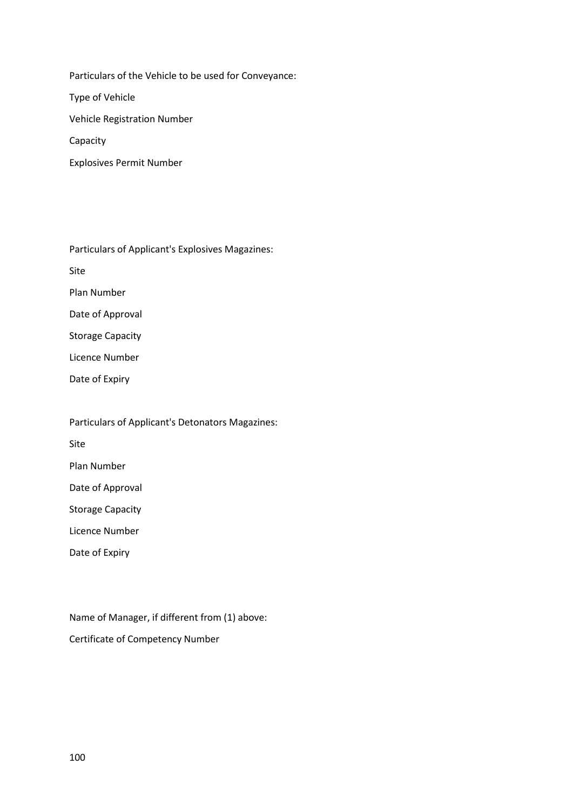Particulars of the Vehicle to be used for Conveyance:

Type of Vehicle

Vehicle Registration Number

Capacity

Explosives Permit Number

Particulars of Applicant's Explosives Magazines:

Site

Plan Number

Date of Approval

Storage Capacity

Licence Number

Date of Expiry

Particulars of Applicant's Detonators Magazines:

Site

Plan Number

Date of Approval

Storage Capacity

Licence Number

Date of Expiry

Name of Manager, if different from (1) above: Certificate of Competency Number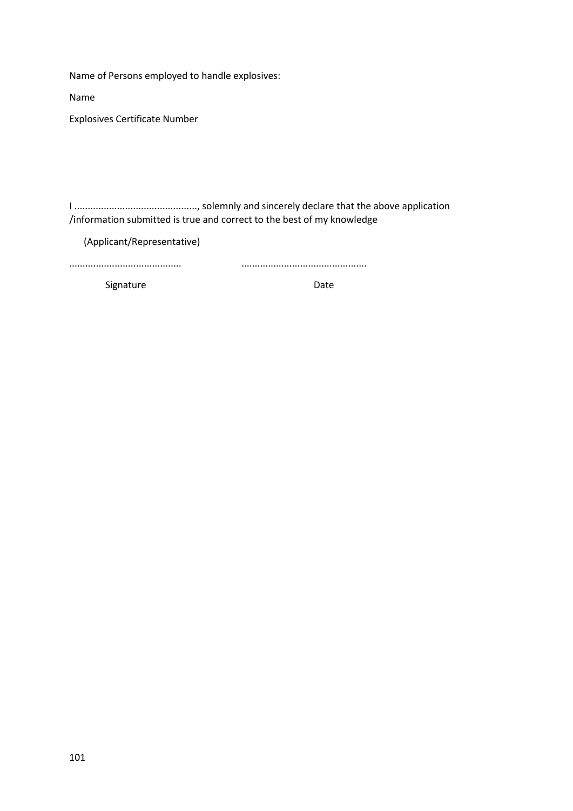Name of Persons employed to handle explosives:

Name

Explosives Certificate Number

I .............................................., solemnly and sincerely declare that the above application /information submitted is true and correct to the best of my knowledge

(Applicant/Representative)

Signature Date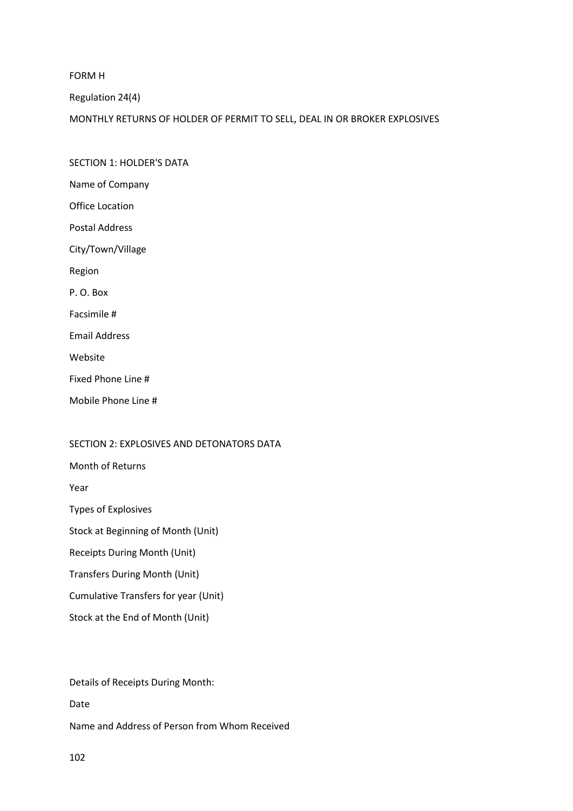FORM H

Regulation 24(4)

MONTHLY RETURNS OF HOLDER OF PERMIT TO SELL, DEAL IN OR BROKER EXPLOSIVES

SECTION 1: HOLDER'S DATA Name of Company Office Location Postal Address City/Town/Village Region P. O. Box Facsimile # Email Address Website Fixed Phone Line # Mobile Phone Line #

#### SECTION 2: EXPLOSIVES AND DETONATORS DATA

Month of Returns

Year

Types of Explosives

Stock at Beginning of Month (Unit)

Receipts During Month (Unit)

Transfers During Month (Unit)

Cumulative Transfers for year (Unit)

Stock at the End of Month (Unit)

Details of Receipts During Month:

Date

Name and Address of Person from Whom Received

102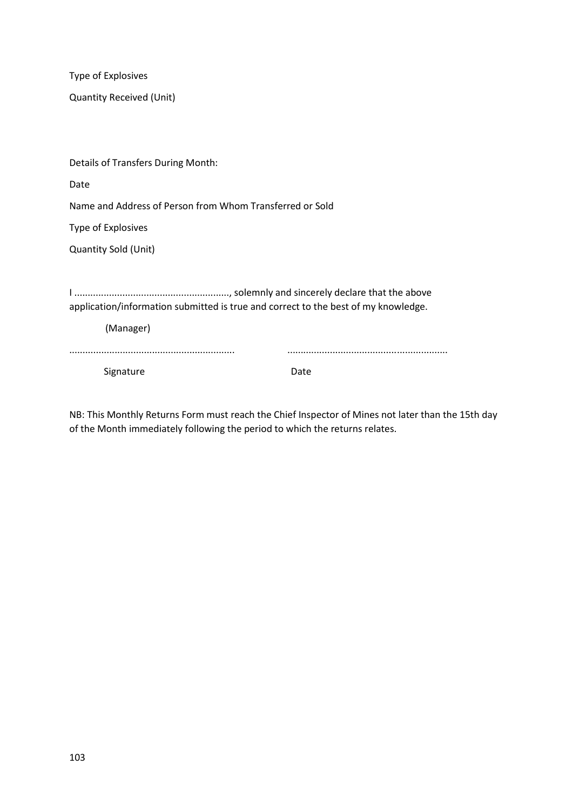Type of Explosives Quantity Received (Unit) Details of Transfers During Month: Date Name and Address of Person from Whom Transferred or Sold Type of Explosives Quantity Sold (Unit) I .........................................................., solemnly and sincerely declare that the above application/information submitted is true and correct to the best of my knowledge. (Manager) .............................................................. ............................................................ Signature Date

NB: This Monthly Returns Form must reach the Chief Inspector of Mines not later than the 15th day of the Month immediately following the period to which the returns relates.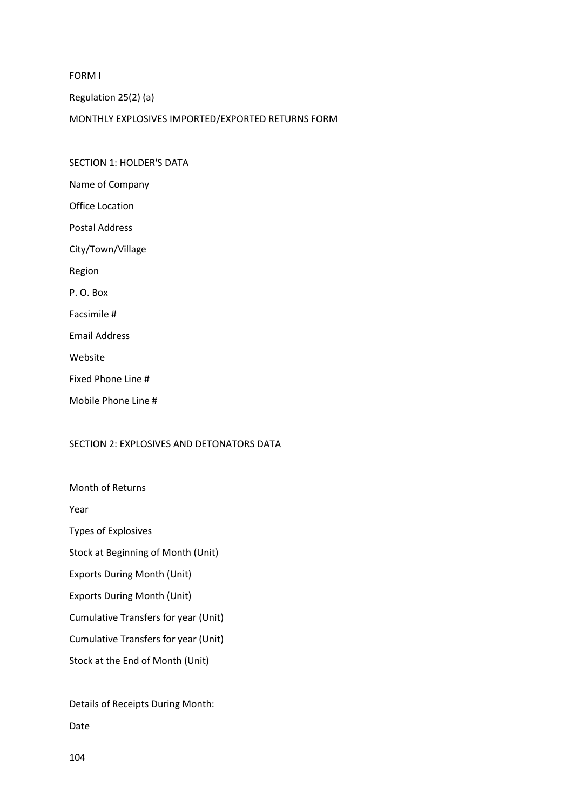FORM I

Regulation 25(2) (a)

MONTHLY EXPLOSIVES IMPORTED/EXPORTED RETURNS FORM

SECTION 1: HOLDER'S DATA Name of Company Office Location Postal Address City/Town/Village

Region

P. O. Box

Facsimile #

Email Address

Website

Fixed Phone Line #

Mobile Phone Line #

#### SECTION 2: EXPLOSIVES AND DETONATORS DATA

Month of Returns

Year

Types of Explosives

Stock at Beginning of Month (Unit)

Exports During Month (Unit)

Exports During Month (Unit)

Cumulative Transfers for year (Unit)

Cumulative Transfers for year (Unit)

Stock at the End of Month (Unit)

Details of Receipts During Month:

Date

104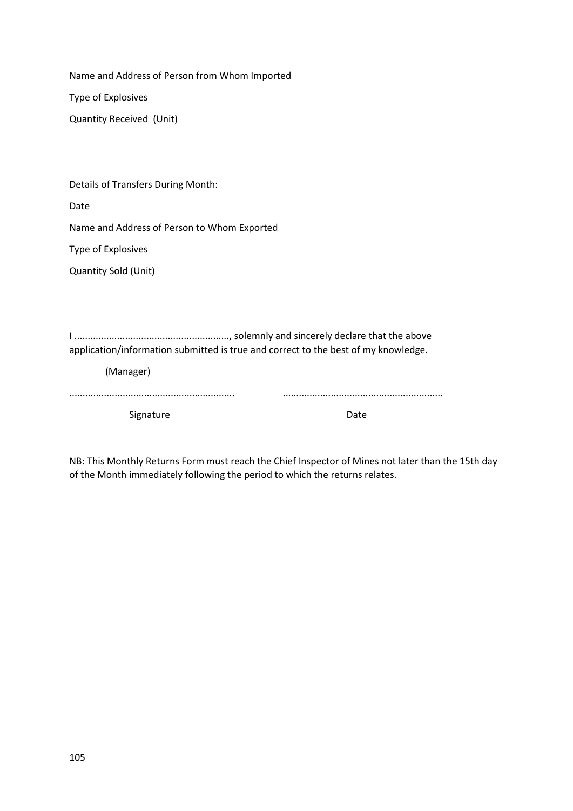Name and Address of Person from Whom Imported Type of Explosives Quantity Received (Unit)

Details of Transfers During Month:

Date

Name and Address of Person to Whom Exported

Type of Explosives

Quantity Sold (Unit)

I .........................................................., solemnly and sincerely declare that the above application/information submitted is true and correct to the best of my knowledge.

(Manager)

| Signature |  |
|-----------|--|

NB: This Monthly Returns Form must reach the Chief Inspector of Mines not later than the 15th day of the Month immediately following the period to which the returns relates.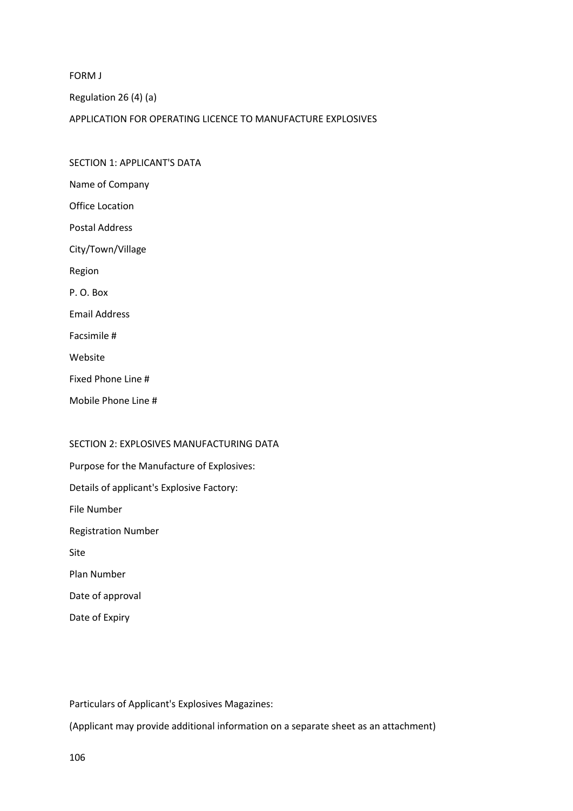FORM J

Regulation 26 (4) (a)

APPLICATION FOR OPERATING LICENCE TO MANUFACTURE EXPLOSIVES

SECTION 1: APPLICANT'S DATA Name of Company Office Location Postal Address City/Town/Village Region P. O. Box Email Address Facsimile # Website Fixed Phone Line # Mobile Phone Line #

#### SECTION 2: EXPLOSIVES MANUFACTURING DATA

Purpose for the Manufacture of Explosives: Details of applicant's Explosive Factory: File Number Registration Number Site Plan Number Date of approval Date of Expiry

Particulars of Applicant's Explosives Magazines:

(Applicant may provide additional information on a separate sheet as an attachment)

106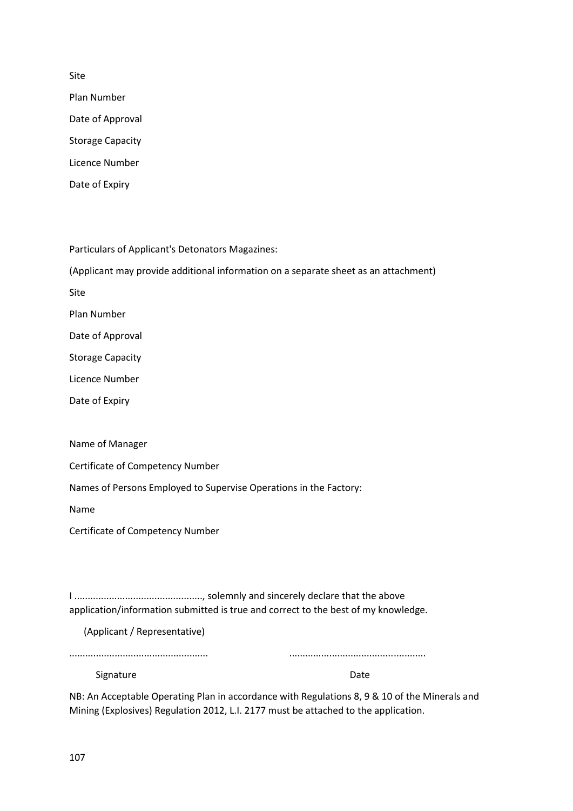Site

Plan Number Date of Approval Storage Capacity Licence Number Date of Expiry

Particulars of Applicant's Detonators Magazines:

(Applicant may provide additional information on a separate sheet as an attachment)

Site

Plan Number

Date of Approval

Storage Capacity

Licence Number

Date of Expiry

Name of Manager

Certificate of Competency Number

Names of Persons Employed to Supervise Operations in the Factory:

Name

Certificate of Competency Number

I ................................................, solemnly and sincerely declare that the above application/information submitted is true and correct to the best of my knowledge.

(Applicant / Representative)

Signature Date Date

NB: An Acceptable Operating Plan in accordance with Regulations 8, 9 & 10 of the Minerals and Mining (Explosives) Regulation 2012, L.I. 2177 must be attached to the application.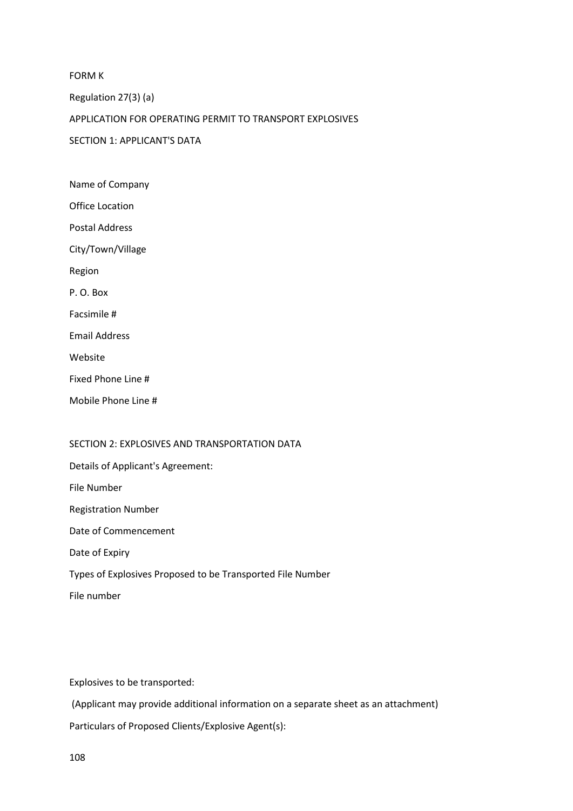FORM K Regulation 27(3) (a) APPLICATION FOR OPERATING PERMIT TO TRANSPORT EXPLOSIVES SECTION 1: APPLICANT'S DATA Name of Company

Office Location Postal Address City/Town/Village Region P. O. Box Facsimile # Email Address Website Fixed Phone Line # Mobile Phone Line #

### SECTION 2: EXPLOSIVES AND TRANSPORTATION DATA

Details of Applicant's Agreement: File Number Registration Number Date of Commencement Date of Expiry Types of Explosives Proposed to be Transported File Number File number

Explosives to be transported:

(Applicant may provide additional information on a separate sheet as an attachment) Particulars of Proposed Clients/Explosive Agent(s):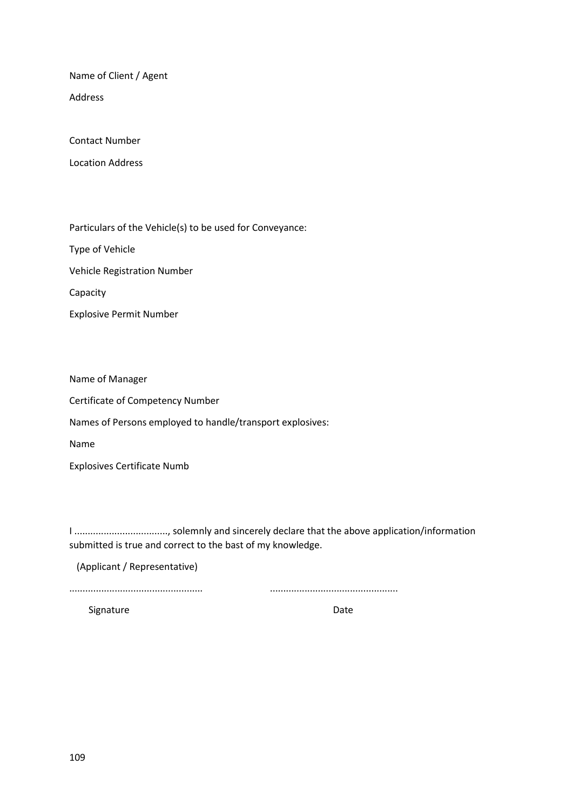Name of Client / Agent

Address

Contact Number

Location Address

Particulars of the Vehicle(s) to be used for Conveyance:

Type of Vehicle

Vehicle Registration Number

Capacity

Explosive Permit Number

Name of Manager

Certificate of Competency Number

Names of Persons employed to handle/transport explosives:

Name

Explosives Certificate Numb

I ..................................., solemnly and sincerely declare that the above application/information submitted is true and correct to the bast of my knowledge.

(Applicant / Representative)

.................................................. ................................................

Signature Date Date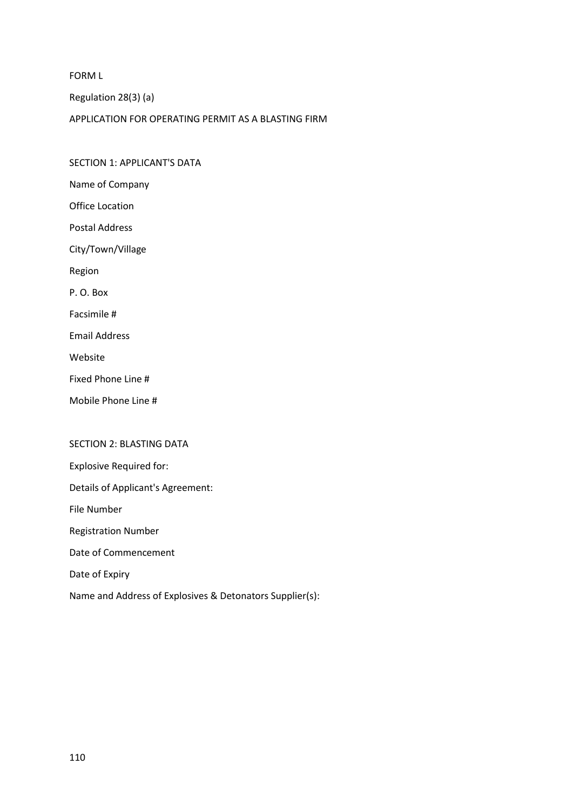FORM L

Regulation 28(3) (a)

SECTION 1: APPLICANT'S DATA

APPLICATION FOR OPERATING PERMIT AS A BLASTING FIRM

Name of Company Office Location Postal Address City/Town/Village Region P. O. Box Facsimile # Email Address Website Fixed Phone Line # Mobile Phone Line #

## SECTION 2: BLASTING DATA

Explosive Required for:

Details of Applicant's Agreement:

File Number

Registration Number

Date of Commencement

Date of Expiry

Name and Address of Explosives & Detonators Supplier(s):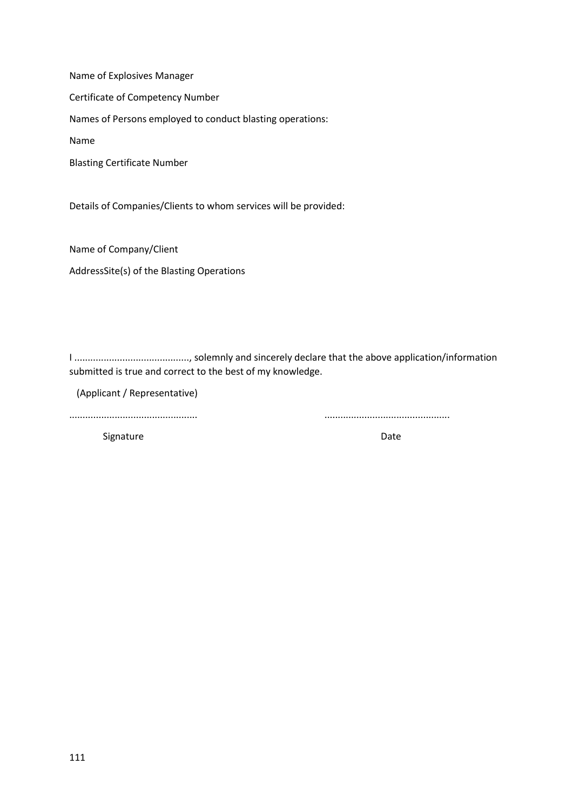Name of Explosives Manager

Certificate of Competency Number

Names of Persons employed to conduct blasting operations:

Name

Blasting Certificate Number

Details of Companies/Clients to whom services will be provided:

Name of Company/Client

AddressSite(s) of the Blasting Operations

I ..........................................., solemnly and sincerely declare that the above application/information submitted is true and correct to the best of my knowledge.

(Applicant / Representative)

................................................ ...............................................

Signature Date Date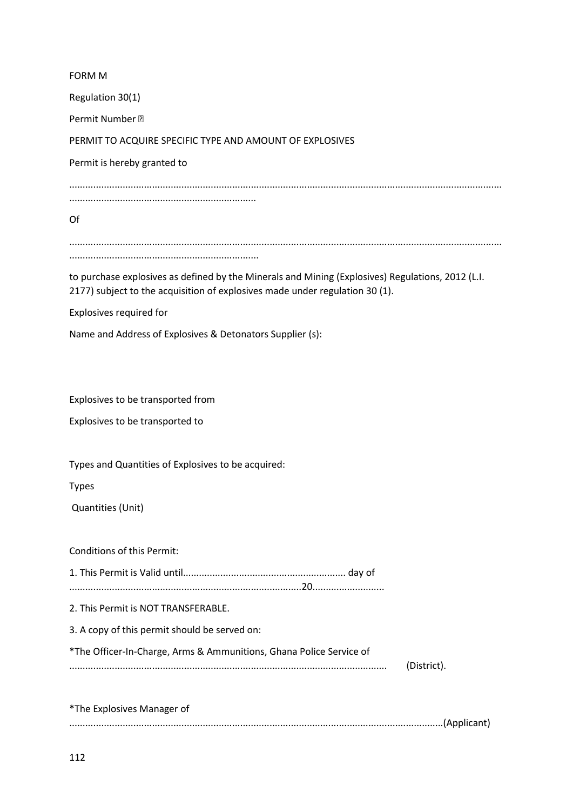| <b>FORM M</b>                                                                                     |
|---------------------------------------------------------------------------------------------------|
| Regulation 30(1)                                                                                  |
| Permit Number •                                                                                   |
| PERMIT TO ACQUIRE SPECIFIC TYPE AND AMOUNT OF EXPLOSIVES                                          |
| Permit is hereby granted to                                                                       |
|                                                                                                   |
|                                                                                                   |
| Of                                                                                                |
|                                                                                                   |
| to purchase explosives as defined by the Minerals and Mining (Explosives) Regulations, 2012 (L.I. |
| 2177) subject to the acquisition of explosives made under regulation 30 (1).                      |
| Explosives required for                                                                           |
| Name and Address of Explosives & Detonators Supplier (s):                                         |
|                                                                                                   |
|                                                                                                   |
| Explosives to be transported from                                                                 |
| Explosives to be transported to                                                                   |
|                                                                                                   |
| Types and Quantities of Explosives to be acquired:                                                |
| <b>Types</b>                                                                                      |
| Quantities (Unit)                                                                                 |
|                                                                                                   |
| <b>Conditions of this Permit:</b>                                                                 |
|                                                                                                   |
| 2. This Permit is NOT TRANSFERABLE.                                                               |
| 3. A copy of this permit should be served on:                                                     |
| *The Officer-In-Charge, Arms & Ammunitions, Ghana Police Service of                               |
| (District).                                                                                       |
|                                                                                                   |
| *The Explosives Manager of                                                                        |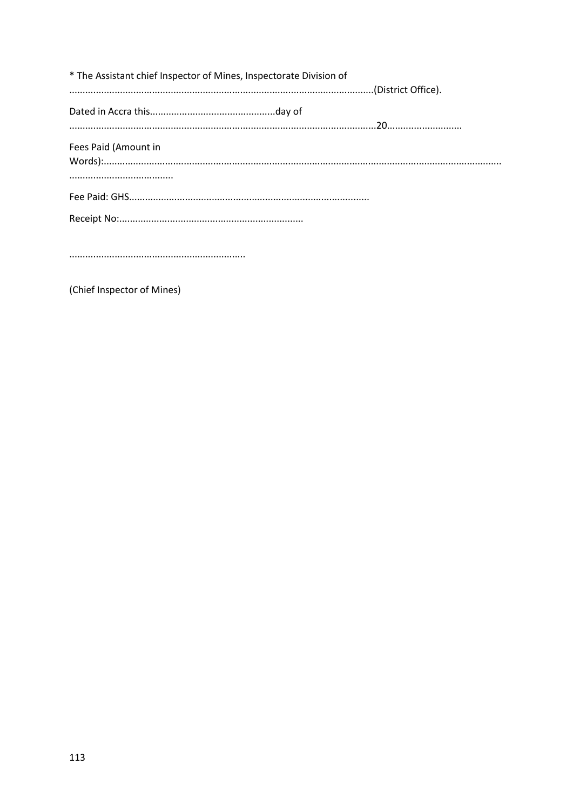| * The Assistant chief Inspector of Mines, Inspectorate Division of |  |
|--------------------------------------------------------------------|--|
|                                                                    |  |
| Fees Paid (Amount in                                               |  |
|                                                                    |  |
|                                                                    |  |

 $\begin{minipage}{.4\linewidth} \begin{tabular}{l} \hline \textbf{11} & \textbf{12} & \textbf{13} & \textbf{15} & \textbf{16} & \textbf{17} & \textbf{18} & \textbf{19} & \textbf{19} & \textbf{19} & \textbf{19} & \textbf{19} & \textbf{19} & \textbf{19} & \textbf{19} & \textbf{19} & \textbf{19} & \textbf{19} & \textbf{19} & \textbf{19} & \textbf{19} & \textbf{19} & \textbf{19} & \textbf{19} & \textbf{1$ 

(Chief Inspector of Mines)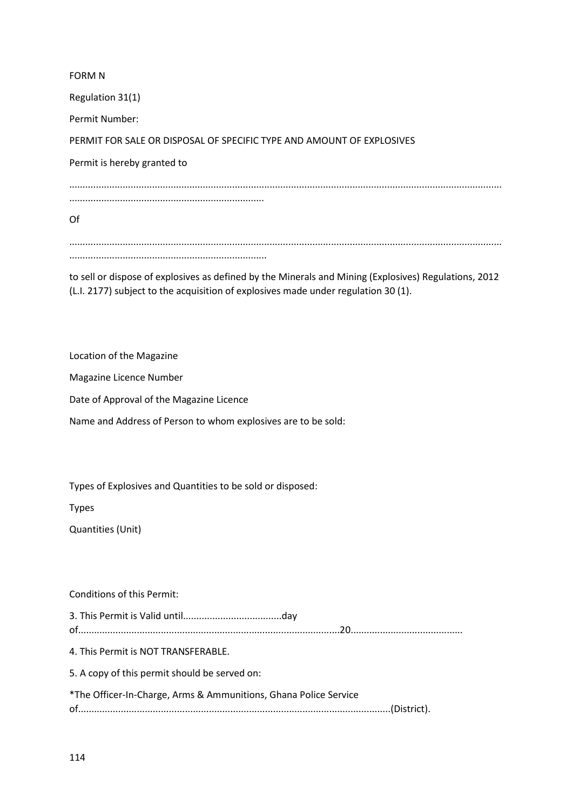FORM N Regulation 31(1) Permit Number: PERMIT FOR SALE OR DISPOSAL OF SPECIFIC TYPE AND AMOUNT OF EXPLOSIVES Permit is hereby granted to .................................................................................................................................................................. ......................................................................... Of .................................................................................................................................................................. ..........................................................................

to sell or dispose of explosives as defined by the Minerals and Mining (Explosives) Regulations, 2012 (L.I. 2177) subject to the acquisition of explosives made under regulation 30 (1).

Location of the Magazine

Magazine Licence Number

Date of Approval of the Magazine Licence

Name and Address of Person to whom explosives are to be sold:

Types of Explosives and Quantities to be sold or disposed:

Types

Quantities (Unit)

Conditions of this Permit:

3. This Permit is Valid until.....................................day of..................................................................................................20.......................................... 4. This Permit is NOT TRANSFERABLE. 5. A copy of this permit should be served on: \*The Officer-In-Charge, Arms & Ammunitions, Ghana Police Service of.....................................................................................................................(District).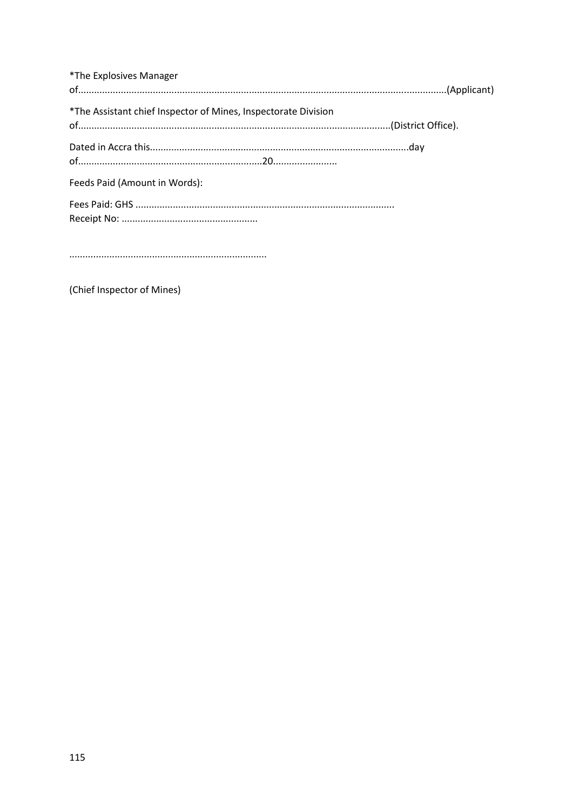| *The Explosives Manager                                        |  |
|----------------------------------------------------------------|--|
|                                                                |  |
| *The Assistant chief Inspector of Mines, Inspectorate Division |  |
|                                                                |  |
|                                                                |  |
|                                                                |  |
| Feeds Paid (Amount in Words):                                  |  |
|                                                                |  |
|                                                                |  |

(Chief Inspector of Mines)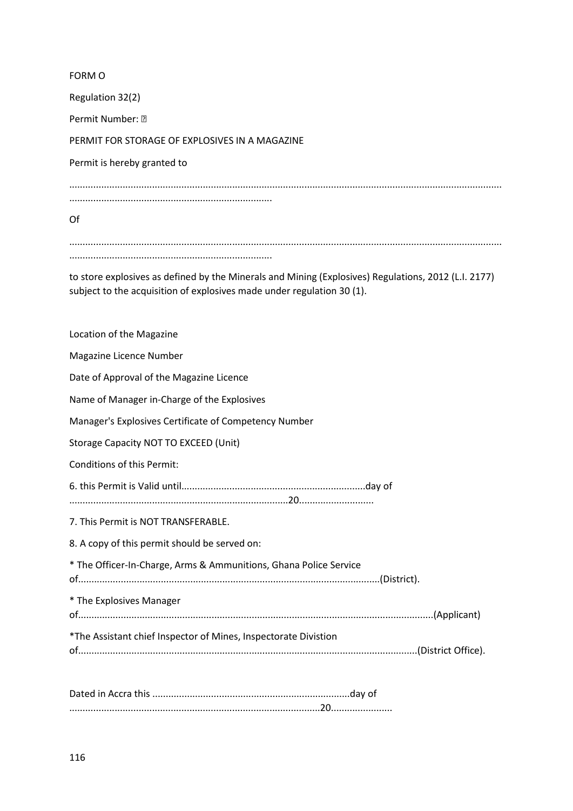| FORM O                                                                                                                                                                         |
|--------------------------------------------------------------------------------------------------------------------------------------------------------------------------------|
| Regulation 32(2)                                                                                                                                                               |
| Permit Number: •                                                                                                                                                               |
| PERMIT FOR STORAGE OF EXPLOSIVES IN A MAGAZINE                                                                                                                                 |
| Permit is hereby granted to                                                                                                                                                    |
| Of                                                                                                                                                                             |
| to store explosives as defined by the Minerals and Mining (Explosives) Regulations, 2012 (L.I. 2177)<br>subject to the acquisition of explosives made under regulation 30 (1). |

| Location of the Magazine                                          |
|-------------------------------------------------------------------|
| Magazine Licence Number                                           |
| Date of Approval of the Magazine Licence                          |
| Name of Manager in-Charge of the Explosives                       |
| Manager's Explosives Certificate of Competency Number             |
| Storage Capacity NOT TO EXCEED (Unit)                             |
| <b>Conditions of this Permit:</b>                                 |
|                                                                   |
| 7. This Permit is NOT TRANSFERABLE.                               |
| 8. A copy of this permit should be served on:                     |
| * The Officer-In-Charge, Arms & Ammunitions, Ghana Police Service |
| * The Explosives Manager                                          |
| *The Assistant chief Inspector of Mines, Inspectorate Divistion   |
|                                                                   |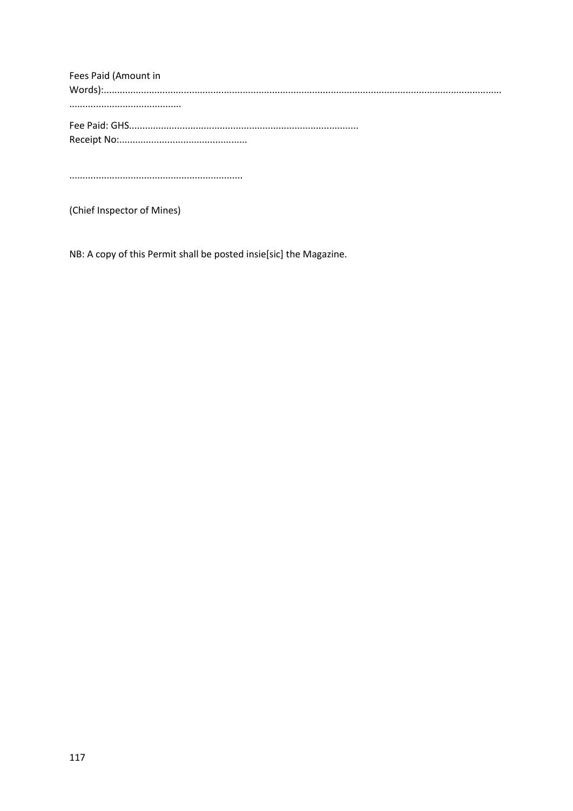Fees Paid (Amount in 

(Chief Inspector of Mines)

NB: A copy of this Permit shall be posted insie[sic] the Magazine.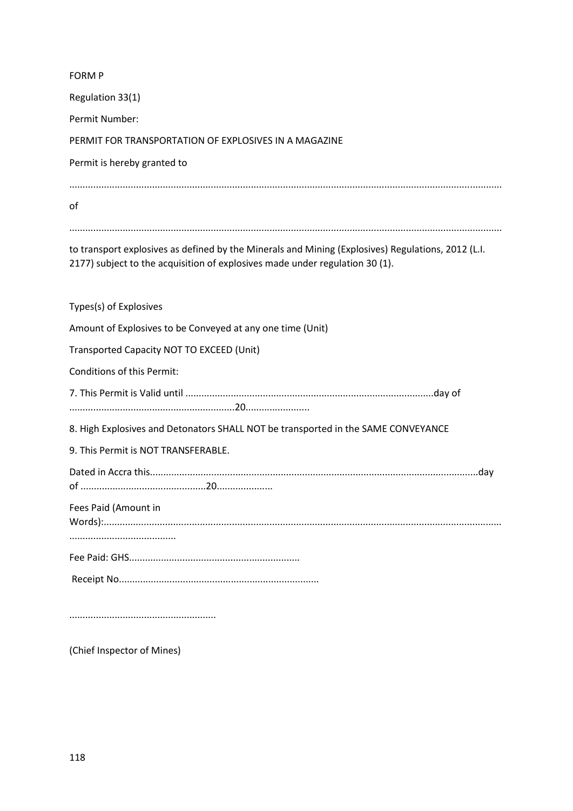| <b>FORM P</b>                                                                                                                                                                      |
|------------------------------------------------------------------------------------------------------------------------------------------------------------------------------------|
| Regulation 33(1)                                                                                                                                                                   |
| Permit Number:                                                                                                                                                                     |
| PERMIT FOR TRANSPORTATION OF EXPLOSIVES IN A MAGAZINE                                                                                                                              |
| Permit is hereby granted to                                                                                                                                                        |
| of                                                                                                                                                                                 |
| to transport explosives as defined by the Minerals and Mining (Explosives) Regulations, 2012 (L.I.<br>2177) subject to the acquisition of explosives made under regulation 30 (1). |
| Types(s) of Explosives                                                                                                                                                             |
| Amount of Explosives to be Conveyed at any one time (Unit)                                                                                                                         |
| Transported Capacity NOT TO EXCEED (Unit)                                                                                                                                          |
| Conditions of this Permit:                                                                                                                                                         |
|                                                                                                                                                                                    |
| 8. High Explosives and Detonators SHALL NOT be transported in the SAME CONVEYANCE                                                                                                  |
| 9. This Permit is NOT TRANSFERABLE.                                                                                                                                                |
|                                                                                                                                                                                    |
| Fees Paid (Amount in                                                                                                                                                               |
|                                                                                                                                                                                    |
|                                                                                                                                                                                    |
|                                                                                                                                                                                    |

(Chief Inspector of Mines)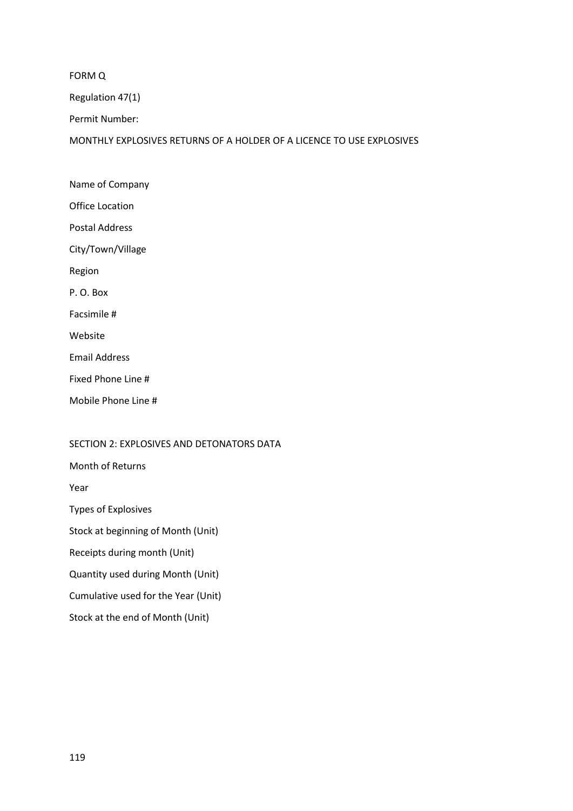FORM Q

Regulation 47(1)

Permit Number:

MONTHLY EXPLOSIVES RETURNS OF A HOLDER OF A LICENCE TO USE EXPLOSIVES

Name of Company Office Location Postal Address City/Town/Village Region P. O. Box Facsimile # Website Email Address Fixed Phone Line # Mobile Phone Line #

## SECTION 2: EXPLOSIVES AND DETONATORS DATA

Month of Returns

Year

Types of Explosives

Stock at beginning of Month (Unit)

Receipts during month (Unit)

Quantity used during Month (Unit)

Cumulative used for the Year (Unit)

Stock at the end of Month (Unit)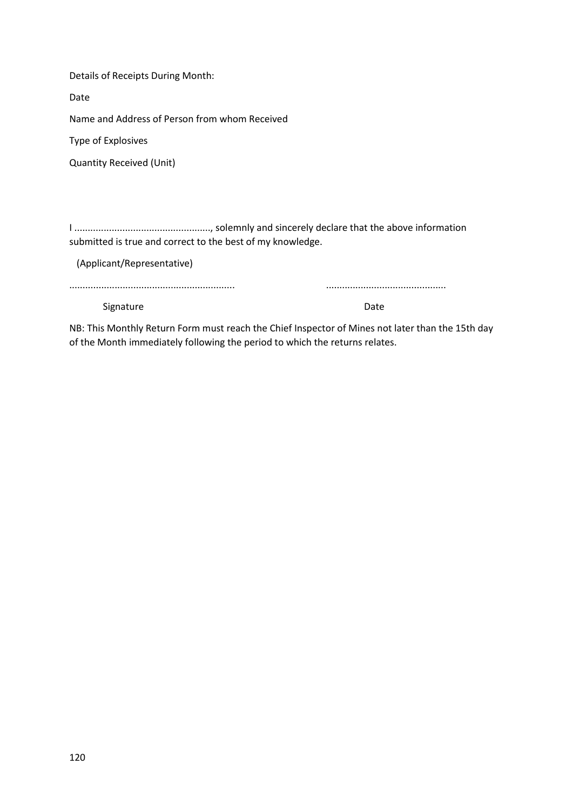Details of Receipts During Month:

Date

Name and Address of Person from whom Received

Type of Explosives

Quantity Received (Unit)

I ..................................................., solemnly and sincerely declare that the above information submitted is true and correct to the best of my knowledge.

(Applicant/Representative)

.............................................................. .............................................

Signature Date Date Date

NB: This Monthly Return Form must reach the Chief Inspector of Mines not later than the 15th day of the Month immediately following the period to which the returns relates.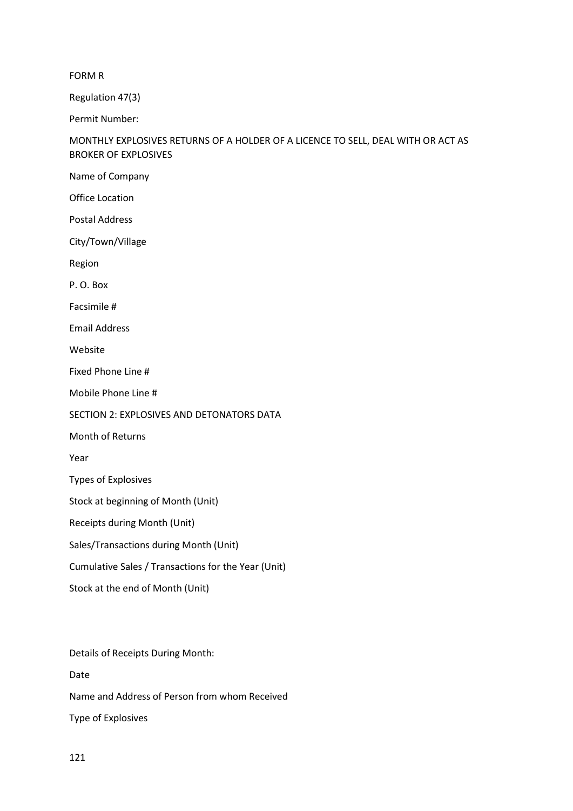FORM R

Regulation 47(3)

Permit Number:

## MONTHLY EXPLOSIVES RETURNS OF A HOLDER OF A LICENCE TO SELL, DEAL WITH OR ACT AS BROKER OF EXPLOSIVES

Name of Company

Office Location

Postal Address

City/Town/Village

Region

P. O. Box

Facsimile #

Email Address

Website

Fixed Phone Line #

Mobile Phone Line #

SECTION 2: EXPLOSIVES AND DETONATORS DATA

Month of Returns

Year

Types of Explosives

Stock at beginning of Month (Unit)

Receipts during Month (Unit)

Sales/Transactions during Month (Unit)

Cumulative Sales / Transactions for the Year (Unit)

Stock at the end of Month (Unit)

Details of Receipts During Month:

Date

Name and Address of Person from whom Received

Type of Explosives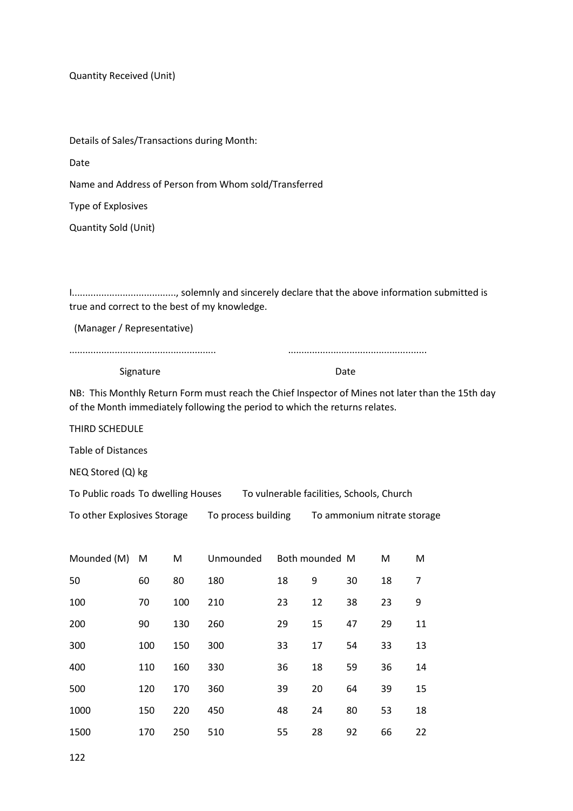Quantity Received (Unit)

Details of Sales/Transactions during Month:

Date

Name and Address of Person from Whom sold/Transferred

Type of Explosives

Quantity Sold (Unit)

I......................................., solemnly and sincerely declare that the above information submitted is true and correct to the best of my knowledge.

(Manager / Representative)

....................................................... ....................................................

Signature Date

NB: This Monthly Return Form must reach the Chief Inspector of Mines not later than the 15th day of the Month immediately following the period to which the returns relates.

THIRD SCHEDULE

Table of Distances

NEQ Stored (Q) kg

To Public roads To dwelling Houses To vulnerable facilities, Schools, Church

To other Explosives Storage To process building To ammonium nitrate storage

| Mounded (M) | M   | M   | Unmounded | Both mounded M |    |    | M  | М  |
|-------------|-----|-----|-----------|----------------|----|----|----|----|
| 50          | 60  | 80  | 180       | 18             | 9  | 30 | 18 | 7  |
| 100         | 70  | 100 | 210       | 23             | 12 | 38 | 23 | 9  |
| 200         | 90  | 130 | 260       | 29             | 15 | 47 | 29 | 11 |
| 300         | 100 | 150 | 300       | 33             | 17 | 54 | 33 | 13 |
| 400         | 110 | 160 | 330       | 36             | 18 | 59 | 36 | 14 |
| 500         | 120 | 170 | 360       | 39             | 20 | 64 | 39 | 15 |
| 1000        | 150 | 220 | 450       | 48             | 24 | 80 | 53 | 18 |
| 1500        | 170 | 250 | 510       | 55             | 28 | 92 | 66 | 22 |